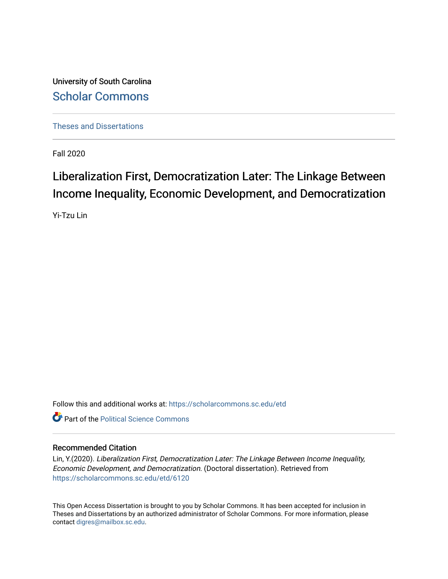University of South Carolina [Scholar Commons](https://scholarcommons.sc.edu/) 

[Theses and Dissertations](https://scholarcommons.sc.edu/etd)

Fall 2020

# Liberalization First, Democratization Later: The Linkage Between Income Inequality, Economic Development, and Democratization

Yi-Tzu Lin

Follow this and additional works at: [https://scholarcommons.sc.edu/etd](https://scholarcommons.sc.edu/etd?utm_source=scholarcommons.sc.edu%2Fetd%2F6120&utm_medium=PDF&utm_campaign=PDFCoverPages)

**C** Part of the Political Science Commons

### Recommended Citation

Lin, Y.(2020). Liberalization First, Democratization Later: The Linkage Between Income Inequality, Economic Development, and Democratization. (Doctoral dissertation). Retrieved from [https://scholarcommons.sc.edu/etd/6120](https://scholarcommons.sc.edu/etd/6120?utm_source=scholarcommons.sc.edu%2Fetd%2F6120&utm_medium=PDF&utm_campaign=PDFCoverPages) 

This Open Access Dissertation is brought to you by Scholar Commons. It has been accepted for inclusion in Theses and Dissertations by an authorized administrator of Scholar Commons. For more information, please contact [digres@mailbox.sc.edu.](mailto:digres@mailbox.sc.edu)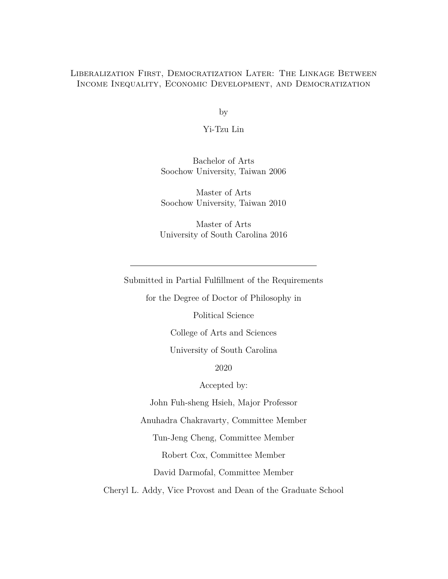### Liberalization First, Democratization Later: The Linkage Between Income Inequality, Economic Development, and Democratization

by

Yi-Tzu Lin

Bachelor of Arts Soochow University, Taiwan 2006

Master of Arts Soochow University, Taiwan 2010

Master of Arts University of South Carolina 2016

Submitted in Partial Fulfillment of the Requirements

for the Degree of Doctor of Philosophy in

Political Science

College of Arts and Sciences

University of South Carolina

2020

Accepted by:

John Fuh-sheng Hsieh, Major Professor

Anuhadra Chakravarty, Committee Member

Tun-Jeng Cheng, Committee Member

Robert Cox, Committee Member

David Darmofal, Committee Member

Cheryl L. Addy, Vice Provost and Dean of the Graduate School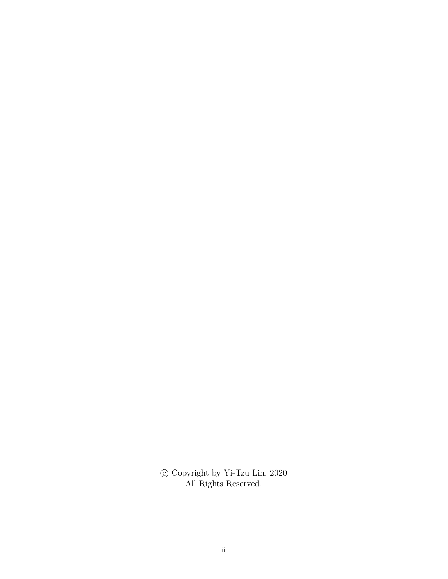$\copyright$  Copyright by Yi-Tzu Lin, 2020 All Rights Reserved.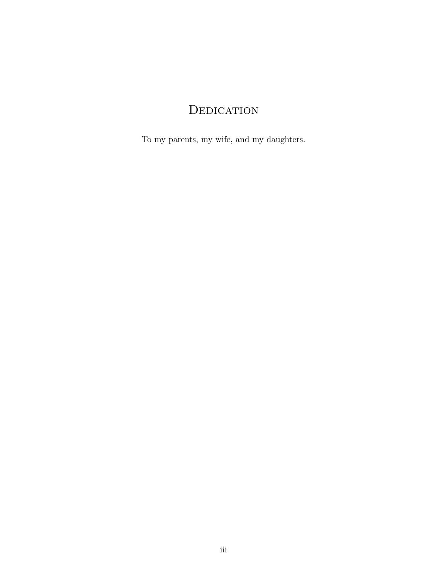# **DEDICATION**

To my parents, my wife, and my daughters.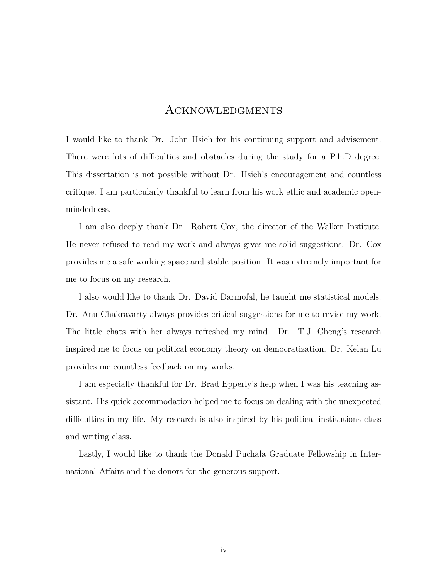### Acknowledgments

I would like to thank Dr. John Hsieh for his continuing support and advisement. There were lots of difficulties and obstacles during the study for a P.h.D degree. This dissertation is not possible without Dr. Hsieh's encouragement and countless critique. I am particularly thankful to learn from his work ethic and academic openmindedness.

I am also deeply thank Dr. Robert Cox, the director of the Walker Institute. He never refused to read my work and always gives me solid suggestions. Dr. Cox provides me a safe working space and stable position. It was extremely important for me to focus on my research.

I also would like to thank Dr. David Darmofal, he taught me statistical models. Dr. Anu Chakravarty always provides critical suggestions for me to revise my work. The little chats with her always refreshed my mind. Dr. T.J. Cheng's research inspired me to focus on political economy theory on democratization. Dr. Kelan Lu provides me countless feedback on my works.

I am especially thankful for Dr. Brad Epperly's help when I was his teaching assistant. His quick accommodation helped me to focus on dealing with the unexpected difficulties in my life. My research is also inspired by his political institutions class and writing class.

Lastly, I would like to thank the Donald Puchala Graduate Fellowship in International Affairs and the donors for the generous support.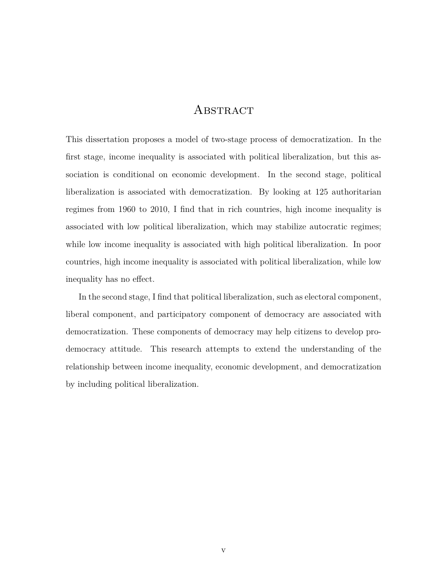### **ABSTRACT**

This dissertation proposes a model of two-stage process of democratization. In the first stage, income inequality is associated with political liberalization, but this association is conditional on economic development. In the second stage, political liberalization is associated with democratization. By looking at 125 authoritarian regimes from 1960 to 2010, I find that in rich countries, high income inequality is associated with low political liberalization, which may stabilize autocratic regimes; while low income inequality is associated with high political liberalization. In poor countries, high income inequality is associated with political liberalization, while low inequality has no effect.

In the second stage, I find that political liberalization, such as electoral component, liberal component, and participatory component of democracy are associated with democratization. These components of democracy may help citizens to develop prodemocracy attitude. This research attempts to extend the understanding of the relationship between income inequality, economic development, and democratization by including political liberalization.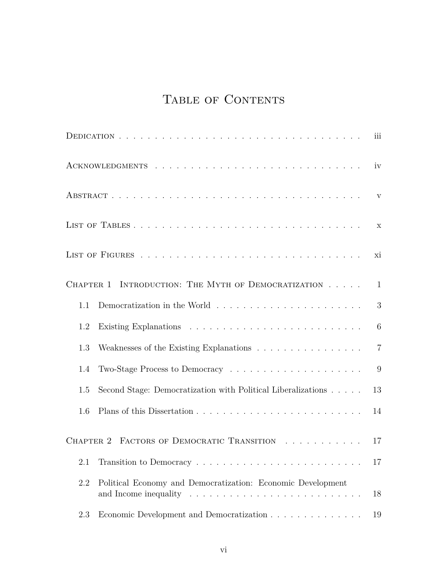# TABLE OF CONTENTS

|                                                                                         | iii            |
|-----------------------------------------------------------------------------------------|----------------|
|                                                                                         | iv             |
|                                                                                         | $\mathbf V$    |
|                                                                                         | $\mathbf x$    |
|                                                                                         | хi             |
| CHAPTER 1 INTRODUCTION: THE MYTH OF DEMOCRATIZATION                                     | 1              |
| Democratization in the World $\ldots \ldots \ldots \ldots \ldots \ldots \ldots$<br>1.1  | 3              |
| 1.2                                                                                     | 6              |
| 1.3                                                                                     | $\overline{7}$ |
| Two-Stage Process to Democracy $\dots \dots \dots \dots \dots \dots \dots \dots$<br>1.4 | 9              |
| Second Stage: Democratization with Political Liberalizations<br>1.5                     | 13             |
| 1.6                                                                                     | 14             |
| CHAPTER 2 FACTORS OF DEMOCRATIC TRANSITION                                              | 17             |
| 2.1                                                                                     | 17             |
| 2.2<br>Political Economy and Democratization: Economic Development                      | 18             |
| Economic Development and Democratization<br>2.3                                         | 19             |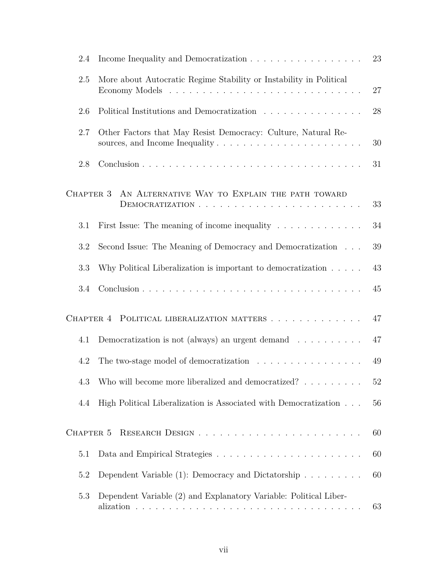| 2.4       | 23<br>Income Inequality and Democratization                                                     |        |  |  |  |  |
|-----------|-------------------------------------------------------------------------------------------------|--------|--|--|--|--|
| 2.5       | More about Autocratic Regime Stability or Instability in Political<br>27                        |        |  |  |  |  |
| 2.6       | Political Institutions and Democratization                                                      | 28     |  |  |  |  |
| 2.7       | Other Factors that May Resist Democracy: Culture, Natural Re-                                   | 30     |  |  |  |  |
| 2.8       |                                                                                                 | 31     |  |  |  |  |
| CHAPTER 3 | AN ALTERNATIVE WAY TO EXPLAIN THE PATH TOWARD                                                   | 33     |  |  |  |  |
| 3.1       | First Issue: The meaning of income inequality $\dots \dots \dots \dots$                         | 34     |  |  |  |  |
| 3.2       | Second Issue: The Meaning of Democracy and Democratization $\phantom{1} \ldots$                 | 39     |  |  |  |  |
| 3.3       | Why Political Liberalization is important to democratization $\ldots$ .                         | 43     |  |  |  |  |
| 3.4       |                                                                                                 | 45     |  |  |  |  |
|           | CHAPTER 4 POLITICAL LIBERALIZATION MATTERS                                                      | 47     |  |  |  |  |
| 4.1       | Democratization is not (always) an urgent demand $\ldots \ldots \ldots$                         | 47     |  |  |  |  |
| 4.2       | The two-stage model of democratization $\hfill\ldots\ldots\ldots\ldots\ldots\ldots\ldots\ldots$ | 49     |  |  |  |  |
|           | 4.3 Who will become more liberalized and democratized?                                          | $52\,$ |  |  |  |  |
| 4.4       | High Political Liberalization is Associated with Democratization                                | 56     |  |  |  |  |
| CHAPTER 5 |                                                                                                 | 60     |  |  |  |  |
| 5.1       |                                                                                                 | 60     |  |  |  |  |
| 5.2       | Dependent Variable $(1)$ : Democracy and Dictatorship                                           | 60     |  |  |  |  |
| 5.3       | Dependent Variable (2) and Explanatory Variable: Political Liber-                               | 63     |  |  |  |  |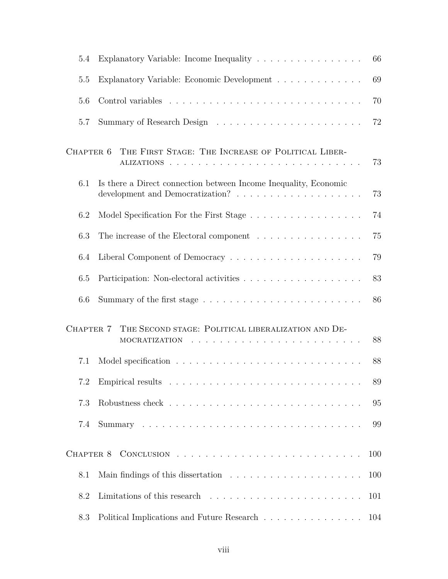| 5.4       | Explanatory Variable: Income Inequality<br>66                                                                                                                                               |     |  |  |  |  |
|-----------|---------------------------------------------------------------------------------------------------------------------------------------------------------------------------------------------|-----|--|--|--|--|
| 5.5       | 69<br>Explanatory Variable: Economic Development                                                                                                                                            |     |  |  |  |  |
| 5.6       |                                                                                                                                                                                             | 70  |  |  |  |  |
| 5.7       |                                                                                                                                                                                             | 72  |  |  |  |  |
| CHAPTER 6 | THE FIRST STAGE: THE INCREASE OF POLITICAL LIBER-                                                                                                                                           | 73  |  |  |  |  |
| 6.1       | Is there a Direct connection between Income Inequality, Economic                                                                                                                            | 73  |  |  |  |  |
| 6.2       |                                                                                                                                                                                             | 74  |  |  |  |  |
| 6.3       | The increase of the Electoral component                                                                                                                                                     | 75  |  |  |  |  |
| 6.4       |                                                                                                                                                                                             | 79  |  |  |  |  |
| 6.5       |                                                                                                                                                                                             | 83  |  |  |  |  |
| 6.6       |                                                                                                                                                                                             | 86  |  |  |  |  |
| CHAPTER 7 | THE SECOND STAGE: POLITICAL LIBERALIZATION AND DE-<br>.<br>The contract of the contract of the contract of the contract of the contract of the contract of the contract of<br>MOCRATIZATION | 88  |  |  |  |  |
| 7.1       |                                                                                                                                                                                             | 88  |  |  |  |  |
|           |                                                                                                                                                                                             | 89  |  |  |  |  |
| 7.3       |                                                                                                                                                                                             | 95  |  |  |  |  |
| 7.4       |                                                                                                                                                                                             | 99  |  |  |  |  |
|           |                                                                                                                                                                                             | 100 |  |  |  |  |
| 8.1       |                                                                                                                                                                                             | 100 |  |  |  |  |
| 8.2       |                                                                                                                                                                                             | 101 |  |  |  |  |
| 8.3       | Political Implications and Future Research                                                                                                                                                  | 104 |  |  |  |  |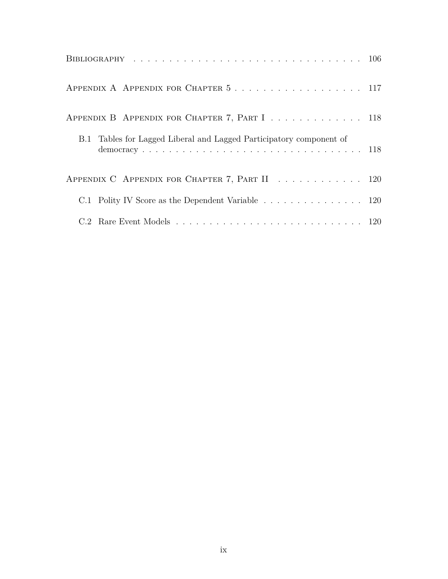| APPENDIX A APPENDIX FOR CHAPTER 5 117                               |  |
|---------------------------------------------------------------------|--|
| APPENDIX B APPENDIX FOR CHAPTER 7, PART I 118                       |  |
| B.1 Tables for Lagged Liberal and Lagged Participatory component of |  |
| APPENDIX C APPENDIX FOR CHAPTER 7, PART II 120                      |  |
| C.1 Polity IV Score as the Dependent Variable 120                   |  |
|                                                                     |  |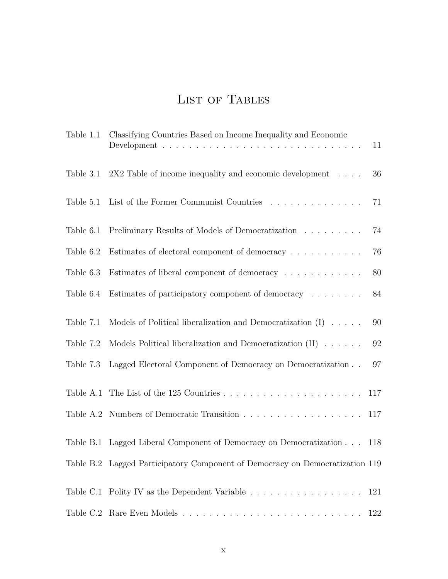# LIST OF TABLES

|           | Table 1.1 Classifying Countries Based on Income Inequality and Economic      | 11  |
|-----------|------------------------------------------------------------------------------|-----|
| Table 3.1 | $2X2$ Table of income inequality and economic development $\dots$            | 36  |
| Table 5.1 | List of the Former Communist Countries                                       | 71  |
| Table 6.1 | Preliminary Results of Models of Democratization                             | 74  |
| Table 6.2 | Estimates of electoral component of democracy                                | 76  |
| Table 6.3 | Estimates of liberal component of democracy                                  | 80  |
| Table 6.4 | Estimates of participatory component of democracy                            | 84  |
| Table 7.1 | Models of Political liberalization and Democratization $(I) \dots$ .         | 90  |
| Table 7.2 | Models Political liberalization and Democratization $(II) \dots \dots$       | 92  |
| Table 7.3 | Lagged Electoral Component of Democracy on Democratization                   | 97  |
|           |                                                                              | 117 |
|           |                                                                              | 117 |
|           | Table B.1 Lagged Liberal Component of Democracy on Democratization 118       |     |
|           | Table B.2 Lagged Participatory Component of Democracy on Democratization 119 |     |
|           | Table C.1 Polity IV as the Dependent Variable                                | 121 |
|           |                                                                              | 122 |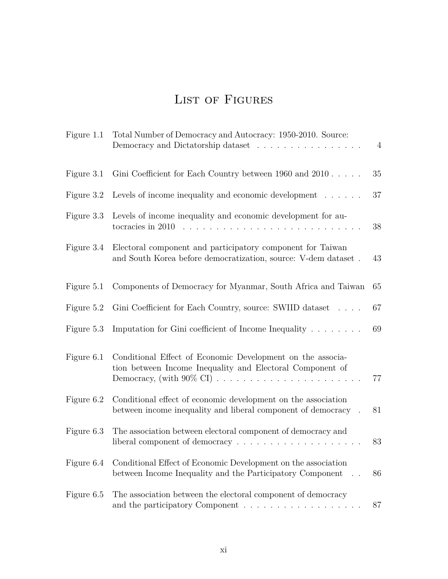## LIST OF FIGURES

| Figure 1.1 | Total Number of Democracy and Autocracy: 1950-2010. Source:<br>Democracy and Dictatorship dataset                                                                                                                                                                                                                      | $\overline{4}$ |  |  |  |  |
|------------|------------------------------------------------------------------------------------------------------------------------------------------------------------------------------------------------------------------------------------------------------------------------------------------------------------------------|----------------|--|--|--|--|
| Figure 3.1 | Gini Coefficient for Each Country between 1960 and 2010                                                                                                                                                                                                                                                                | 35             |  |  |  |  |
| Figure 3.2 | Levels of income inequality and economic development $\ldots \ldots$                                                                                                                                                                                                                                                   | 37             |  |  |  |  |
| Figure 3.3 | Levels of income inequality and economic development for au-<br>tocracies in 2010<br>$\mathbf{r}$ . The set of the set of the set of the set of the set of the set of the set of the set of the set of the set of the set of the set of the set of the set of the set of the set of the set of the set of the set of t | 38             |  |  |  |  |
| Figure 3.4 | Electoral component and participatory component for Taiwan<br>and South Korea before democratization, source: V-dem dataset.                                                                                                                                                                                           | 43             |  |  |  |  |
| Figure 5.1 | Components of Democracy for Myanmar, South Africa and Taiwan                                                                                                                                                                                                                                                           | 65             |  |  |  |  |
| Figure 5.2 | Gini Coefficient for Each Country, source: SWIID dataset                                                                                                                                                                                                                                                               | 67             |  |  |  |  |
| Figure 5.3 | Imputation for Gini coefficient of Income Inequality $\dots \dots$                                                                                                                                                                                                                                                     | 69             |  |  |  |  |
| Figure 6.1 | Conditional Effect of Economic Development on the associa-<br>tion between Income Inequality and Electoral Component of<br>Democracy, (with $90\%$ CI)                                                                                                                                                                 | 77             |  |  |  |  |
| Figure 6.2 | Conditional effect of economic development on the association<br>between income inequality and liberal component of democracy                                                                                                                                                                                          | 81             |  |  |  |  |
| Figure 6.3 | The association between electoral component of democracy and<br>liberal component of democracy                                                                                                                                                                                                                         | 83             |  |  |  |  |
| Figure 6.4 | Conditional Effect of Economic Development on the association<br>between Income Inequality and the Participatory Component<br>86                                                                                                                                                                                       |                |  |  |  |  |
| Figure 6.5 | The association between the electoral component of democracy                                                                                                                                                                                                                                                           | 87             |  |  |  |  |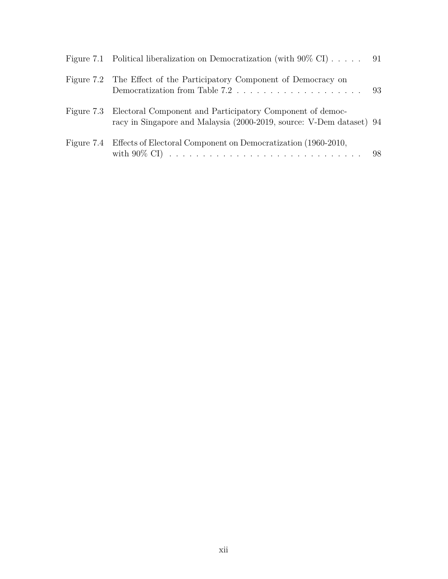| Figure 7.1 Political liberalization on Democratization (with $90\%$ CI) 91                                                                   |  |
|----------------------------------------------------------------------------------------------------------------------------------------------|--|
| Figure 7.2 The Effect of the Participatory Component of Democracy on                                                                         |  |
| Figure 7.3 Electoral Component and Participatory Component of democ-<br>racy in Singapore and Malaysia (2000-2019, source: V-Dem dataset) 94 |  |
| Figure 7.4 Effects of Electoral Component on Democratization (1960-2010,                                                                     |  |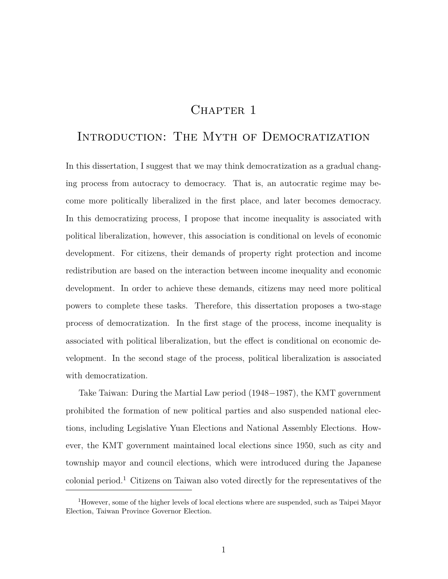## CHAPTER 1

## Introduction: The Myth of Democratization

In this dissertation, I suggest that we may think democratization as a gradual changing process from autocracy to democracy. That is, an autocratic regime may become more politically liberalized in the first place, and later becomes democracy. In this democratizing process, I propose that income inequality is associated with political liberalization, however, this association is conditional on levels of economic development. For citizens, their demands of property right protection and income redistribution are based on the interaction between income inequality and economic development. In order to achieve these demands, citizens may need more political powers to complete these tasks. Therefore, this dissertation proposes a two-stage process of democratization. In the first stage of the process, income inequality is associated with political liberalization, but the effect is conditional on economic development. In the second stage of the process, political liberalization is associated with democratization.

Take Taiwan: During the Martial Law period (1948−1987), the KMT government prohibited the formation of new political parties and also suspended national elections, including Legislative Yuan Elections and National Assembly Elections. However, the KMT government maintained local elections since 1950, such as city and township mayor and council elections, which were introduced during the Japanese colonial period.<sup>1</sup> Citizens on Taiwan also voted directly for the representatives of the

<sup>&</sup>lt;sup>1</sup>However, some of the higher levels of local elections where are suspended, such as Taipei Mayor Election, Taiwan Province Governor Election.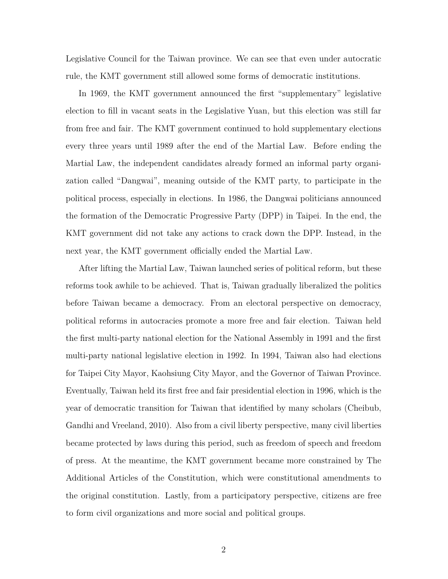Legislative Council for the Taiwan province. We can see that even under autocratic rule, the KMT government still allowed some forms of democratic institutions.

In 1969, the KMT government announced the first "supplementary" legislative election to fill in vacant seats in the Legislative Yuan, but this election was still far from free and fair. The KMT government continued to hold supplementary elections every three years until 1989 after the end of the Martial Law. Before ending the Martial Law, the independent candidates already formed an informal party organization called "Dangwai", meaning outside of the KMT party, to participate in the political process, especially in elections. In 1986, the Dangwai politicians announced the formation of the Democratic Progressive Party (DPP) in Taipei. In the end, the KMT government did not take any actions to crack down the DPP. Instead, in the next year, the KMT government officially ended the Martial Law.

After lifting the Martial Law, Taiwan launched series of political reform, but these reforms took awhile to be achieved. That is, Taiwan gradually liberalized the politics before Taiwan became a democracy. From an electoral perspective on democracy, political reforms in autocracies promote a more free and fair election. Taiwan held the first multi-party national election for the National Assembly in 1991 and the first multi-party national legislative election in 1992. In 1994, Taiwan also had elections for Taipei City Mayor, Kaohsiung City Mayor, and the Governor of Taiwan Province. Eventually, Taiwan held its first free and fair presidential election in 1996, which is the year of democratic transition for Taiwan that identified by many scholars (Cheibub, Gandhi and Vreeland, 2010). Also from a civil liberty perspective, many civil liberties became protected by laws during this period, such as freedom of speech and freedom of press. At the meantime, the KMT government became more constrained by The Additional Articles of the Constitution, which were constitutional amendments to the original constitution. Lastly, from a participatory perspective, citizens are free to form civil organizations and more social and political groups.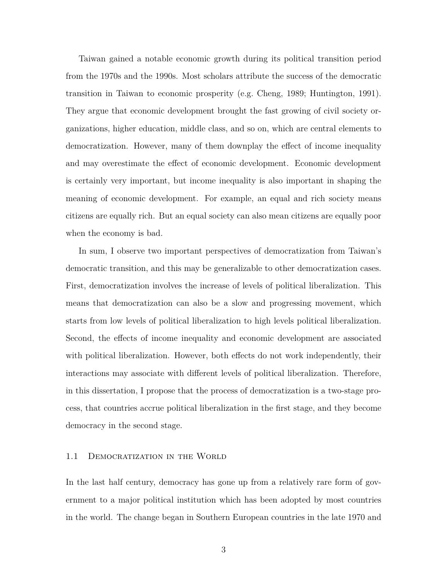Taiwan gained a notable economic growth during its political transition period from the 1970s and the 1990s. Most scholars attribute the success of the democratic transition in Taiwan to economic prosperity (e.g. Cheng, 1989; Huntington, 1991). They argue that economic development brought the fast growing of civil society organizations, higher education, middle class, and so on, which are central elements to democratization. However, many of them downplay the effect of income inequality and may overestimate the effect of economic development. Economic development is certainly very important, but income inequality is also important in shaping the meaning of economic development. For example, an equal and rich society means citizens are equally rich. But an equal society can also mean citizens are equally poor when the economy is bad.

In sum, I observe two important perspectives of democratization from Taiwan's democratic transition, and this may be generalizable to other democratization cases. First, democratization involves the increase of levels of political liberalization. This means that democratization can also be a slow and progressing movement, which starts from low levels of political liberalization to high levels political liberalization. Second, the effects of income inequality and economic development are associated with political liberalization. However, both effects do not work independently, their interactions may associate with different levels of political liberalization. Therefore, in this dissertation, I propose that the process of democratization is a two-stage process, that countries accrue political liberalization in the first stage, and they become democracy in the second stage.

#### 1.1 DEMOCRATIZATION IN THE WORLD

In the last half century, democracy has gone up from a relatively rare form of government to a major political institution which has been adopted by most countries in the world. The change began in Southern European countries in the late 1970 and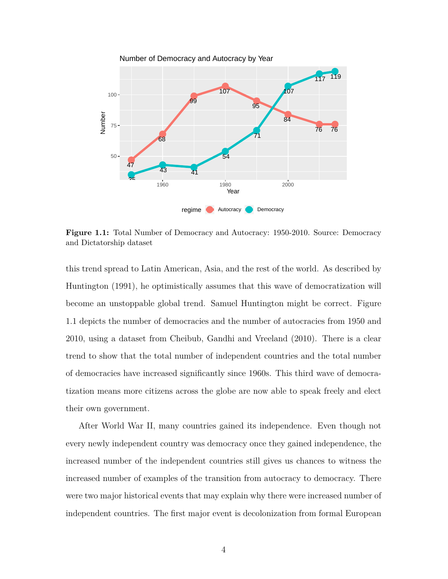

**Figure 1.1:** Total Number of Democracy and Autocracy: 1950-2010. Source: Democracy and Dictatorship dataset

this trend spread to Latin American, Asia, and the rest of the world. As described by Huntington (1991), he optimistically assumes that this wave of democratization will become an unstoppable global trend. Samuel Huntington might be correct. Figure 1.1 depicts the number of democracies and the number of autocracies from 1950 and 2010, using a dataset from Cheibub, Gandhi and Vreeland (2010). There is a clear trend to show that the total number of independent countries and the total number of democracies have increased significantly since 1960s. This third wave of democratization means more citizens across the globe are now able to speak freely and elect their own government.

After World War II, many countries gained its independence. Even though not every newly independent country was democracy once they gained independence, the increased number of the independent countries still gives us chances to witness the increased number of examples of the transition from autocracy to democracy. There were two major historical events that may explain why there were increased number of independent countries. The first major event is decolonization from formal European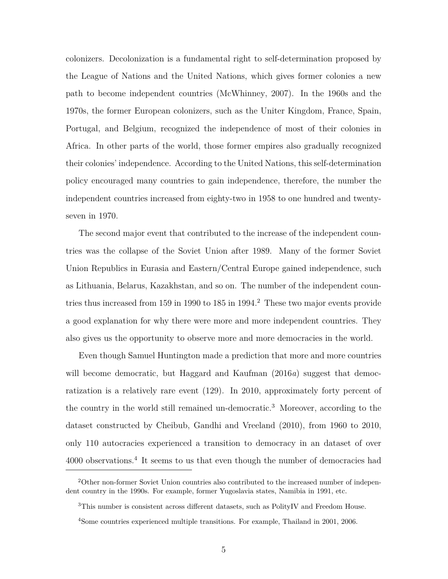colonizers. Decolonization is a fundamental right to self-determination proposed by the League of Nations and the United Nations, which gives former colonies a new path to become independent countries (McWhinney, 2007). In the 1960s and the 1970s, the former European colonizers, such as the Uniter Kingdom, France, Spain, Portugal, and Belgium, recognized the independence of most of their colonies in Africa. In other parts of the world, those former empires also gradually recognized their colonies' independence. According to the United Nations, this self-determination policy encouraged many countries to gain independence, therefore, the number the independent countries increased from eighty-two in 1958 to one hundred and twentyseven in 1970.

The second major event that contributed to the increase of the independent countries was the collapse of the Soviet Union after 1989. Many of the former Soviet Union Republics in Eurasia and Eastern/Central Europe gained independence, such as Lithuania, Belarus, Kazakhstan, and so on. The number of the independent countries thus increased from 159 in 1990 to 185 in 1994.<sup>2</sup> These two major events provide a good explanation for why there were more and more independent countries. They also gives us the opportunity to observe more and more democracies in the world.

Even though Samuel Huntington made a prediction that more and more countries will become democratic, but Haggard and Kaufman (2016*a*) suggest that democratization is a relatively rare event (129). In 2010, approximately forty percent of the country in the world still remained un-democratic.<sup>3</sup> Moreover, according to the dataset constructed by Cheibub, Gandhi and Vreeland (2010), from 1960 to 2010, only 110 autocracies experienced a transition to democracy in an dataset of over 4000 observations.<sup>4</sup> It seems to us that even though the number of democracies had

<sup>2</sup>Other non-former Soviet Union countries also contributed to the increased number of independent country in the 1990s. For example, former Yugoslavia states, Namibia in 1991, etc.

<sup>3</sup>This number is consistent across different datasets, such as PolityIV and Freedom House.

<sup>4</sup>Some countries experienced multiple transitions. For example, Thailand in 2001, 2006.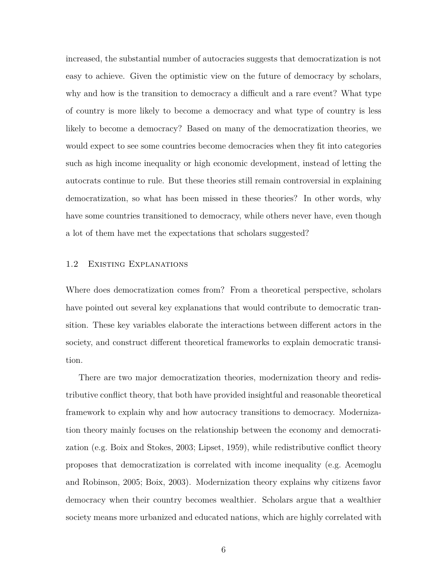increased, the substantial number of autocracies suggests that democratization is not easy to achieve. Given the optimistic view on the future of democracy by scholars, why and how is the transition to democracy a difficult and a rare event? What type of country is more likely to become a democracy and what type of country is less likely to become a democracy? Based on many of the democratization theories, we would expect to see some countries become democracies when they fit into categories such as high income inequality or high economic development, instead of letting the autocrats continue to rule. But these theories still remain controversial in explaining democratization, so what has been missed in these theories? In other words, why have some countries transitioned to democracy, while others never have, even though a lot of them have met the expectations that scholars suggested?

#### 1.2 Existing Explanations

Where does democratization comes from? From a theoretical perspective, scholars have pointed out several key explanations that would contribute to democratic transition. These key variables elaborate the interactions between different actors in the society, and construct different theoretical frameworks to explain democratic transition.

There are two major democratization theories, modernization theory and redistributive conflict theory, that both have provided insightful and reasonable theoretical framework to explain why and how autocracy transitions to democracy. Modernization theory mainly focuses on the relationship between the economy and democratization (e.g. Boix and Stokes, 2003; Lipset, 1959), while redistributive conflict theory proposes that democratization is correlated with income inequality (e.g. Acemoglu and Robinson, 2005; Boix, 2003). Modernization theory explains why citizens favor democracy when their country becomes wealthier. Scholars argue that a wealthier society means more urbanized and educated nations, which are highly correlated with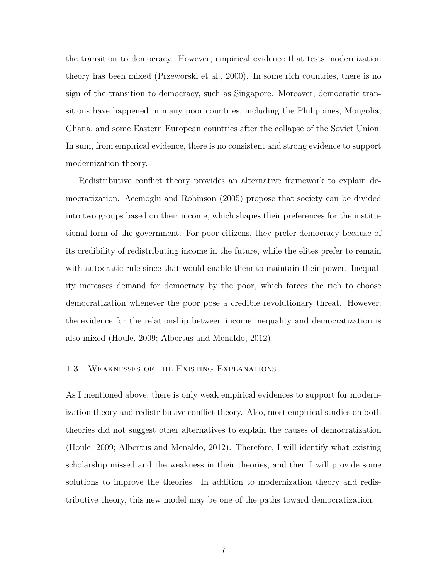the transition to democracy. However, empirical evidence that tests modernization theory has been mixed (Przeworski et al., 2000). In some rich countries, there is no sign of the transition to democracy, such as Singapore. Moreover, democratic transitions have happened in many poor countries, including the Philippines, Mongolia, Ghana, and some Eastern European countries after the collapse of the Soviet Union. In sum, from empirical evidence, there is no consistent and strong evidence to support modernization theory.

Redistributive conflict theory provides an alternative framework to explain democratization. Acemoglu and Robinson (2005) propose that society can be divided into two groups based on their income, which shapes their preferences for the institutional form of the government. For poor citizens, they prefer democracy because of its credibility of redistributing income in the future, while the elites prefer to remain with autocratic rule since that would enable them to maintain their power. Inequality increases demand for democracy by the poor, which forces the rich to choose democratization whenever the poor pose a credible revolutionary threat. However, the evidence for the relationship between income inequality and democratization is also mixed (Houle, 2009; Albertus and Menaldo, 2012).

#### 1.3 Weaknesses of the Existing Explanations

As I mentioned above, there is only weak empirical evidences to support for modernization theory and redistributive conflict theory. Also, most empirical studies on both theories did not suggest other alternatives to explain the causes of democratization (Houle, 2009; Albertus and Menaldo, 2012). Therefore, I will identify what existing scholarship missed and the weakness in their theories, and then I will provide some solutions to improve the theories. In addition to modernization theory and redistributive theory, this new model may be one of the paths toward democratization.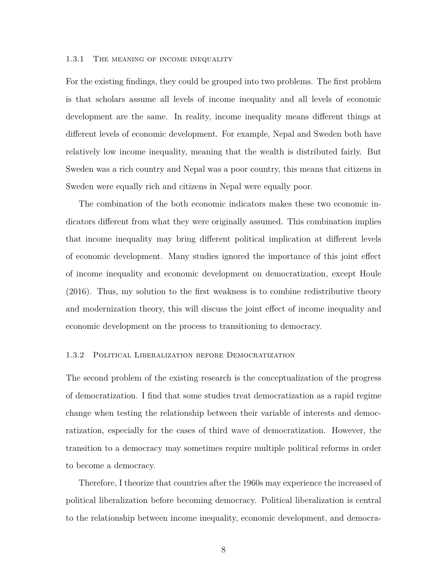#### 1.3.1 THE MEANING OF INCOME INEQUALITY

For the existing findings, they could be grouped into two problems. The first problem is that scholars assume all levels of income inequality and all levels of economic development are the same. In reality, income inequality means different things at different levels of economic development. For example, Nepal and Sweden both have relatively low income inequality, meaning that the wealth is distributed fairly. But Sweden was a rich country and Nepal was a poor country, this means that citizens in Sweden were equally rich and citizens in Nepal were equally poor.

The combination of the both economic indicators makes these two economic indicators different from what they were originally assumed. This combination implies that income inequality may bring different political implication at different levels of economic development. Many studies ignored the importance of this joint effect of income inequality and economic development on democratization, except Houle (2016). Thus, my solution to the first weakness is to combine redistributive theory and modernization theory, this will discuss the joint effect of income inequality and economic development on the process to transitioning to democracy.

#### 1.3.2 Political Liberalization before Democratization

The second problem of the existing research is the conceptualization of the progress of democratization. I find that some studies treat democratization as a rapid regime change when testing the relationship between their variable of interests and democratization, especially for the cases of third wave of democratization. However, the transition to a democracy may sometimes require multiple political reforms in order to become a democracy.

Therefore, I theorize that countries after the 1960s may experience the increased of political liberalization before becoming democracy. Political liberalization is central to the relationship between income inequality, economic development, and democra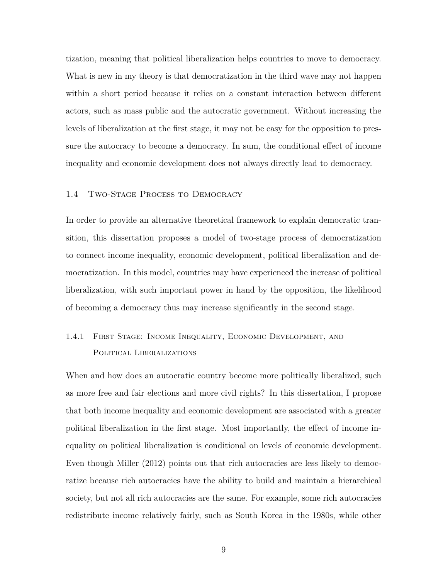tization, meaning that political liberalization helps countries to move to democracy. What is new in my theory is that democratization in the third wave may not happen within a short period because it relies on a constant interaction between different actors, such as mass public and the autocratic government. Without increasing the levels of liberalization at the first stage, it may not be easy for the opposition to pressure the autocracy to become a democracy. In sum, the conditional effect of income inequality and economic development does not always directly lead to democracy.

#### 1.4 Two-Stage Process to Democracy

In order to provide an alternative theoretical framework to explain democratic transition, this dissertation proposes a model of two-stage process of democratization to connect income inequality, economic development, political liberalization and democratization. In this model, countries may have experienced the increase of political liberalization, with such important power in hand by the opposition, the likelihood of becoming a democracy thus may increase significantly in the second stage.

## 1.4.1 First Stage: Income Inequality, Economic Development, and POLITICAL LIBERALIZATIONS

When and how does an autocratic country become more politically liberalized, such as more free and fair elections and more civil rights? In this dissertation, I propose that both income inequality and economic development are associated with a greater political liberalization in the first stage. Most importantly, the effect of income inequality on political liberalization is conditional on levels of economic development. Even though Miller (2012) points out that rich autocracies are less likely to democratize because rich autocracies have the ability to build and maintain a hierarchical society, but not all rich autocracies are the same. For example, some rich autocracies redistribute income relatively fairly, such as South Korea in the 1980s, while other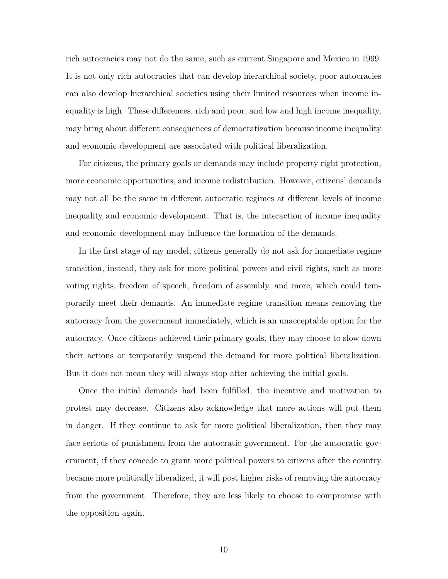rich autocracies may not do the same, such as current Singapore and Mexico in 1999. It is not only rich autocracies that can develop hierarchical society, poor autocracies can also develop hierarchical societies using their limited resources when income inequality is high. These differences, rich and poor, and low and high income inequality, may bring about different consequences of democratization because income inequality and economic development are associated with political liberalization.

For citizens, the primary goals or demands may include property right protection, more economic opportunities, and income redistribution. However, citizens' demands may not all be the same in different autocratic regimes at different levels of income inequality and economic development. That is, the interaction of income inequality and economic development may influence the formation of the demands.

In the first stage of my model, citizens generally do not ask for immediate regime transition, instead, they ask for more political powers and civil rights, such as more voting rights, freedom of speech, freedom of assembly, and more, which could temporarily meet their demands. An immediate regime transition means removing the autocracy from the government immediately, which is an unacceptable option for the autocracy. Once citizens achieved their primary goals, they may choose to slow down their actions or temporarily suspend the demand for more political liberalization. But it does not mean they will always stop after achieving the initial goals.

Once the initial demands had been fulfilled, the incentive and motivation to protest may decrease. Citizens also acknowledge that more actions will put them in danger. If they continue to ask for more political liberalization, then they may face serious of punishment from the autocratic government. For the autocratic government, if they concede to grant more political powers to citizens after the country became more politically liberalized, it will post higher risks of removing the autocracy from the government. Therefore, they are less likely to choose to compromise with the opposition again.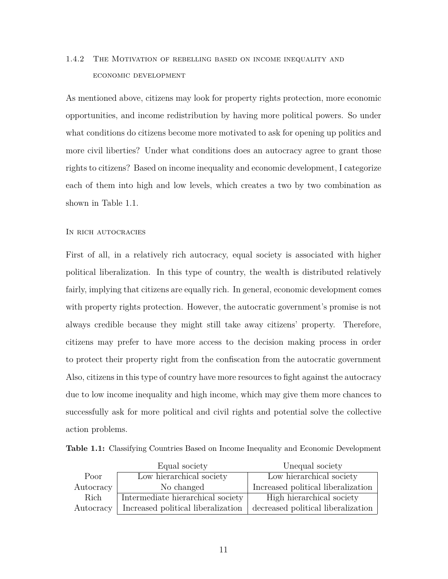## 1.4.2 The Motivation of rebelling based on income inequality and economic development

As mentioned above, citizens may look for property rights protection, more economic opportunities, and income redistribution by having more political powers. So under what conditions do citizens become more motivated to ask for opening up politics and more civil liberties? Under what conditions does an autocracy agree to grant those rights to citizens? Based on income inequality and economic development, I categorize each of them into high and low levels, which creates a two by two combination as shown in Table 1.1.

#### In rich autocracies

First of all, in a relatively rich autocracy, equal society is associated with higher political liberalization. In this type of country, the wealth is distributed relatively fairly, implying that citizens are equally rich. In general, economic development comes with property rights protection. However, the autocratic government's promise is not always credible because they might still take away citizens' property. Therefore, citizens may prefer to have more access to the decision making process in order to protect their property right from the confiscation from the autocratic government Also, citizens in this type of country have more resources to fight against the autocracy due to low income inequality and high income, which may give them more chances to successfully ask for more political and civil rights and potential solve the collective action problems.

|  | <b>Table 1.1:</b> Classifying Countries Based on Income Inequality and Economic Development |  |  |  |  |  |  |  |  |
|--|---------------------------------------------------------------------------------------------|--|--|--|--|--|--|--|--|
|--|---------------------------------------------------------------------------------------------|--|--|--|--|--|--|--|--|

|           | Equal society                      | Unequal society                    |
|-----------|------------------------------------|------------------------------------|
| Poor      | Low hierarchical society           | Low hierarchical society           |
| Autocracy | No changed                         | Increased political liberalization |
| Rich      | Intermediate hierarchical society  | High hierarchical society          |
| Autocracy | Increased political liberalization | decreased political liberalization |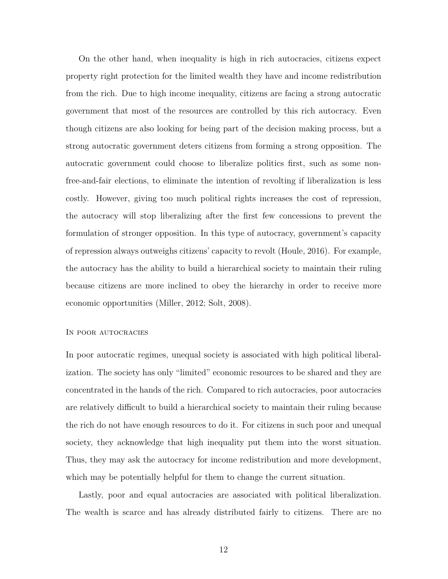On the other hand, when inequality is high in rich autocracies, citizens expect property right protection for the limited wealth they have and income redistribution from the rich. Due to high income inequality, citizens are facing a strong autocratic government that most of the resources are controlled by this rich autocracy. Even though citizens are also looking for being part of the decision making process, but a strong autocratic government deters citizens from forming a strong opposition. The autocratic government could choose to liberalize politics first, such as some nonfree-and-fair elections, to eliminate the intention of revolting if liberalization is less costly. However, giving too much political rights increases the cost of repression, the autocracy will stop liberalizing after the first few concessions to prevent the formulation of stronger opposition. In this type of autocracy, government's capacity of repression always outweighs citizens' capacity to revolt (Houle, 2016). For example, the autocracy has the ability to build a hierarchical society to maintain their ruling because citizens are more inclined to obey the hierarchy in order to receive more economic opportunities (Miller, 2012; Solt, 2008).

#### In poor autocracies

In poor autocratic regimes, unequal society is associated with high political liberalization. The society has only "limited" economic resources to be shared and they are concentrated in the hands of the rich. Compared to rich autocracies, poor autocracies are relatively difficult to build a hierarchical society to maintain their ruling because the rich do not have enough resources to do it. For citizens in such poor and unequal society, they acknowledge that high inequality put them into the worst situation. Thus, they may ask the autocracy for income redistribution and more development, which may be potentially helpful for them to change the current situation.

Lastly, poor and equal autocracies are associated with political liberalization. The wealth is scarce and has already distributed fairly to citizens. There are no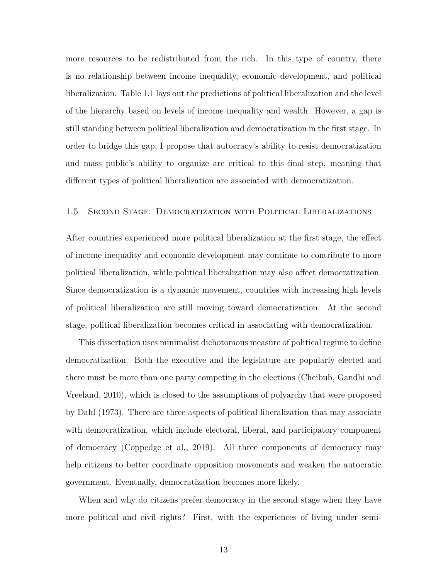more resources to be redistributed from the rich. In this type of country, there is no relationship between income inequality, economic development, and political liberalization. Table 1.1 lays out the predictions of political liberalization and the level of the hierarchy based on levels of income inequality and wealth. However, a gap is still standing between political liberalization and democratization in the first stage. In order to bridge this gap, I propose that autocracy's ability to resist democratization and mass public's ability to organize are critical to this final step, meaning that different types of political liberalization are associated with democratization.

#### 1.5 Second Stage: Democratization with Political Liberalizations

After countries experienced more political liberalization at the first stage, the effect of income inequality and economic development may continue to contribute to more political liberalization, while political liberalization may also affect democratization. Since democratization is a dynamic movement, countries with increasing high levels of political liberalization are still moving toward democratization. At the second stage, political liberalization becomes critical in associating with democratization.

This dissertation uses minimalist dichotomous measure of political regime to define democratization. Both the executive and the legislature are popularly elected and there must be more than one party competing in the elections (Cheibub, Gandhi and Vreeland, 2010), which is closed to the assumptions of polyarchy that were proposed by Dahl (1973). There are three aspects of political liberalization that may associate with democratization, which include electoral, liberal, and participatory component of democracy (Coppedge et al., 2019). All three components of democracy may help citizens to better coordinate opposition movements and weaken the autocratic government. Eventually, democratization becomes more likely.

When and why do citizens prefer democracy in the second stage when they have more political and civil rights? First, with the experiences of living under semi-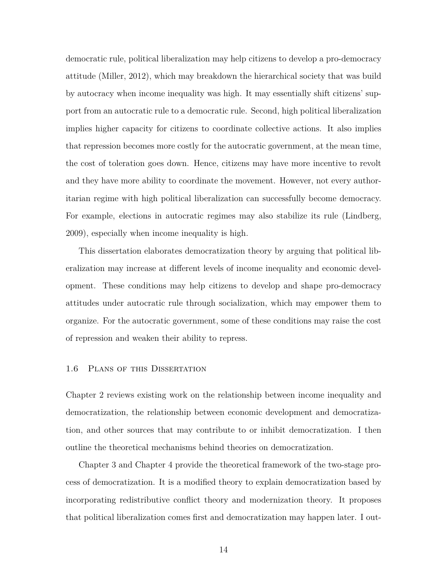democratic rule, political liberalization may help citizens to develop a pro-democracy attitude (Miller, 2012), which may breakdown the hierarchical society that was build by autocracy when income inequality was high. It may essentially shift citizens' support from an autocratic rule to a democratic rule. Second, high political liberalization implies higher capacity for citizens to coordinate collective actions. It also implies that repression becomes more costly for the autocratic government, at the mean time, the cost of toleration goes down. Hence, citizens may have more incentive to revolt and they have more ability to coordinate the movement. However, not every authoritarian regime with high political liberalization can successfully become democracy. For example, elections in autocratic regimes may also stabilize its rule (Lindberg, 2009), especially when income inequality is high.

This dissertation elaborates democratization theory by arguing that political liberalization may increase at different levels of income inequality and economic development. These conditions may help citizens to develop and shape pro-democracy attitudes under autocratic rule through socialization, which may empower them to organize. For the autocratic government, some of these conditions may raise the cost of repression and weaken their ability to repress.

#### 1.6 Plans of this Dissertation

Chapter 2 reviews existing work on the relationship between income inequality and democratization, the relationship between economic development and democratization, and other sources that may contribute to or inhibit democratization. I then outline the theoretical mechanisms behind theories on democratization.

Chapter 3 and Chapter 4 provide the theoretical framework of the two-stage process of democratization. It is a modified theory to explain democratization based by incorporating redistributive conflict theory and modernization theory. It proposes that political liberalization comes first and democratization may happen later. I out-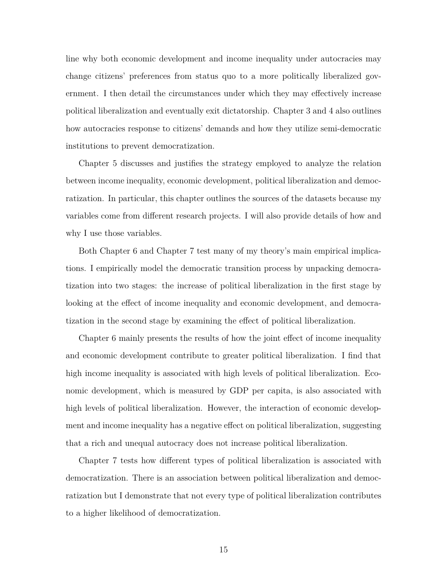line why both economic development and income inequality under autocracies may change citizens' preferences from status quo to a more politically liberalized government. I then detail the circumstances under which they may effectively increase political liberalization and eventually exit dictatorship. Chapter 3 and 4 also outlines how autocracies response to citizens' demands and how they utilize semi-democratic institutions to prevent democratization.

Chapter 5 discusses and justifies the strategy employed to analyze the relation between income inequality, economic development, political liberalization and democratization. In particular, this chapter outlines the sources of the datasets because my variables come from different research projects. I will also provide details of how and why I use those variables.

Both Chapter 6 and Chapter 7 test many of my theory's main empirical implications. I empirically model the democratic transition process by unpacking democratization into two stages: the increase of political liberalization in the first stage by looking at the effect of income inequality and economic development, and democratization in the second stage by examining the effect of political liberalization.

Chapter 6 mainly presents the results of how the joint effect of income inequality and economic development contribute to greater political liberalization. I find that high income inequality is associated with high levels of political liberalization. Economic development, which is measured by GDP per capita, is also associated with high levels of political liberalization. However, the interaction of economic development and income inequality has a negative effect on political liberalization, suggesting that a rich and unequal autocracy does not increase political liberalization.

Chapter 7 tests how different types of political liberalization is associated with democratization. There is an association between political liberalization and democratization but I demonstrate that not every type of political liberalization contributes to a higher likelihood of democratization.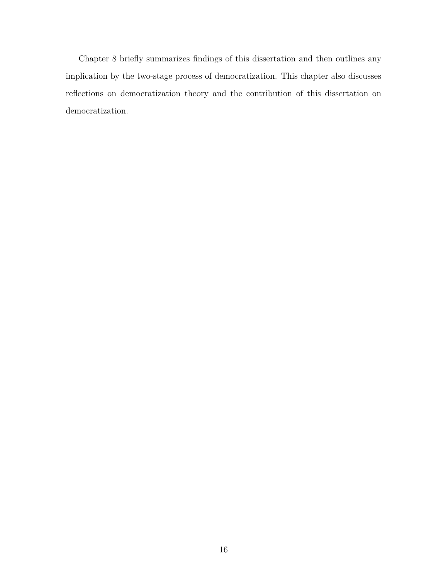Chapter 8 briefly summarizes findings of this dissertation and then outlines any implication by the two-stage process of democratization. This chapter also discusses reflections on democratization theory and the contribution of this dissertation on democratization.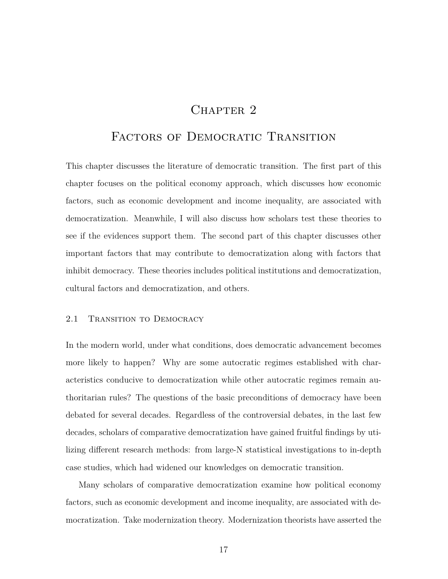## CHAPTER<sub>2</sub>

### FACTORS OF DEMOCRATIC TRANSITION

This chapter discusses the literature of democratic transition. The first part of this chapter focuses on the political economy approach, which discusses how economic factors, such as economic development and income inequality, are associated with democratization. Meanwhile, I will also discuss how scholars test these theories to see if the evidences support them. The second part of this chapter discusses other important factors that may contribute to democratization along with factors that inhibit democracy. These theories includes political institutions and democratization, cultural factors and democratization, and others.

#### 2.1 TRANSITION TO DEMOCRACY

In the modern world, under what conditions, does democratic advancement becomes more likely to happen? Why are some autocratic regimes established with characteristics conducive to democratization while other autocratic regimes remain authoritarian rules? The questions of the basic preconditions of democracy have been debated for several decades. Regardless of the controversial debates, in the last few decades, scholars of comparative democratization have gained fruitful findings by utilizing different research methods: from large-N statistical investigations to in-depth case studies, which had widened our knowledges on democratic transition.

Many scholars of comparative democratization examine how political economy factors, such as economic development and income inequality, are associated with democratization. Take modernization theory. Modernization theorists have asserted the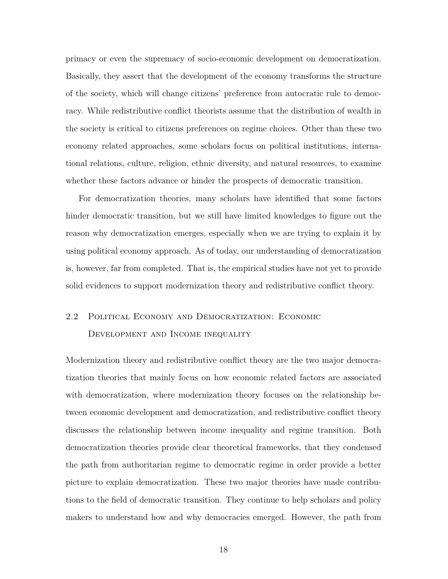primacy or even the supremacy of socio-economic development on democratization. Basically, they assert that the development of the economy transforms the structure of the society, which will change citizens' preference from autocratic rule to democracy. While redistributive conflict theorists assume that the distribution of wealth in the society is critical to citizens preferences on regime choices. Other than these two economy related approaches, some scholars focus on political institutions, international relations, culture, religion, ethnic diversity, and natural resources, to examine whether these factors advance or hinder the prospects of democratic transition.

For democratization theories, many scholars have identified that some factors hinder democratic transition, but we still have limited knowledges to figure out the reason why democratization emerges, especially when we are trying to explain it by using political economy approach. As of today, our understanding of democratization is, however, far from completed. That is, the empirical studies have not yet to provide solid evidences to support modernization theory and redistributive conflict theory.

## 2.2 Political Economy and Democratization: Economic Development and Income inequality

Modernization theory and redistributive conflict theory are the two major democratization theories that mainly focus on how economic related factors are associated with democratization, where modernization theory focuses on the relationship between economic development and democratization, and redistributive conflict theory discusses the relationship between income inequality and regime transition. Both democratization theories provide clear theoretical frameworks, that they condensed the path from authoritarian regime to democratic regime in order provide a better picture to explain democratization. These two major theories have made contributions to the field of democratic transition. They continue to help scholars and policy makers to understand how and why democracies emerged. However, the path from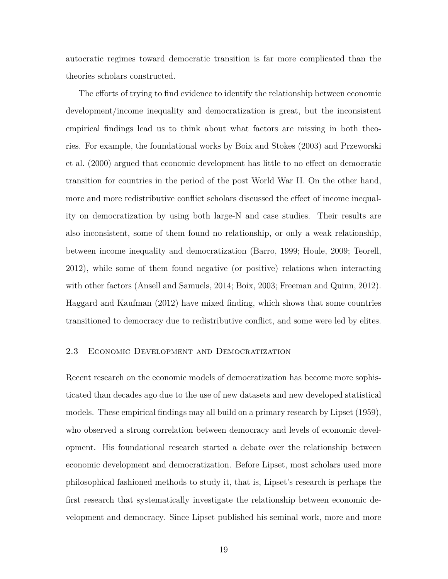autocratic regimes toward democratic transition is far more complicated than the theories scholars constructed.

The efforts of trying to find evidence to identify the relationship between economic development/income inequality and democratization is great, but the inconsistent empirical findings lead us to think about what factors are missing in both theories. For example, the foundational works by Boix and Stokes (2003) and Przeworski et al. (2000) argued that economic development has little to no effect on democratic transition for countries in the period of the post World War II. On the other hand, more and more redistributive conflict scholars discussed the effect of income inequality on democratization by using both large-N and case studies. Their results are also inconsistent, some of them found no relationship, or only a weak relationship, between income inequality and democratization (Barro, 1999; Houle, 2009; Teorell, 2012), while some of them found negative (or positive) relations when interacting with other factors (Ansell and Samuels, 2014; Boix, 2003; Freeman and Quinn, 2012). Haggard and Kaufman (2012) have mixed finding, which shows that some countries transitioned to democracy due to redistributive conflict, and some were led by elites.

#### 2.3 Economic Development and Democratization

Recent research on the economic models of democratization has become more sophisticated than decades ago due to the use of new datasets and new developed statistical models. These empirical findings may all build on a primary research by Lipset (1959), who observed a strong correlation between democracy and levels of economic development. His foundational research started a debate over the relationship between economic development and democratization. Before Lipset, most scholars used more philosophical fashioned methods to study it, that is, Lipset's research is perhaps the first research that systematically investigate the relationship between economic development and democracy. Since Lipset published his seminal work, more and more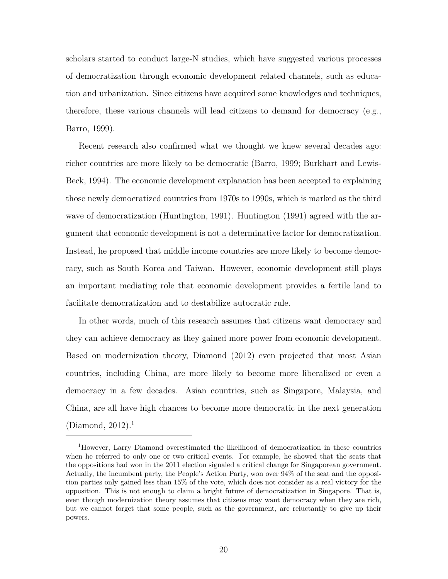scholars started to conduct large-N studies, which have suggested various processes of democratization through economic development related channels, such as education and urbanization. Since citizens have acquired some knowledges and techniques, therefore, these various channels will lead citizens to demand for democracy (e.g., Barro, 1999).

Recent research also confirmed what we thought we knew several decades ago: richer countries are more likely to be democratic (Barro, 1999; Burkhart and Lewis-Beck, 1994). The economic development explanation has been accepted to explaining those newly democratized countries from 1970s to 1990s, which is marked as the third wave of democratization (Huntington, 1991). Huntington (1991) agreed with the argument that economic development is not a determinative factor for democratization. Instead, he proposed that middle income countries are more likely to become democracy, such as South Korea and Taiwan. However, economic development still plays an important mediating role that economic development provides a fertile land to facilitate democratization and to destabilize autocratic rule.

In other words, much of this research assumes that citizens want democracy and they can achieve democracy as they gained more power from economic development. Based on modernization theory, Diamond (2012) even projected that most Asian countries, including China, are more likely to become more liberalized or even a democracy in a few decades. Asian countries, such as Singapore, Malaysia, and China, are all have high chances to become more democratic in the next generation (Diamond,  $2012$ ).<sup>1</sup>

<sup>1</sup>However, Larry Diamond overestimated the likelihood of democratization in these countries when he referred to only one or two critical events. For example, he showed that the seats that the oppositions had won in the 2011 election signaled a critical change for Singaporean government. Actually, the incumbent party, the People's Action Party, won over 94% of the seat and the opposition parties only gained less than 15% of the vote, which does not consider as a real victory for the opposition. This is not enough to claim a bright future of democratization in Singapore. That is, even though modernization theory assumes that citizens may want democracy when they are rich, but we cannot forget that some people, such as the government, are reluctantly to give up their powers.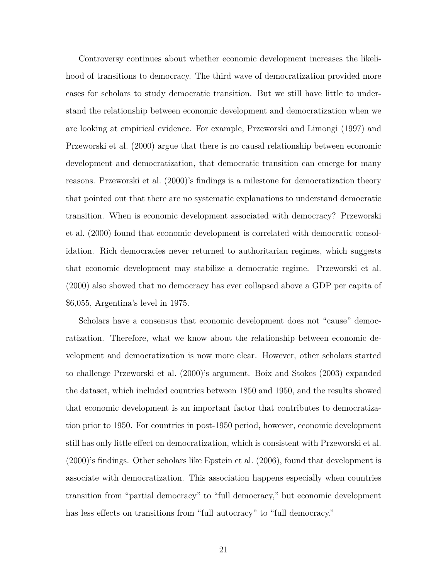Controversy continues about whether economic development increases the likelihood of transitions to democracy. The third wave of democratization provided more cases for scholars to study democratic transition. But we still have little to understand the relationship between economic development and democratization when we are looking at empirical evidence. For example, Przeworski and Limongi (1997) and Przeworski et al. (2000) argue that there is no causal relationship between economic development and democratization, that democratic transition can emerge for many reasons. Przeworski et al. (2000)'s findings is a milestone for democratization theory that pointed out that there are no systematic explanations to understand democratic transition. When is economic development associated with democracy? Przeworski et al. (2000) found that economic development is correlated with democratic consolidation. Rich democracies never returned to authoritarian regimes, which suggests that economic development may stabilize a democratic regime. Przeworski et al. (2000) also showed that no democracy has ever collapsed above a GDP per capita of \$6,055, Argentina's level in 1975.

Scholars have a consensus that economic development does not "cause" democratization. Therefore, what we know about the relationship between economic development and democratization is now more clear. However, other scholars started to challenge Przeworski et al. (2000)'s argument. Boix and Stokes (2003) expanded the dataset, which included countries between 1850 and 1950, and the results showed that economic development is an important factor that contributes to democratization prior to 1950. For countries in post-1950 period, however, economic development still has only little effect on democratization, which is consistent with Przeworski et al. (2000)'s findings. Other scholars like Epstein et al. (2006), found that development is associate with democratization. This association happens especially when countries transition from "partial democracy" to "full democracy," but economic development has less effects on transitions from "full autocracy" to "full democracy."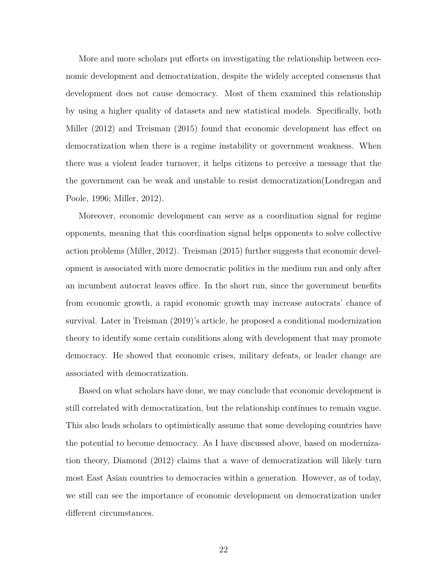More and more scholars put efforts on investigating the relationship between economic development and democratization, despite the widely accepted consensus that development does not cause democracy. Most of them examined this relationship by using a higher quality of datasets and new statistical models. Specifically, both Miller (2012) and Treisman (2015) found that economic development has effect on democratization when there is a regime instability or government weakness. When there was a violent leader turnover, it helps citizens to perceive a message that the the government can be weak and unstable to resist democratization(Londregan and Poole, 1996; Miller, 2012).

Moreover, economic development can serve as a coordination signal for regime opponents, meaning that this coordination signal helps opponents to solve collective action problems (Miller, 2012). Treisman (2015) further suggests that economic development is associated with more democratic politics in the medium run and only after an incumbent autocrat leaves office. In the short run, since the government benefits from economic growth, a rapid economic growth may increase autocrats' chance of survival. Later in Treisman (2019)'s article, he proposed a conditional modernization theory to identify some certain conditions along with development that may promote democracy. He showed that economic crises, military defeats, or leader change are associated with democratization.

Based on what scholars have done, we may conclude that economic development is still correlated with democratization, but the relationship continues to remain vague. This also leads scholars to optimistically assume that some developing countries have the potential to become democracy. As I have discussed above, based on modernization theory, Diamond (2012) claims that a wave of democratization will likely turn most East Asian countries to democracies within a generation. However, as of today, we still can see the importance of economic development on democratization under different circumstances.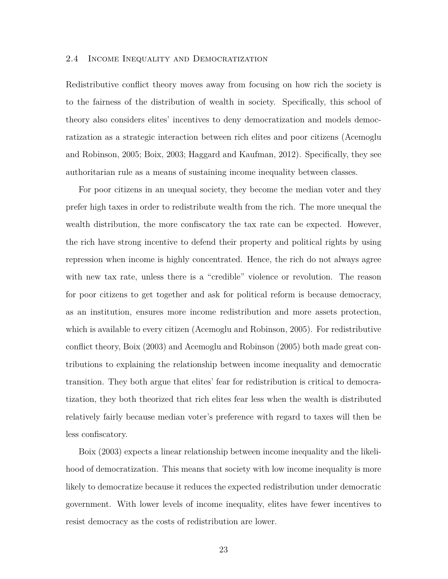#### 2.4 Income Inequality and Democratization

Redistributive conflict theory moves away from focusing on how rich the society is to the fairness of the distribution of wealth in society. Specifically, this school of theory also considers elites' incentives to deny democratization and models democratization as a strategic interaction between rich elites and poor citizens (Acemoglu and Robinson, 2005; Boix, 2003; Haggard and Kaufman, 2012). Specifically, they see authoritarian rule as a means of sustaining income inequality between classes.

For poor citizens in an unequal society, they become the median voter and they prefer high taxes in order to redistribute wealth from the rich. The more unequal the wealth distribution, the more confiscatory the tax rate can be expected. However, the rich have strong incentive to defend their property and political rights by using repression when income is highly concentrated. Hence, the rich do not always agree with new tax rate, unless there is a "credible" violence or revolution. The reason for poor citizens to get together and ask for political reform is because democracy, as an institution, ensures more income redistribution and more assets protection, which is available to every citizen (Acemoglu and Robinson, 2005). For redistributive conflict theory, Boix (2003) and Acemoglu and Robinson (2005) both made great contributions to explaining the relationship between income inequality and democratic transition. They both argue that elites' fear for redistribution is critical to democratization, they both theorized that rich elites fear less when the wealth is distributed relatively fairly because median voter's preference with regard to taxes will then be less confiscatory.

Boix (2003) expects a linear relationship between income inequality and the likelihood of democratization. This means that society with low income inequality is more likely to democratize because it reduces the expected redistribution under democratic government. With lower levels of income inequality, elites have fewer incentives to resist democracy as the costs of redistribution are lower.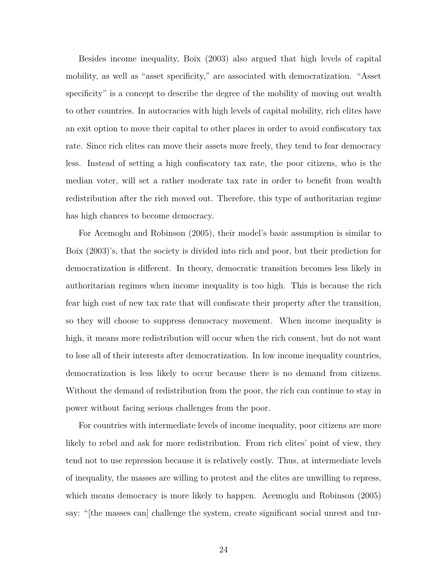Besides income inequality, Boix (2003) also argued that high levels of capital mobility, as well as "asset specificity," are associated with democratization. "Asset specificity" is a concept to describe the degree of the mobility of moving out wealth to other countries. In autocracies with high levels of capital mobility, rich elites have an exit option to move their capital to other places in order to avoid confiscatory tax rate. Since rich elites can move their assets more freely, they tend to fear democracy less. Instead of setting a high confiscatory tax rate, the poor citizens, who is the median voter, will set a rather moderate tax rate in order to benefit from wealth redistribution after the rich moved out. Therefore, this type of authoritarian regime has high chances to become democracy.

For Acemoglu and Robinson (2005), their model's basic assumption is similar to Boix (2003)'s, that the society is divided into rich and poor, but their prediction for democratization is different. In theory, democratic transition becomes less likely in authoritarian regimes when income inequality is too high. This is because the rich fear high cost of new tax rate that will confiscate their property after the transition, so they will choose to suppress democracy movement. When income inequality is high, it means more redistribution will occur when the rich consent, but do not want to lose all of their interests after democratization. In low income inequality countries, democratization is less likely to occur because there is no demand from citizens. Without the demand of redistribution from the poor, the rich can continue to stay in power without facing serious challenges from the poor.

For countries with intermediate levels of income inequality, poor citizens are more likely to rebel and ask for more redistribution. From rich elites' point of view, they tend not to use repression because it is relatively costly. Thus, at intermediate levels of inequality, the masses are willing to protest and the elites are unwilling to repress, which means democracy is more likely to happen. Acemoglu and Robinson (2005) say: "[the masses can] challenge the system, create significant social unrest and tur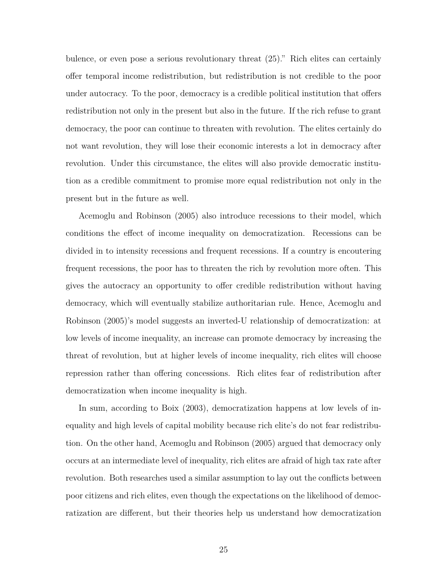bulence, or even pose a serious revolutionary threat (25)." Rich elites can certainly offer temporal income redistribution, but redistribution is not credible to the poor under autocracy. To the poor, democracy is a credible political institution that offers redistribution not only in the present but also in the future. If the rich refuse to grant democracy, the poor can continue to threaten with revolution. The elites certainly do not want revolution, they will lose their economic interests a lot in democracy after revolution. Under this circumstance, the elites will also provide democratic institution as a credible commitment to promise more equal redistribution not only in the present but in the future as well.

Acemoglu and Robinson (2005) also introduce recessions to their model, which conditions the effect of income inequality on democratization. Recessions can be divided in to intensity recessions and frequent recessions. If a country is encoutering frequent recessions, the poor has to threaten the rich by revolution more often. This gives the autocracy an opportunity to offer credible redistribution without having democracy, which will eventually stabilize authoritarian rule. Hence, Acemoglu and Robinson (2005)'s model suggests an inverted-U relationship of democratization: at low levels of income inequality, an increase can promote democracy by increasing the threat of revolution, but at higher levels of income inequality, rich elites will choose repression rather than offering concessions. Rich elites fear of redistribution after democratization when income inequality is high.

In sum, according to Boix (2003), democratization happens at low levels of inequality and high levels of capital mobility because rich elite's do not fear redistribution. On the other hand, Acemoglu and Robinson (2005) argued that democracy only occurs at an intermediate level of inequality, rich elites are afraid of high tax rate after revolution. Both researches used a similar assumption to lay out the conflicts between poor citizens and rich elites, even though the expectations on the likelihood of democratization are different, but their theories help us understand how democratization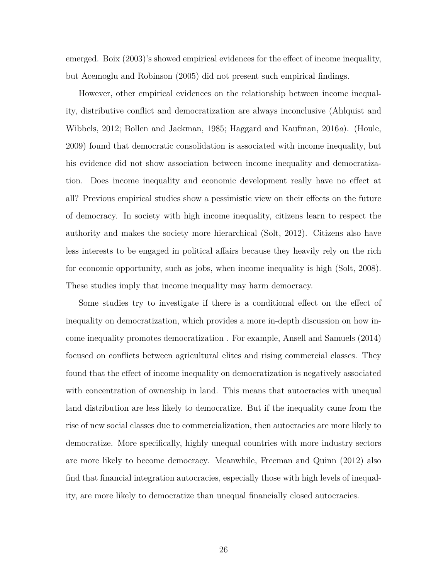emerged. Boix (2003)'s showed empirical evidences for the effect of income inequality, but Acemoglu and Robinson (2005) did not present such empirical findings.

However, other empirical evidences on the relationship between income inequality, distributive conflict and democratization are always inconclusive (Ahlquist and Wibbels, 2012; Bollen and Jackman, 1985; Haggard and Kaufman, 2016*a*). (Houle, 2009) found that democratic consolidation is associated with income inequality, but his evidence did not show association between income inequality and democratization. Does income inequality and economic development really have no effect at all? Previous empirical studies show a pessimistic view on their effects on the future of democracy. In society with high income inequality, citizens learn to respect the authority and makes the society more hierarchical (Solt, 2012). Citizens also have less interests to be engaged in political affairs because they heavily rely on the rich for economic opportunity, such as jobs, when income inequality is high (Solt, 2008). These studies imply that income inequality may harm democracy.

Some studies try to investigate if there is a conditional effect on the effect of inequality on democratization, which provides a more in-depth discussion on how income inequality promotes democratization . For example, Ansell and Samuels (2014) focused on conflicts between agricultural elites and rising commercial classes. They found that the effect of income inequality on democratization is negatively associated with concentration of ownership in land. This means that autocracies with unequal land distribution are less likely to democratize. But if the inequality came from the rise of new social classes due to commercialization, then autocracies are more likely to democratize. More specifically, highly unequal countries with more industry sectors are more likely to become democracy. Meanwhile, Freeman and Quinn (2012) also find that financial integration autocracies, especially those with high levels of inequality, are more likely to democratize than unequal financially closed autocracies.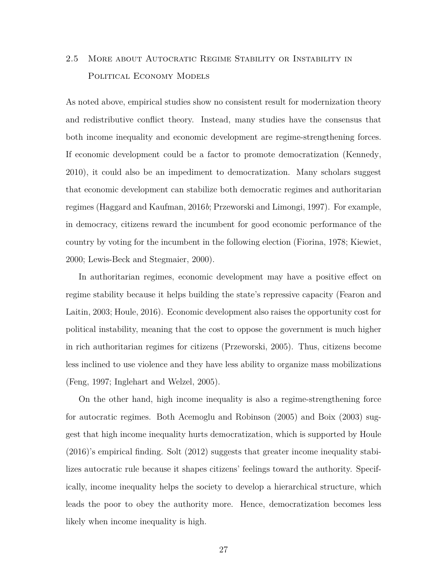# 2.5 More about Autocratic Regime Stability or Instability in POLITICAL ECONOMY MODELS

As noted above, empirical studies show no consistent result for modernization theory and redistributive conflict theory. Instead, many studies have the consensus that both income inequality and economic development are regime-strengthening forces. If economic development could be a factor to promote democratization (Kennedy, 2010), it could also be an impediment to democratization. Many scholars suggest that economic development can stabilize both democratic regimes and authoritarian regimes (Haggard and Kaufman, 2016*b*; Przeworski and Limongi, 1997). For example, in democracy, citizens reward the incumbent for good economic performance of the country by voting for the incumbent in the following election (Fiorina, 1978; Kiewiet, 2000; Lewis-Beck and Stegmaier, 2000).

In authoritarian regimes, economic development may have a positive effect on regime stability because it helps building the state's repressive capacity (Fearon and Laitin, 2003; Houle, 2016). Economic development also raises the opportunity cost for political instability, meaning that the cost to oppose the government is much higher in rich authoritarian regimes for citizens (Przeworski, 2005). Thus, citizens become less inclined to use violence and they have less ability to organize mass mobilizations (Feng, 1997; Inglehart and Welzel, 2005).

On the other hand, high income inequality is also a regime-strengthening force for autocratic regimes. Both Acemoglu and Robinson (2005) and Boix (2003) suggest that high income inequality hurts democratization, which is supported by Houle (2016)'s empirical finding. Solt (2012) suggests that greater income inequality stabilizes autocratic rule because it shapes citizens' feelings toward the authority. Specifically, income inequality helps the society to develop a hierarchical structure, which leads the poor to obey the authority more. Hence, democratization becomes less likely when income inequality is high.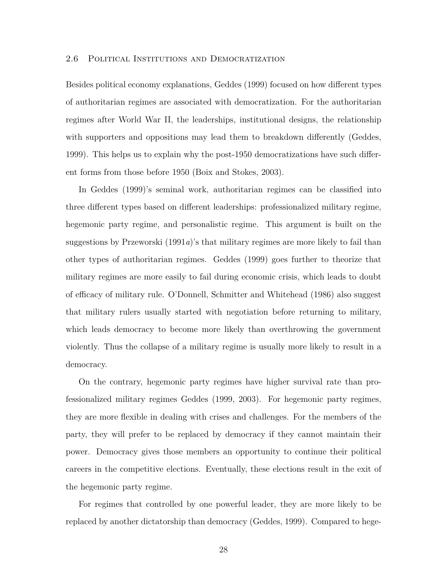### 2.6 Political Institutions and Democratization

Besides political economy explanations, Geddes (1999) focused on how different types of authoritarian regimes are associated with democratization. For the authoritarian regimes after World War II, the leaderships, institutional designs, the relationship with supporters and oppositions may lead them to breakdown differently (Geddes, 1999). This helps us to explain why the post-1950 democratizations have such different forms from those before 1950 (Boix and Stokes, 2003).

In Geddes (1999)'s seminal work, authoritarian regimes can be classified into three different types based on different leaderships: professionalized military regime, hegemonic party regime, and personalistic regime. This argument is built on the suggestions by Przeworski (1991*a*)'s that military regimes are more likely to fail than other types of authoritarian regimes. Geddes (1999) goes further to theorize that military regimes are more easily to fail during economic crisis, which leads to doubt of efficacy of military rule. O'Donnell, Schmitter and Whitehead (1986) also suggest that military rulers usually started with negotiation before returning to military, which leads democracy to become more likely than overthrowing the government violently. Thus the collapse of a military regime is usually more likely to result in a democracy.

On the contrary, hegemonic party regimes have higher survival rate than professionalized military regimes Geddes (1999, 2003). For hegemonic party regimes, they are more flexible in dealing with crises and challenges. For the members of the party, they will prefer to be replaced by democracy if they cannot maintain their power. Democracy gives those members an opportunity to continue their political careers in the competitive elections. Eventually, these elections result in the exit of the hegemonic party regime.

For regimes that controlled by one powerful leader, they are more likely to be replaced by another dictatorship than democracy (Geddes, 1999). Compared to hege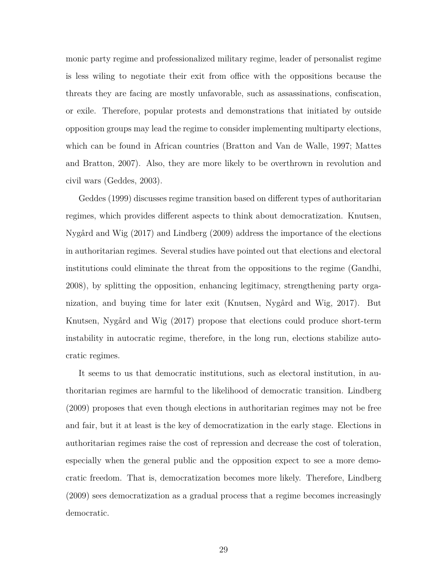monic party regime and professionalized military regime, leader of personalist regime is less wiling to negotiate their exit from office with the oppositions because the threats they are facing are mostly unfavorable, such as assassinations, confiscation, or exile. Therefore, popular protests and demonstrations that initiated by outside opposition groups may lead the regime to consider implementing multiparty elections, which can be found in African countries (Bratton and Van de Walle, 1997; Mattes and Bratton, 2007). Also, they are more likely to be overthrown in revolution and civil wars (Geddes, 2003).

Geddes (1999) discusses regime transition based on different types of authoritarian regimes, which provides different aspects to think about democratization. Knutsen, Nygård and Wig (2017) and Lindberg (2009) address the importance of the elections in authoritarian regimes. Several studies have pointed out that elections and electoral institutions could eliminate the threat from the oppositions to the regime (Gandhi, 2008), by splitting the opposition, enhancing legitimacy, strengthening party organization, and buying time for later exit (Knutsen, Nygård and Wig, 2017). But Knutsen, Nygård and Wig (2017) propose that elections could produce short-term instability in autocratic regime, therefore, in the long run, elections stabilize autocratic regimes.

It seems to us that democratic institutions, such as electoral institution, in authoritarian regimes are harmful to the likelihood of democratic transition. Lindberg (2009) proposes that even though elections in authoritarian regimes may not be free and fair, but it at least is the key of democratization in the early stage. Elections in authoritarian regimes raise the cost of repression and decrease the cost of toleration, especially when the general public and the opposition expect to see a more democratic freedom. That is, democratization becomes more likely. Therefore, Lindberg (2009) sees democratization as a gradual process that a regime becomes increasingly democratic.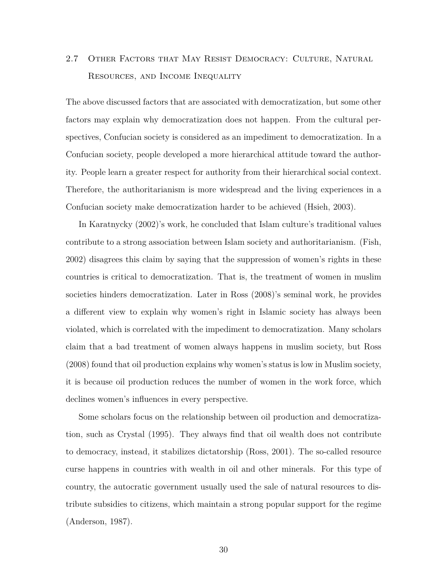# 2.7 Other Factors that May Resist Democracy: Culture, Natural Resources, and Income Inequality

The above discussed factors that are associated with democratization, but some other factors may explain why democratization does not happen. From the cultural perspectives, Confucian society is considered as an impediment to democratization. In a Confucian society, people developed a more hierarchical attitude toward the authority. People learn a greater respect for authority from their hierarchical social context. Therefore, the authoritarianism is more widespread and the living experiences in a Confucian society make democratization harder to be achieved (Hsieh, 2003).

In Karatnycky (2002)'s work, he concluded that Islam culture's traditional values contribute to a strong association between Islam society and authoritarianism. (Fish, 2002) disagrees this claim by saying that the suppression of women's rights in these countries is critical to democratization. That is, the treatment of women in muslim societies hinders democratization. Later in Ross (2008)'s seminal work, he provides a different view to explain why women's right in Islamic society has always been violated, which is correlated with the impediment to democratization. Many scholars claim that a bad treatment of women always happens in muslim society, but Ross (2008) found that oil production explains why women's status is low in Muslim society, it is because oil production reduces the number of women in the work force, which declines women's influences in every perspective.

Some scholars focus on the relationship between oil production and democratization, such as Crystal (1995). They always find that oil wealth does not contribute to democracy, instead, it stabilizes dictatorship (Ross, 2001). The so-called resource curse happens in countries with wealth in oil and other minerals. For this type of country, the autocratic government usually used the sale of natural resources to distribute subsidies to citizens, which maintain a strong popular support for the regime (Anderson, 1987).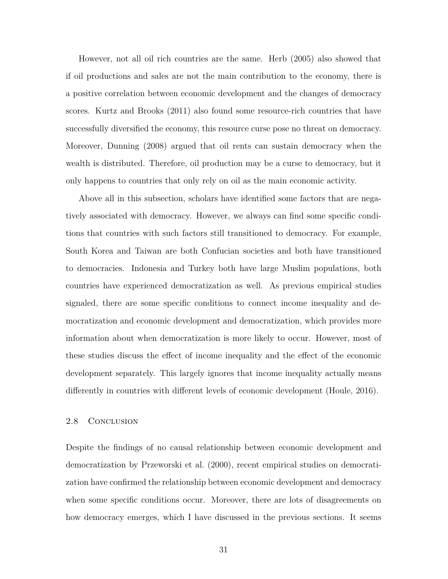However, not all oil rich countries are the same. Herb (2005) also showed that if oil productions and sales are not the main contribution to the economy, there is a positive correlation between economic development and the changes of democracy scores. Kurtz and Brooks (2011) also found some resource-rich countries that have successfully diversified the economy, this resource curse pose no threat on democracy. Moreover, Dunning (2008) argued that oil rents can sustain democracy when the wealth is distributed. Therefore, oil production may be a curse to democracy, but it only happens to countries that only rely on oil as the main economic activity.

Above all in this subsection, scholars have identified some factors that are negatively associated with democracy. However, we always can find some specific conditions that countries with such factors still transitioned to democracy. For example, South Korea and Taiwan are both Confucian societies and both have transitioned to democracies. Indonesia and Turkey both have large Muslim populations, both countries have experienced democratization as well. As previous empirical studies signaled, there are some specific conditions to connect income inequality and democratization and economic development and democratization, which provides more information about when democratization is more likely to occur. However, most of these studies discuss the effect of income inequality and the effect of the economic development separately. This largely ignores that income inequality actually means differently in countries with different levels of economic development (Houle, 2016).

### 2.8 CONCLUSION

Despite the findings of no causal relationship between economic development and democratization by Przeworski et al. (2000), recent empirical studies on democratization have confirmed the relationship between economic development and democracy when some specific conditions occur. Moreover, there are lots of disagreements on how democracy emerges, which I have discussed in the previous sections. It seems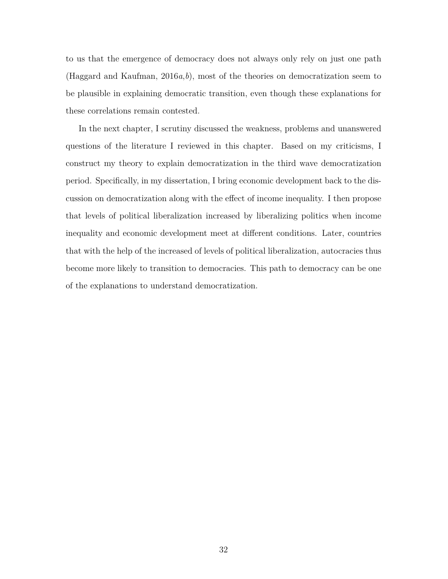to us that the emergence of democracy does not always only rely on just one path (Haggard and Kaufman, 2016*a*,*b*), most of the theories on democratization seem to be plausible in explaining democratic transition, even though these explanations for these correlations remain contested.

In the next chapter, I scrutiny discussed the weakness, problems and unanswered questions of the literature I reviewed in this chapter. Based on my criticisms, I construct my theory to explain democratization in the third wave democratization period. Specifically, in my dissertation, I bring economic development back to the discussion on democratization along with the effect of income inequality. I then propose that levels of political liberalization increased by liberalizing politics when income inequality and economic development meet at different conditions. Later, countries that with the help of the increased of levels of political liberalization, autocracies thus become more likely to transition to democracies. This path to democracy can be one of the explanations to understand democratization.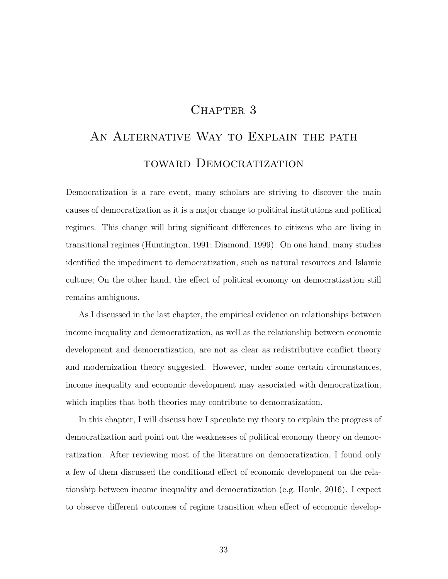### CHAPTER 3

# AN ALTERNATIVE WAY TO EXPLAIN THE PATH toward Democratization

Democratization is a rare event, many scholars are striving to discover the main causes of democratization as it is a major change to political institutions and political regimes. This change will bring significant differences to citizens who are living in transitional regimes (Huntington, 1991; Diamond, 1999). On one hand, many studies identified the impediment to democratization, such as natural resources and Islamic culture; On the other hand, the effect of political economy on democratization still remains ambiguous.

As I discussed in the last chapter, the empirical evidence on relationships between income inequality and democratization, as well as the relationship between economic development and democratization, are not as clear as redistributive conflict theory and modernization theory suggested. However, under some certain circumstances, income inequality and economic development may associated with democratization, which implies that both theories may contribute to democratization.

In this chapter, I will discuss how I speculate my theory to explain the progress of democratization and point out the weaknesses of political economy theory on democratization. After reviewing most of the literature on democratization, I found only a few of them discussed the conditional effect of economic development on the relationship between income inequality and democratization (e.g. Houle, 2016). I expect to observe different outcomes of regime transition when effect of economic develop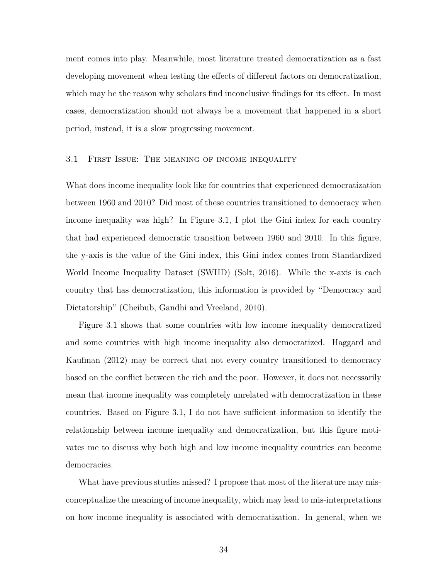ment comes into play. Meanwhile, most literature treated democratization as a fast developing movement when testing the effects of different factors on democratization, which may be the reason why scholars find inconclusive findings for its effect. In most cases, democratization should not always be a movement that happened in a short period, instead, it is a slow progressing movement.

### 3.1 First Issue: The meaning of income inequality

What does income inequality look like for countries that experienced democratization between 1960 and 2010? Did most of these countries transitioned to democracy when income inequality was high? In Figure 3.1, I plot the Gini index for each country that had experienced democratic transition between 1960 and 2010. In this figure, the y-axis is the value of the Gini index, this Gini index comes from Standardized World Income Inequality Dataset (SWIID) (Solt, 2016). While the x-axis is each country that has democratization, this information is provided by "Democracy and Dictatorship" (Cheibub, Gandhi and Vreeland, 2010).

Figure 3.1 shows that some countries with low income inequality democratized and some countries with high income inequality also democratized. Haggard and Kaufman (2012) may be correct that not every country transitioned to democracy based on the conflict between the rich and the poor. However, it does not necessarily mean that income inequality was completely unrelated with democratization in these countries. Based on Figure 3.1, I do not have sufficient information to identify the relationship between income inequality and democratization, but this figure motivates me to discuss why both high and low income inequality countries can become democracies.

What have previous studies missed? I propose that most of the literature may misconceptualize the meaning of income inequality, which may lead to mis-interpretations on how income inequality is associated with democratization. In general, when we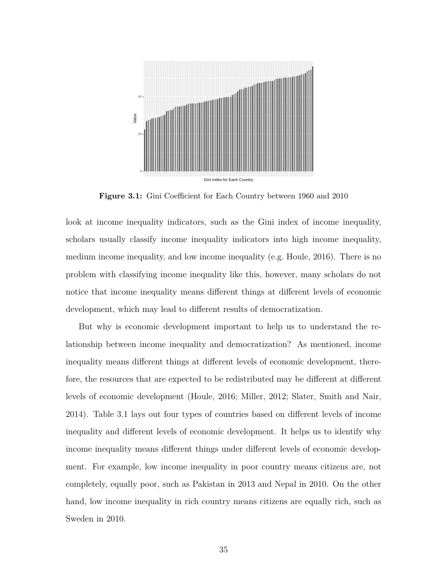

**Figure 3.1:** Gini Coefficient for Each Country between 1960 and 2010

look at income inequality indicators, such as the Gini index of income inequality, scholars usually classify income inequality indicators into high income inequality, medium income inequality, and low income inequality (e.g. Houle, 2016). There is no problem with classifying income inequality like this, however, many scholars do not notice that income inequality means different things at different levels of economic development, which may lead to different results of democratization.

But why is economic development important to help us to understand the relationship between income inequality and democratization? As mentioned, income inequality means different things at different levels of economic development, therefore, the resources that are expected to be redistributed may be different at different levels of economic development (Houle, 2016; Miller, 2012; Slater, Smith and Nair, 2014). Table 3.1 lays out four types of countries based on different levels of income inequality and different levels of economic development. It helps us to identify why income inequality means different things under different levels of economic development. For example, low income inequality in poor country means citizens are, not completely, equally poor, such as Pakistan in 2013 and Nepal in 2010. On the other hand, low income inequality in rich country means citizens are equally rich, such as Sweden in 2010.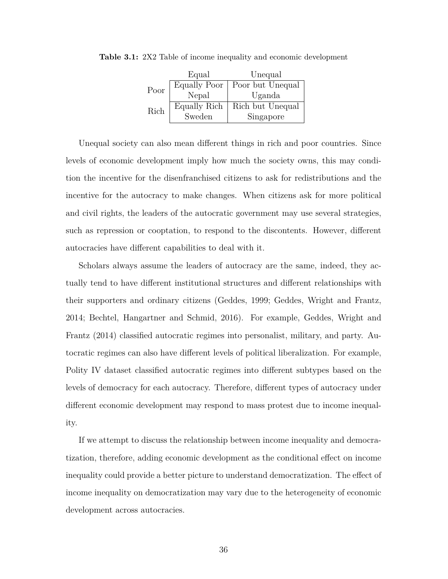|      | Equal        | Unequal          |
|------|--------------|------------------|
| Poor | Equally Poor | Poor but Unequal |
|      | Nepal        | Uganda           |
| Rich | Equally Rich | Rich but Unequal |
|      | Sweden       | Singapore        |

**Table 3.1:** 2X2 Table of income inequality and economic development

Unequal society can also mean different things in rich and poor countries. Since levels of economic development imply how much the society owns, this may condition the incentive for the disenfranchised citizens to ask for redistributions and the incentive for the autocracy to make changes. When citizens ask for more political and civil rights, the leaders of the autocratic government may use several strategies, such as repression or cooptation, to respond to the discontents. However, different autocracies have different capabilities to deal with it.

Scholars always assume the leaders of autocracy are the same, indeed, they actually tend to have different institutional structures and different relationships with their supporters and ordinary citizens (Geddes, 1999; Geddes, Wright and Frantz, 2014; Bechtel, Hangartner and Schmid, 2016). For example, Geddes, Wright and Frantz (2014) classified autocratic regimes into personalist, military, and party. Autocratic regimes can also have different levels of political liberalization. For example, Polity IV dataset classified autocratic regimes into different subtypes based on the levels of democracy for each autocracy. Therefore, different types of autocracy under different economic development may respond to mass protest due to income inequality.

If we attempt to discuss the relationship between income inequality and democratization, therefore, adding economic development as the conditional effect on income inequality could provide a better picture to understand democratization. The effect of income inequality on democratization may vary due to the heterogeneity of economic development across autocracies.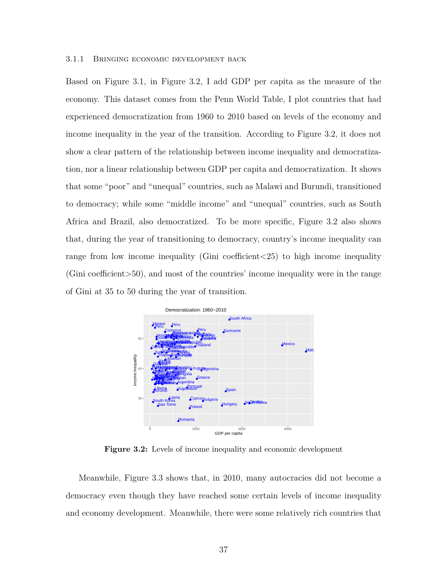#### 3.1.1 Bringing economic development back

Based on Figure 3.1, in Figure 3.2, I add GDP per capita as the measure of the economy. This dataset comes from the Penn World Table, I plot countries that had experienced democratization from 1960 to 2010 based on levels of the economy and income inequality in the year of the transition. According to Figure 3.2, it does not show a clear pattern of the relationship between income inequality and democratization, nor a linear relationship between GDP per capita and democratization. It shows that some "poor" and "unequal" countries, such as Malawi and Burundi, transitioned to democracy; while some "middle income" and "unequal" countries, such as South Africa and Brazil, also democratized. To be more specific, Figure 3.2 also shows that, during the year of transitioning to democracy, country's income inequality can range from low income inequality (Gini coefficient*<*25) to high income inequality (Gini coefficient*>*50), and most of the countries' income inequality were in the range of Gini at 35 to 50 during the year of transition.



**Figure 3.2:** Levels of income inequality and economic development

Meanwhile, Figure 3.3 shows that, in 2010, many autocracies did not become a democracy even though they have reached some certain levels of income inequality and economy development. Meanwhile, there were some relatively rich countries that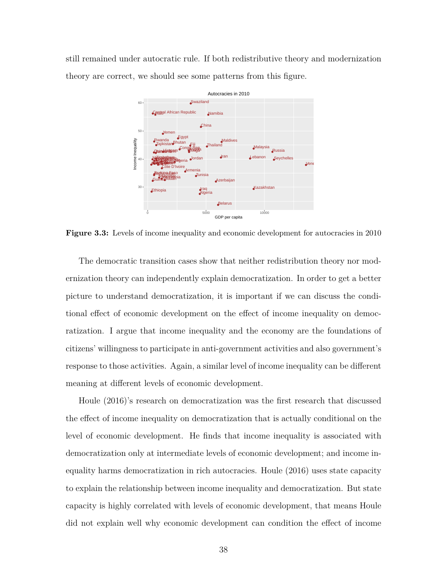still remained under autocratic rule. If both redistributive theory and modernization theory are correct, we should see some patterns from this figure.



**Figure 3.3:** Levels of income inequality and economic development for autocracies in 2010

The democratic transition cases show that neither redistribution theory nor modernization theory can independently explain democratization. In order to get a better picture to understand democratization, it is important if we can discuss the conditional effect of economic development on the effect of income inequality on democratization. I argue that income inequality and the economy are the foundations of citizens' willingness to participate in anti-government activities and also government's response to those activities. Again, a similar level of income inequality can be different meaning at different levels of economic development.

Houle (2016)'s research on democratization was the first research that discussed the effect of income inequality on democratization that is actually conditional on the level of economic development. He finds that income inequality is associated with democratization only at intermediate levels of economic development; and income inequality harms democratization in rich autocracies. Houle (2016) uses state capacity to explain the relationship between income inequality and democratization. But state capacity is highly correlated with levels of economic development, that means Houle did not explain well why economic development can condition the effect of income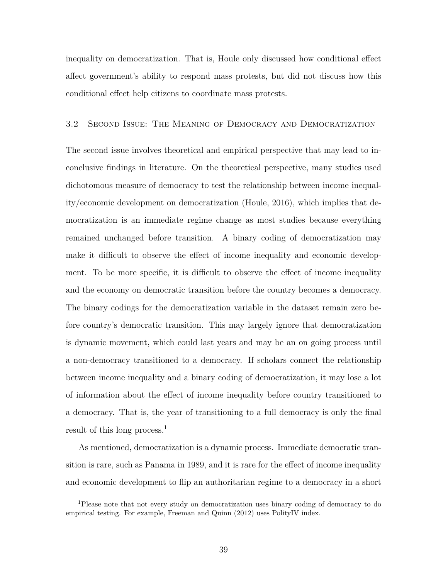inequality on democratization. That is, Houle only discussed how conditional effect affect government's ability to respond mass protests, but did not discuss how this conditional effect help citizens to coordinate mass protests.

### 3.2 Second Issue: The Meaning of Democracy and Democratization

The second issue involves theoretical and empirical perspective that may lead to inconclusive findings in literature. On the theoretical perspective, many studies used dichotomous measure of democracy to test the relationship between income inequality/economic development on democratization (Houle, 2016), which implies that democratization is an immediate regime change as most studies because everything remained unchanged before transition. A binary coding of democratization may make it difficult to observe the effect of income inequality and economic development. To be more specific, it is difficult to observe the effect of income inequality and the economy on democratic transition before the country becomes a democracy. The binary codings for the democratization variable in the dataset remain zero before country's democratic transition. This may largely ignore that democratization is dynamic movement, which could last years and may be an on going process until a non-democracy transitioned to a democracy. If scholars connect the relationship between income inequality and a binary coding of democratization, it may lose a lot of information about the effect of income inequality before country transitioned to a democracy. That is, the year of transitioning to a full democracy is only the final result of this long process.<sup>1</sup>

As mentioned, democratization is a dynamic process. Immediate democratic transition is rare, such as Panama in 1989, and it is rare for the effect of income inequality and economic development to flip an authoritarian regime to a democracy in a short

<sup>1</sup>Please note that not every study on democratization uses binary coding of democracy to do empirical testing. For example, Freeman and Quinn (2012) uses PolityIV index.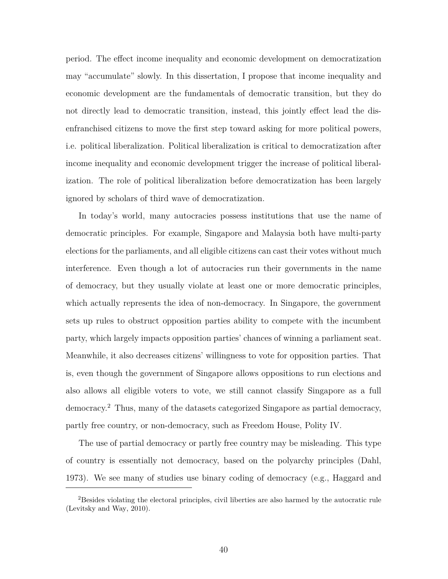period. The effect income inequality and economic development on democratization may "accumulate" slowly. In this dissertation, I propose that income inequality and economic development are the fundamentals of democratic transition, but they do not directly lead to democratic transition, instead, this jointly effect lead the disenfranchised citizens to move the first step toward asking for more political powers, i.e. political liberalization. Political liberalization is critical to democratization after income inequality and economic development trigger the increase of political liberalization. The role of political liberalization before democratization has been largely ignored by scholars of third wave of democratization.

In today's world, many autocracies possess institutions that use the name of democratic principles. For example, Singapore and Malaysia both have multi-party elections for the parliaments, and all eligible citizens can cast their votes without much interference. Even though a lot of autocracies run their governments in the name of democracy, but they usually violate at least one or more democratic principles, which actually represents the idea of non-democracy. In Singapore, the government sets up rules to obstruct opposition parties ability to compete with the incumbent party, which largely impacts opposition parties' chances of winning a parliament seat. Meanwhile, it also decreases citizens' willingness to vote for opposition parties. That is, even though the government of Singapore allows oppositions to run elections and also allows all eligible voters to vote, we still cannot classify Singapore as a full democracy.<sup>2</sup> Thus, many of the datasets categorized Singapore as partial democracy, partly free country, or non-democracy, such as Freedom House, Polity IV.

The use of partial democracy or partly free country may be misleading. This type of country is essentially not democracy, based on the polyarchy principles (Dahl, 1973). We see many of studies use binary coding of democracy (e.g., Haggard and

<sup>&</sup>lt;sup>2</sup>Besides violating the electoral principles, civil liberties are also harmed by the autocratic rule (Levitsky and Way, 2010).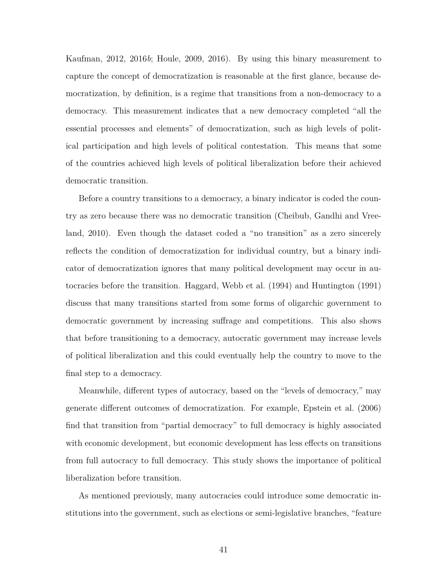Kaufman, 2012, 2016*b*; Houle, 2009, 2016). By using this binary measurement to capture the concept of democratization is reasonable at the first glance, because democratization, by definition, is a regime that transitions from a non-democracy to a democracy. This measurement indicates that a new democracy completed "all the essential processes and elements" of democratization, such as high levels of political participation and high levels of political contestation. This means that some of the countries achieved high levels of political liberalization before their achieved democratic transition.

Before a country transitions to a democracy, a binary indicator is coded the country as zero because there was no democratic transition (Cheibub, Gandhi and Vreeland, 2010). Even though the dataset coded a "no transition" as a zero sincerely reflects the condition of democratization for individual country, but a binary indicator of democratization ignores that many political development may occur in autocracies before the transition. Haggard, Webb et al. (1994) and Huntington (1991) discuss that many transitions started from some forms of oligarchic government to democratic government by increasing suffrage and competitions. This also shows that before transitioning to a democracy, autocratic government may increase levels of political liberalization and this could eventually help the country to move to the final step to a democracy.

Meanwhile, different types of autocracy, based on the "levels of democracy," may generate different outcomes of democratization. For example, Epstein et al. (2006) find that transition from "partial democracy" to full democracy is highly associated with economic development, but economic development has less effects on transitions from full autocracy to full democracy. This study shows the importance of political liberalization before transition.

As mentioned previously, many autocracies could introduce some democratic institutions into the government, such as elections or semi-legislative branches, "feature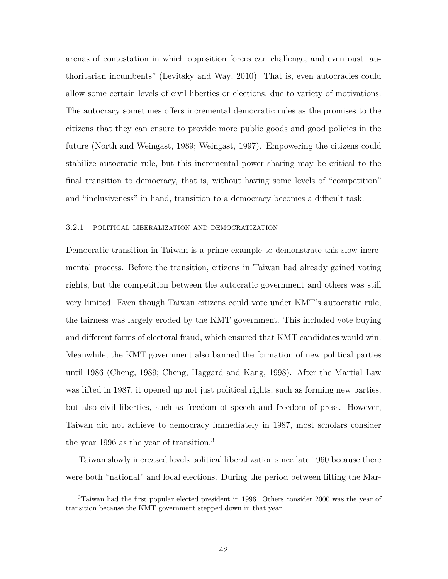arenas of contestation in which opposition forces can challenge, and even oust, authoritarian incumbents" (Levitsky and Way, 2010). That is, even autocracies could allow some certain levels of civil liberties or elections, due to variety of motivations. The autocracy sometimes offers incremental democratic rules as the promises to the citizens that they can ensure to provide more public goods and good policies in the future (North and Weingast, 1989; Weingast, 1997). Empowering the citizens could stabilize autocratic rule, but this incremental power sharing may be critical to the final transition to democracy, that is, without having some levels of "competition" and "inclusiveness" in hand, transition to a democracy becomes a difficult task.

#### 3.2.1 political liberalization and democratization

Democratic transition in Taiwan is a prime example to demonstrate this slow incremental process. Before the transition, citizens in Taiwan had already gained voting rights, but the competition between the autocratic government and others was still very limited. Even though Taiwan citizens could vote under KMT's autocratic rule, the fairness was largely eroded by the KMT government. This included vote buying and different forms of electoral fraud, which ensured that KMT candidates would win. Meanwhile, the KMT government also banned the formation of new political parties until 1986 (Cheng, 1989; Cheng, Haggard and Kang, 1998). After the Martial Law was lifted in 1987, it opened up not just political rights, such as forming new parties, but also civil liberties, such as freedom of speech and freedom of press. However, Taiwan did not achieve to democracy immediately in 1987, most scholars consider the year 1996 as the year of transition.<sup>3</sup>

Taiwan slowly increased levels political liberalization since late 1960 because there were both "national" and local elections. During the period between lifting the Mar-

<sup>3</sup>Taiwan had the first popular elected president in 1996. Others consider 2000 was the year of transition because the KMT government stepped down in that year.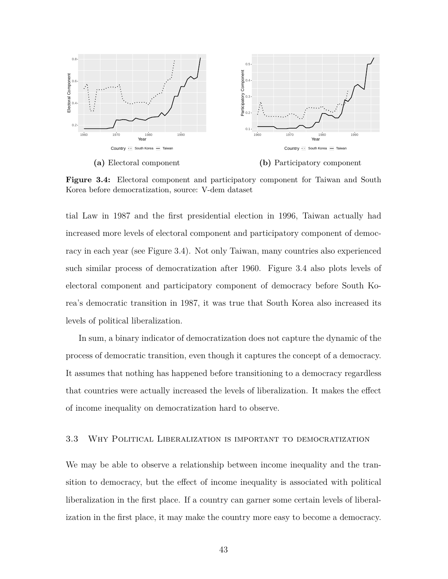

**Figure 3.4:** Electoral component and participatory component for Taiwan and South Korea before democratization, source: V-dem dataset

tial Law in 1987 and the first presidential election in 1996, Taiwan actually had increased more levels of electoral component and participatory component of democracy in each year (see Figure 3.4). Not only Taiwan, many countries also experienced such similar process of democratization after 1960. Figure 3.4 also plots levels of electoral component and participatory component of democracy before South Korea's democratic transition in 1987, it was true that South Korea also increased its levels of political liberalization.

In sum, a binary indicator of democratization does not capture the dynamic of the process of democratic transition, even though it captures the concept of a democracy. It assumes that nothing has happened before transitioning to a democracy regardless that countries were actually increased the levels of liberalization. It makes the effect of income inequality on democratization hard to observe.

### 3.3 Why Political Liberalization is important to democratization

We may be able to observe a relationship between income inequality and the transition to democracy, but the effect of income inequality is associated with political liberalization in the first place. If a country can garner some certain levels of liberalization in the first place, it may make the country more easy to become a democracy.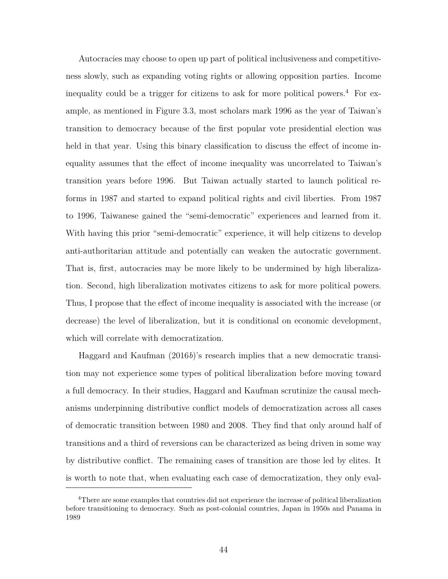Autocracies may choose to open up part of political inclusiveness and competitiveness slowly, such as expanding voting rights or allowing opposition parties. Income inequality could be a trigger for citizens to ask for more political powers.<sup>4</sup> For example, as mentioned in Figure 3.3, most scholars mark 1996 as the year of Taiwan's transition to democracy because of the first popular vote presidential election was held in that year. Using this binary classification to discuss the effect of income inequality assumes that the effect of income inequality was uncorrelated to Taiwan's transition years before 1996. But Taiwan actually started to launch political reforms in 1987 and started to expand political rights and civil liberties. From 1987 to 1996, Taiwanese gained the "semi-democratic" experiences and learned from it. With having this prior "semi-democratic" experience, it will help citizens to develop anti-authoritarian attitude and potentially can weaken the autocratic government. That is, first, autocracies may be more likely to be undermined by high liberalization. Second, high liberalization motivates citizens to ask for more political powers. Thus, I propose that the effect of income inequality is associated with the increase (or decrease) the level of liberalization, but it is conditional on economic development, which will correlate with democratization.

Haggard and Kaufman (2016*b*)'s research implies that a new democratic transition may not experience some types of political liberalization before moving toward a full democracy. In their studies, Haggard and Kaufman scrutinize the causal mechanisms underpinning distributive conflict models of democratization across all cases of democratic transition between 1980 and 2008. They find that only around half of transitions and a third of reversions can be characterized as being driven in some way by distributive conflict. The remaining cases of transition are those led by elites. It is worth to note that, when evaluating each case of democratization, they only eval-

<sup>4</sup>There are some examples that countries did not experience the increase of political liberalization before transitioning to democracy. Such as post-colonial countries, Japan in 1950s and Panama in 1989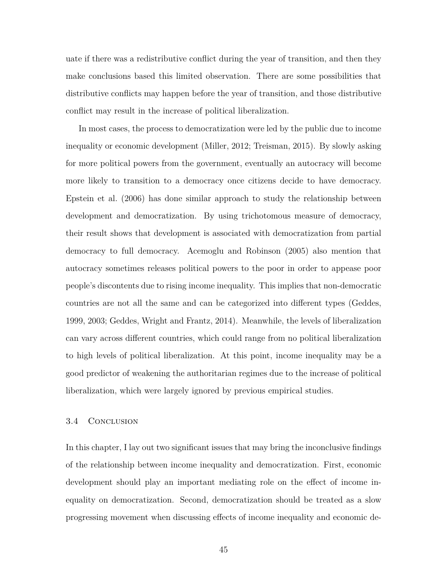uate if there was a redistributive conflict during the year of transition, and then they make conclusions based this limited observation. There are some possibilities that distributive conflicts may happen before the year of transition, and those distributive conflict may result in the increase of political liberalization.

In most cases, the process to democratization were led by the public due to income inequality or economic development (Miller, 2012; Treisman, 2015). By slowly asking for more political powers from the government, eventually an autocracy will become more likely to transition to a democracy once citizens decide to have democracy. Epstein et al. (2006) has done similar approach to study the relationship between development and democratization. By using trichotomous measure of democracy, their result shows that development is associated with democratization from partial democracy to full democracy. Acemoglu and Robinson (2005) also mention that autocracy sometimes releases political powers to the poor in order to appease poor people's discontents due to rising income inequality. This implies that non-democratic countries are not all the same and can be categorized into different types (Geddes, 1999, 2003; Geddes, Wright and Frantz, 2014). Meanwhile, the levels of liberalization can vary across different countries, which could range from no political liberalization to high levels of political liberalization. At this point, income inequality may be a good predictor of weakening the authoritarian regimes due to the increase of political liberalization, which were largely ignored by previous empirical studies.

### 3.4 Conclusion

In this chapter, I lay out two significant issues that may bring the inconclusive findings of the relationship between income inequality and democratization. First, economic development should play an important mediating role on the effect of income inequality on democratization. Second, democratization should be treated as a slow progressing movement when discussing effects of income inequality and economic de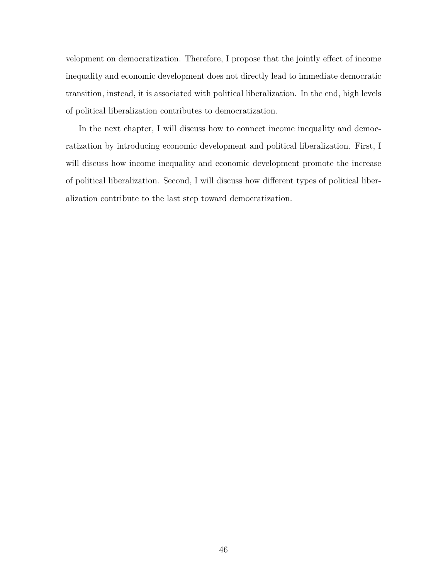velopment on democratization. Therefore, I propose that the jointly effect of income inequality and economic development does not directly lead to immediate democratic transition, instead, it is associated with political liberalization. In the end, high levels of political liberalization contributes to democratization.

In the next chapter, I will discuss how to connect income inequality and democratization by introducing economic development and political liberalization. First, I will discuss how income inequality and economic development promote the increase of political liberalization. Second, I will discuss how different types of political liberalization contribute to the last step toward democratization.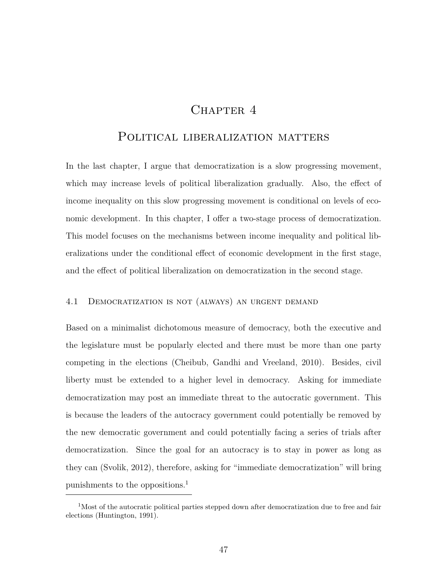### CHAPTER<sub>4</sub>

### POLITICAL LIBERALIZATION MATTERS

In the last chapter, I argue that democratization is a slow progressing movement, which may increase levels of political liberalization gradually. Also, the effect of income inequality on this slow progressing movement is conditional on levels of economic development. In this chapter, I offer a two-stage process of democratization. This model focuses on the mechanisms between income inequality and political liberalizations under the conditional effect of economic development in the first stage, and the effect of political liberalization on democratization in the second stage.

### 4.1 Democratization is not (always) an urgent demand

Based on a minimalist dichotomous measure of democracy, both the executive and the legislature must be popularly elected and there must be more than one party competing in the elections (Cheibub, Gandhi and Vreeland, 2010). Besides, civil liberty must be extended to a higher level in democracy. Asking for immediate democratization may post an immediate threat to the autocratic government. This is because the leaders of the autocracy government could potentially be removed by the new democratic government and could potentially facing a series of trials after democratization. Since the goal for an autocracy is to stay in power as long as they can (Svolik, 2012), therefore, asking for "immediate democratization" will bring punishments to the oppositions.<sup>1</sup>

<sup>&</sup>lt;sup>1</sup>Most of the autocratic political parties stepped down after democratization due to free and fair elections (Huntington, 1991).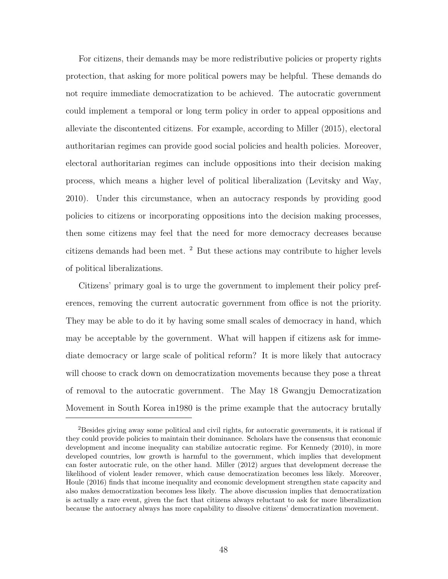For citizens, their demands may be more redistributive policies or property rights protection, that asking for more political powers may be helpful. These demands do not require immediate democratization to be achieved. The autocratic government could implement a temporal or long term policy in order to appeal oppositions and alleviate the discontented citizens. For example, according to Miller (2015), electoral authoritarian regimes can provide good social policies and health policies. Moreover, electoral authoritarian regimes can include oppositions into their decision making process, which means a higher level of political liberalization (Levitsky and Way, 2010). Under this circumstance, when an autocracy responds by providing good policies to citizens or incorporating oppositions into the decision making processes, then some citizens may feel that the need for more democracy decreases because citizens demands had been met. <sup>2</sup> But these actions may contribute to higher levels of political liberalizations.

Citizens' primary goal is to urge the government to implement their policy preferences, removing the current autocratic government from office is not the priority. They may be able to do it by having some small scales of democracy in hand, which may be acceptable by the government. What will happen if citizens ask for immediate democracy or large scale of political reform? It is more likely that autocracy will choose to crack down on democratization movements because they pose a threat of removal to the autocratic government. The May 18 Gwangju Democratization Movement in South Korea in1980 is the prime example that the autocracy brutally

<sup>&</sup>lt;sup>2</sup>Besides giving away some political and civil rights, for autocratic governments, it is rational if they could provide policies to maintain their dominance. Scholars have the consensus that economic development and income inequality can stabilize autocratic regime. For Kennedy (2010), in more developed countries, low growth is harmful to the government, which implies that development can foster autocratic rule, on the other hand. Miller (2012) argues that development decrease the likelihood of violent leader remover, which cause democratization becomes less likely. Moreover, Houle (2016) finds that income inequality and economic development strengthen state capacity and also makes democratization becomes less likely. The above discussion implies that democratization is actually a rare event, given the fact that citizens always reluctant to ask for more liberalization because the autocracy always has more capability to dissolve citizens' democratization movement.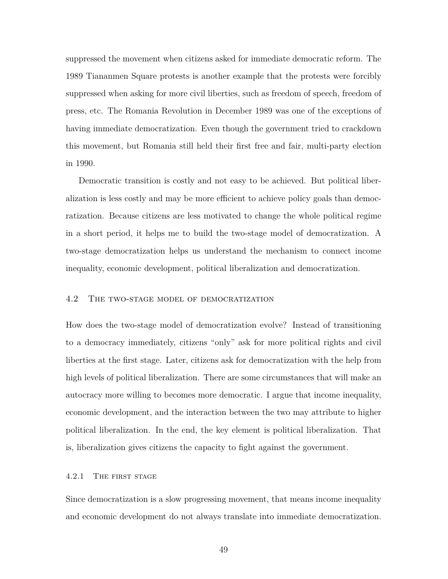suppressed the movement when citizens asked for immediate democratic reform. The 1989 Tiananmen Square protests is another example that the protests were forcibly suppressed when asking for more civil liberties, such as freedom of speech, freedom of press, etc. The Romania Revolution in December 1989 was one of the exceptions of having immediate democratization. Even though the government tried to crackdown this movement, but Romania still held their first free and fair, multi-party election in 1990.

Democratic transition is costly and not easy to be achieved. But political liberalization is less costly and may be more efficient to achieve policy goals than democratization. Because citizens are less motivated to change the whole political regime in a short period, it helps me to build the two-stage model of democratization. A two-stage democratization helps us understand the mechanism to connect income inequality, economic development, political liberalization and democratization.

### 4.2 The two-stage model of democratization

How does the two-stage model of democratization evolve? Instead of transitioning to a democracy immediately, citizens "only" ask for more political rights and civil liberties at the first stage. Later, citizens ask for democratization with the help from high levels of political liberalization. There are some circumstances that will make an autocracy more willing to becomes more democratic. I argue that income inequality, economic development, and the interaction between the two may attribute to higher political liberalization. In the end, the key element is political liberalization. That is, liberalization gives citizens the capacity to fight against the government.

### 4.2.1 The first stage

Since democratization is a slow progressing movement, that means income inequality and economic development do not always translate into immediate democratization.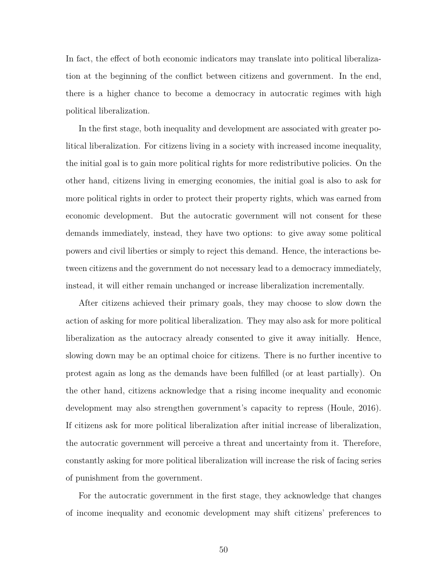In fact, the effect of both economic indicators may translate into political liberalization at the beginning of the conflict between citizens and government. In the end, there is a higher chance to become a democracy in autocratic regimes with high political liberalization.

In the first stage, both inequality and development are associated with greater political liberalization. For citizens living in a society with increased income inequality, the initial goal is to gain more political rights for more redistributive policies. On the other hand, citizens living in emerging economies, the initial goal is also to ask for more political rights in order to protect their property rights, which was earned from economic development. But the autocratic government will not consent for these demands immediately, instead, they have two options: to give away some political powers and civil liberties or simply to reject this demand. Hence, the interactions between citizens and the government do not necessary lead to a democracy immediately, instead, it will either remain unchanged or increase liberalization incrementally.

After citizens achieved their primary goals, they may choose to slow down the action of asking for more political liberalization. They may also ask for more political liberalization as the autocracy already consented to give it away initially. Hence, slowing down may be an optimal choice for citizens. There is no further incentive to protest again as long as the demands have been fulfilled (or at least partially). On the other hand, citizens acknowledge that a rising income inequality and economic development may also strengthen government's capacity to repress (Houle, 2016). If citizens ask for more political liberalization after initial increase of liberalization, the autocratic government will perceive a threat and uncertainty from it. Therefore, constantly asking for more political liberalization will increase the risk of facing series of punishment from the government.

For the autocratic government in the first stage, they acknowledge that changes of income inequality and economic development may shift citizens' preferences to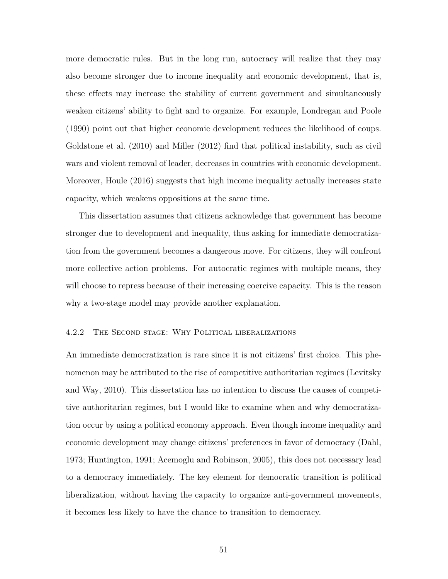more democratic rules. But in the long run, autocracy will realize that they may also become stronger due to income inequality and economic development, that is, these effects may increase the stability of current government and simultaneously weaken citizens' ability to fight and to organize. For example, Londregan and Poole (1990) point out that higher economic development reduces the likelihood of coups. Goldstone et al. (2010) and Miller (2012) find that political instability, such as civil wars and violent removal of leader, decreases in countries with economic development. Moreover, Houle (2016) suggests that high income inequality actually increases state capacity, which weakens oppositions at the same time.

This dissertation assumes that citizens acknowledge that government has become stronger due to development and inequality, thus asking for immediate democratization from the government becomes a dangerous move. For citizens, they will confront more collective action problems. For autocratic regimes with multiple means, they will choose to repress because of their increasing coercive capacity. This is the reason why a two-stage model may provide another explanation.

### 4.2.2 The Second stage: Why Political liberalizations

An immediate democratization is rare since it is not citizens' first choice. This phenomenon may be attributed to the rise of competitive authoritarian regimes (Levitsky and Way, 2010). This dissertation has no intention to discuss the causes of competitive authoritarian regimes, but I would like to examine when and why democratization occur by using a political economy approach. Even though income inequality and economic development may change citizens' preferences in favor of democracy (Dahl, 1973; Huntington, 1991; Acemoglu and Robinson, 2005), this does not necessary lead to a democracy immediately. The key element for democratic transition is political liberalization, without having the capacity to organize anti-government movements, it becomes less likely to have the chance to transition to democracy.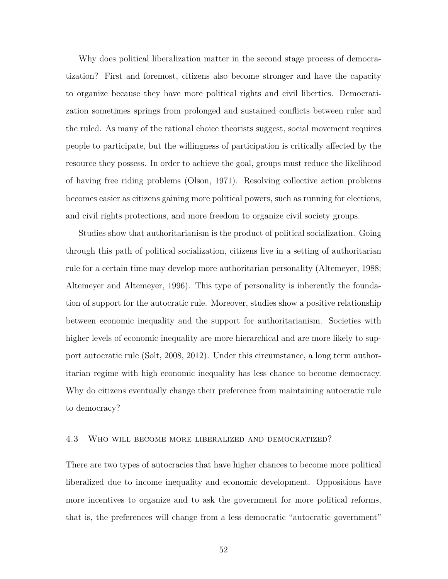Why does political liberalization matter in the second stage process of democratization? First and foremost, citizens also become stronger and have the capacity to organize because they have more political rights and civil liberties. Democratization sometimes springs from prolonged and sustained conflicts between ruler and the ruled. As many of the rational choice theorists suggest, social movement requires people to participate, but the willingness of participation is critically affected by the resource they possess. In order to achieve the goal, groups must reduce the likelihood of having free riding problems (Olson, 1971). Resolving collective action problems becomes easier as citizens gaining more political powers, such as running for elections, and civil rights protections, and more freedom to organize civil society groups.

Studies show that authoritarianism is the product of political socialization. Going through this path of political socialization, citizens live in a setting of authoritarian rule for a certain time may develop more authoritarian personality (Altemeyer, 1988; Altemeyer and Altemeyer, 1996). This type of personality is inherently the foundation of support for the autocratic rule. Moreover, studies show a positive relationship between economic inequality and the support for authoritarianism. Societies with higher levels of economic inequality are more hierarchical and are more likely to support autocratic rule (Solt, 2008, 2012). Under this circumstance, a long term authoritarian regime with high economic inequality has less chance to become democracy. Why do citizens eventually change their preference from maintaining autocratic rule to democracy?

### 4.3 Who will become more liberalized and democratized?

There are two types of autocracies that have higher chances to become more political liberalized due to income inequality and economic development. Oppositions have more incentives to organize and to ask the government for more political reforms, that is, the preferences will change from a less democratic "autocratic government"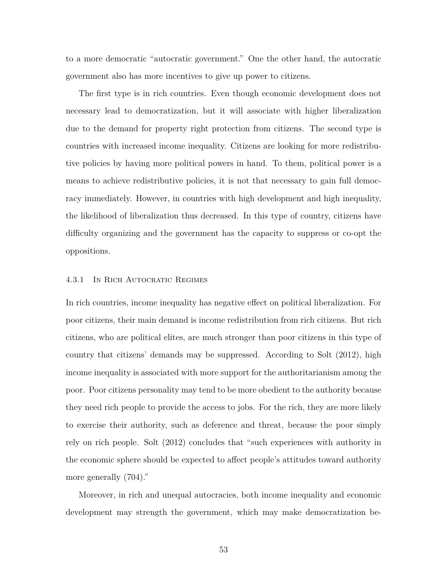to a more democratic "autocratic government." One the other hand, the autocratic government also has more incentives to give up power to citizens.

The first type is in rich countries. Even though economic development does not necessary lead to democratization, but it will associate with higher liberalization due to the demand for property right protection from citizens. The second type is countries with increased income inequality. Citizens are looking for more redistributive policies by having more political powers in hand. To them, political power is a means to achieve redistributive policies, it is not that necessary to gain full democracy immediately. However, in countries with high development and high inequality, the likelihood of liberalization thus decreased. In this type of country, citizens have difficulty organizing and the government has the capacity to suppress or co-opt the oppositions.

#### 4.3.1 In Rich Autocratic Regimes

In rich countries, income inequality has negative effect on political liberalization. For poor citizens, their main demand is income redistribution from rich citizens. But rich citizens, who are political elites, are much stronger than poor citizens in this type of country that citizens' demands may be suppressed. According to Solt (2012), high income inequality is associated with more support for the authoritarianism among the poor. Poor citizens personality may tend to be more obedient to the authority because they need rich people to provide the access to jobs. For the rich, they are more likely to exercise their authority, such as deference and threat, because the poor simply rely on rich people. Solt (2012) concludes that "such experiences with authority in the economic sphere should be expected to affect people's attitudes toward authority more generally (704)."

Moreover, in rich and unequal autocracies, both income inequality and economic development may strength the government, which may make democratization be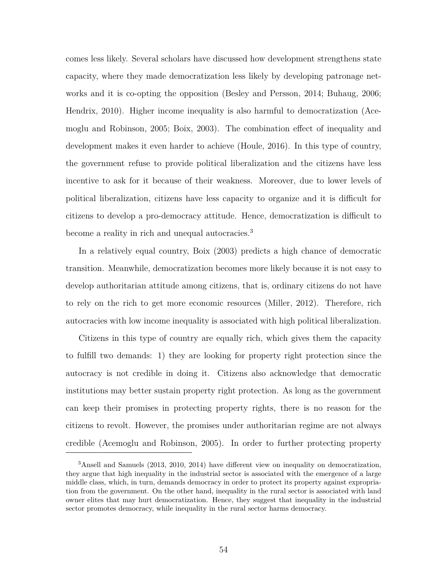comes less likely. Several scholars have discussed how development strengthens state capacity, where they made democratization less likely by developing patronage networks and it is co-opting the opposition (Besley and Persson, 2014; Buhaug, 2006; Hendrix, 2010). Higher income inequality is also harmful to democratization (Acemoglu and Robinson, 2005; Boix, 2003). The combination effect of inequality and development makes it even harder to achieve (Houle, 2016). In this type of country, the government refuse to provide political liberalization and the citizens have less incentive to ask for it because of their weakness. Moreover, due to lower levels of political liberalization, citizens have less capacity to organize and it is difficult for citizens to develop a pro-democracy attitude. Hence, democratization is difficult to become a reality in rich and unequal autocracies.<sup>3</sup>

In a relatively equal country, Boix (2003) predicts a high chance of democratic transition. Meanwhile, democratization becomes more likely because it is not easy to develop authoritarian attitude among citizens, that is, ordinary citizens do not have to rely on the rich to get more economic resources (Miller, 2012). Therefore, rich autocracies with low income inequality is associated with high political liberalization.

Citizens in this type of country are equally rich, which gives them the capacity to fulfill two demands: 1) they are looking for property right protection since the autocracy is not credible in doing it. Citizens also acknowledge that democratic institutions may better sustain property right protection. As long as the government can keep their promises in protecting property rights, there is no reason for the citizens to revolt. However, the promises under authoritarian regime are not always credible (Acemoglu and Robinson, 2005). In order to further protecting property

<sup>3</sup>Ansell and Samuels (2013, 2010, 2014) have different view on inequality on democratization, they argue that high inequality in the industrial sector is associated with the emergence of a large middle class, which, in turn, demands democracy in order to protect its property against expropriation from the government. On the other hand, inequality in the rural sector is associated with land owner elites that may hurt democratization. Hence, they suggest that inequality in the industrial sector promotes democracy, while inequality in the rural sector harms democracy.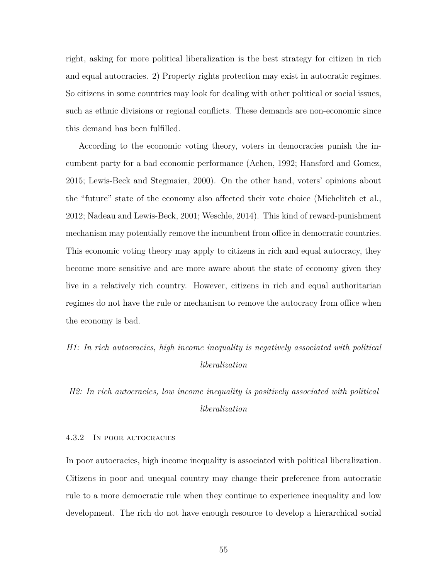right, asking for more political liberalization is the best strategy for citizen in rich and equal autocracies. 2) Property rights protection may exist in autocratic regimes. So citizens in some countries may look for dealing with other political or social issues, such as ethnic divisions or regional conflicts. These demands are non-economic since this demand has been fulfilled.

According to the economic voting theory, voters in democracies punish the incumbent party for a bad economic performance (Achen, 1992; Hansford and Gomez, 2015; Lewis-Beck and Stegmaier, 2000). On the other hand, voters' opinions about the "future" state of the economy also affected their vote choice (Michelitch et al., 2012; Nadeau and Lewis-Beck, 2001; Weschle, 2014). This kind of reward-punishment mechanism may potentially remove the incumbent from office in democratic countries. This economic voting theory may apply to citizens in rich and equal autocracy, they become more sensitive and are more aware about the state of economy given they live in a relatively rich country. However, citizens in rich and equal authoritarian regimes do not have the rule or mechanism to remove the autocracy from office when the economy is bad.

# *H1: In rich autocracies, high income inequality is negatively associated with political liberalization*

# *H2: In rich autocracies, low income inequality is positively associated with political liberalization*

#### 4.3.2 In poor autocracies

In poor autocracies, high income inequality is associated with political liberalization. Citizens in poor and unequal country may change their preference from autocratic rule to a more democratic rule when they continue to experience inequality and low development. The rich do not have enough resource to develop a hierarchical social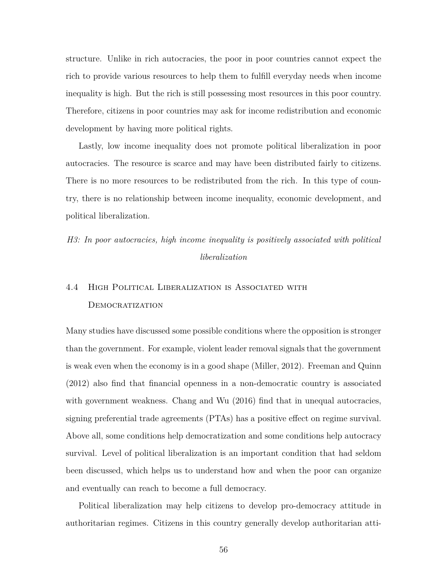structure. Unlike in rich autocracies, the poor in poor countries cannot expect the rich to provide various resources to help them to fulfill everyday needs when income inequality is high. But the rich is still possessing most resources in this poor country. Therefore, citizens in poor countries may ask for income redistribution and economic development by having more political rights.

Lastly, low income inequality does not promote political liberalization in poor autocracies. The resource is scarce and may have been distributed fairly to citizens. There is no more resources to be redistributed from the rich. In this type of country, there is no relationship between income inequality, economic development, and political liberalization.

# *H3: In poor autocracies, high income inequality is positively associated with political liberalization*

# 4.4 High Political Liberalization is Associated with **DEMOCRATIZATION**

Many studies have discussed some possible conditions where the opposition is stronger than the government. For example, violent leader removal signals that the government is weak even when the economy is in a good shape (Miller, 2012). Freeman and Quinn (2012) also find that financial openness in a non-democratic country is associated with government weakness. Chang and Wu (2016) find that in unequal autocracies, signing preferential trade agreements (PTAs) has a positive effect on regime survival. Above all, some conditions help democratization and some conditions help autocracy survival. Level of political liberalization is an important condition that had seldom been discussed, which helps us to understand how and when the poor can organize and eventually can reach to become a full democracy.

Political liberalization may help citizens to develop pro-democracy attitude in authoritarian regimes. Citizens in this country generally develop authoritarian atti-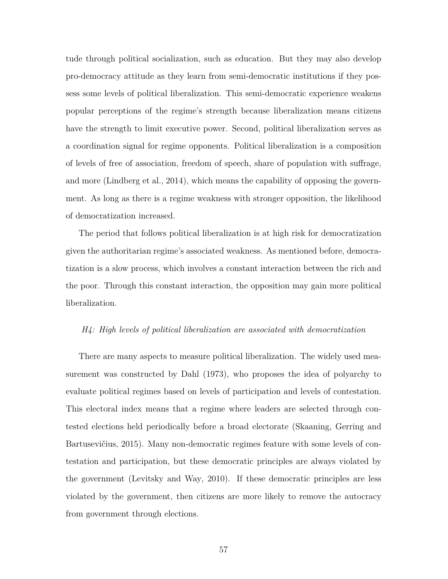tude through political socialization, such as education. But they may also develop pro-democracy attitude as they learn from semi-democratic institutions if they possess some levels of political liberalization. This semi-democratic experience weakens popular perceptions of the regime's strength because liberalization means citizens have the strength to limit executive power. Second, political liberalization serves as a coordination signal for regime opponents. Political liberalization is a composition of levels of free of association, freedom of speech, share of population with suffrage, and more (Lindberg et al., 2014), which means the capability of opposing the government. As long as there is a regime weakness with stronger opposition, the likelihood of democratization increased.

The period that follows political liberalization is at high risk for democratization given the authoritarian regime's associated weakness. As mentioned before, democratization is a slow process, which involves a constant interaction between the rich and the poor. Through this constant interaction, the opposition may gain more political liberalization.

### *H4: High levels of political liberalization are associated with democratization*

There are many aspects to measure political liberalization. The widely used measurement was constructed by Dahl (1973), who proposes the idea of polyarchy to evaluate political regimes based on levels of participation and levels of contestation. This electoral index means that a regime where leaders are selected through contested elections held periodically before a broad electorate (Skaaning, Gerring and Bartusevičius, 2015). Many non-democratic regimes feature with some levels of contestation and participation, but these democratic principles are always violated by the government (Levitsky and Way, 2010). If these democratic principles are less violated by the government, then citizens are more likely to remove the autocracy from government through elections.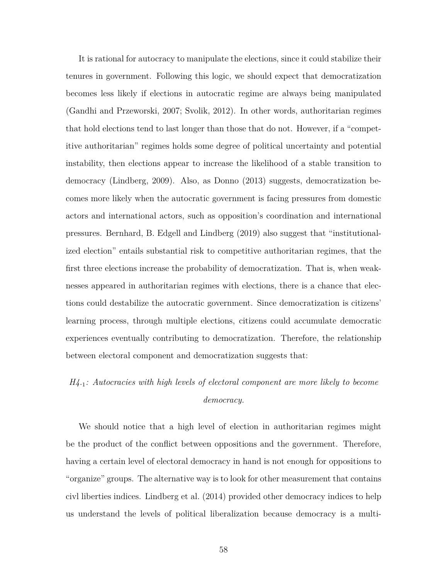It is rational for autocracy to manipulate the elections, since it could stabilize their tenures in government. Following this logic, we should expect that democratization becomes less likely if elections in autocratic regime are always being manipulated (Gandhi and Przeworski, 2007; Svolik, 2012). In other words, authoritarian regimes that hold elections tend to last longer than those that do not. However, if a "competitive authoritarian" regimes holds some degree of political uncertainty and potential instability, then elections appear to increase the likelihood of a stable transition to democracy (Lindberg, 2009). Also, as Donno (2013) suggests, democratization becomes more likely when the autocratic government is facing pressures from domestic actors and international actors, such as opposition's coordination and international pressures. Bernhard, B. Edgell and Lindberg (2019) also suggest that "institutionalized election" entails substantial risk to competitive authoritarian regimes, that the first three elections increase the probability of democratization. That is, when weaknesses appeared in authoritarian regimes with elections, there is a chance that elections could destabilize the autocratic government. Since democratization is citizens' learning process, through multiple elections, citizens could accumulate democratic experiences eventually contributing to democratization. Therefore, the relationship between electoral component and democratization suggests that:

# *H4.*1*: Autocracies with high levels of electoral component are more likely to become democracy.*

We should notice that a high level of election in authoritarian regimes might be the product of the conflict between oppositions and the government. Therefore, having a certain level of electoral democracy in hand is not enough for oppositions to "organize" groups. The alternative way is to look for other measurement that contains civl liberties indices. Lindberg et al. (2014) provided other democracy indices to help us understand the levels of political liberalization because democracy is a multi-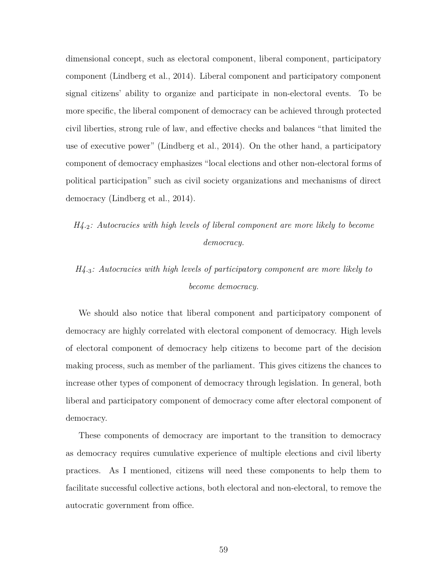dimensional concept, such as electoral component, liberal component, participatory component (Lindberg et al., 2014). Liberal component and participatory component signal citizens' ability to organize and participate in non-electoral events. To be more specific, the liberal component of democracy can be achieved through protected civil liberties, strong rule of law, and effective checks and balances "that limited the use of executive power" (Lindberg et al., 2014). On the other hand, a participatory component of democracy emphasizes "local elections and other non-electoral forms of political participation" such as civil society organizations and mechanisms of direct democracy (Lindberg et al., 2014).

# *H4.*2*: Autocracies with high levels of liberal component are more likely to become democracy.*

# *H4.*3*: Autocracies with high levels of participatory component are more likely to become democracy.*

We should also notice that liberal component and participatory component of democracy are highly correlated with electoral component of democracy. High levels of electoral component of democracy help citizens to become part of the decision making process, such as member of the parliament. This gives citizens the chances to increase other types of component of democracy through legislation. In general, both liberal and participatory component of democracy come after electoral component of democracy.

These components of democracy are important to the transition to democracy as democracy requires cumulative experience of multiple elections and civil liberty practices. As I mentioned, citizens will need these components to help them to facilitate successful collective actions, both electoral and non-electoral, to remove the autocratic government from office.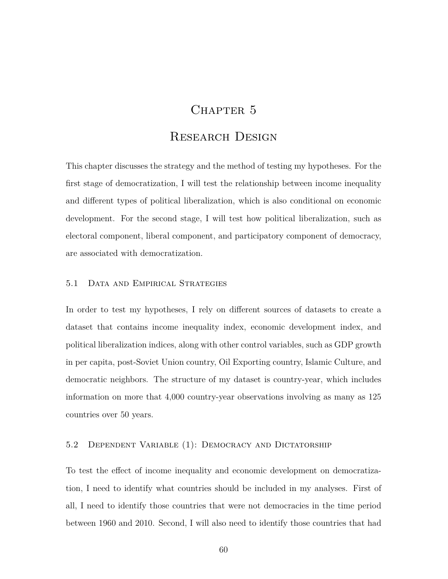# CHAPTER 5

# Research Design

This chapter discusses the strategy and the method of testing my hypotheses. For the first stage of democratization, I will test the relationship between income inequality and different types of political liberalization, which is also conditional on economic development. For the second stage, I will test how political liberalization, such as electoral component, liberal component, and participatory component of democracy, are associated with democratization.

## 5.1 Data and Empirical Strategies

In order to test my hypotheses, I rely on different sources of datasets to create a dataset that contains income inequality index, economic development index, and political liberalization indices, along with other control variables, such as GDP growth in per capita, post-Soviet Union country, Oil Exporting country, Islamic Culture, and democratic neighbors. The structure of my dataset is country-year, which includes information on more that 4,000 country-year observations involving as many as 125 countries over 50 years.

# 5.2 Dependent Variable (1): Democracy and Dictatorship

To test the effect of income inequality and economic development on democratization, I need to identify what countries should be included in my analyses. First of all, I need to identify those countries that were not democracies in the time period between 1960 and 2010. Second, I will also need to identify those countries that had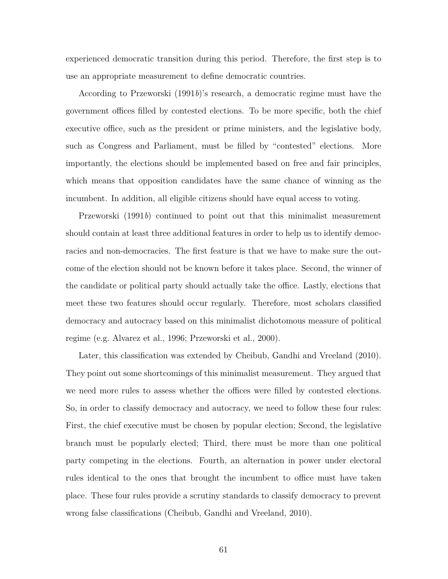experienced democratic transition during this period. Therefore, the first step is to use an appropriate measurement to define democratic countries.

According to Przeworski (1991*b*)'s research, a democratic regime must have the government offices filled by contested elections. To be more specific, both the chief executive office, such as the president or prime ministers, and the legislative body, such as Congress and Parliament, must be filled by "contested" elections. More importantly, the elections should be implemented based on free and fair principles, which means that opposition candidates have the same chance of winning as the incumbent. In addition, all eligible citizens should have equal access to voting.

Przeworski (1991*b*) continued to point out that this minimalist measurement should contain at least three additional features in order to help us to identify democracies and non-democracies. The first feature is that we have to make sure the outcome of the election should not be known before it takes place. Second, the winner of the candidate or political party should actually take the office. Lastly, elections that meet these two features should occur regularly. Therefore, most scholars classified democracy and autocracy based on this minimalist dichotomous measure of political regime (e.g. Alvarez et al., 1996; Przeworski et al., 2000).

Later, this classification was extended by Cheibub, Gandhi and Vreeland (2010). They point out some shortcomings of this minimalist measurement. They argued that we need more rules to assess whether the offices were filled by contested elections. So, in order to classify democracy and autocracy, we need to follow these four rules: First, the chief executive must be chosen by popular election; Second, the legislative branch must be popularly elected; Third, there must be more than one political party competing in the elections. Fourth, an alternation in power under electoral rules identical to the ones that brought the incumbent to office must have taken place. These four rules provide a scrutiny standards to classify democracy to prevent wrong false classifications (Cheibub, Gandhi and Vreeland, 2010).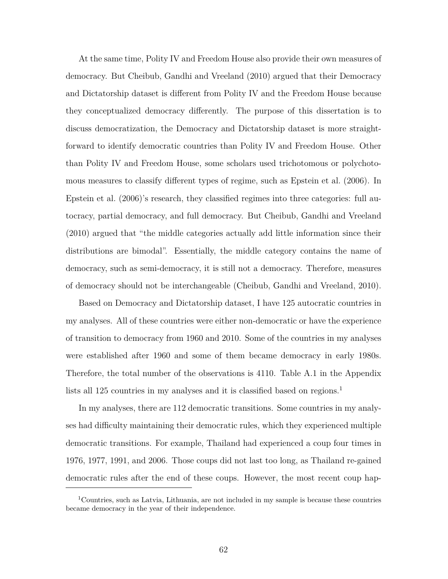At the same time, Polity IV and Freedom House also provide their own measures of democracy. But Cheibub, Gandhi and Vreeland (2010) argued that their Democracy and Dictatorship dataset is different from Polity IV and the Freedom House because they conceptualized democracy differently. The purpose of this dissertation is to discuss democratization, the Democracy and Dictatorship dataset is more straightforward to identify democratic countries than Polity IV and Freedom House. Other than Polity IV and Freedom House, some scholars used trichotomous or polychotomous measures to classify different types of regime, such as Epstein et al. (2006). In Epstein et al. (2006)'s research, they classified regimes into three categories: full autocracy, partial democracy, and full democracy. But Cheibub, Gandhi and Vreeland (2010) argued that "the middle categories actually add little information since their distributions are bimodal". Essentially, the middle category contains the name of democracy, such as semi-democracy, it is still not a democracy. Therefore, measures of democracy should not be interchangeable (Cheibub, Gandhi and Vreeland, 2010).

Based on Democracy and Dictatorship dataset, I have 125 autocratic countries in my analyses. All of these countries were either non-democratic or have the experience of transition to democracy from 1960 and 2010. Some of the countries in my analyses were established after 1960 and some of them became democracy in early 1980s. Therefore, the total number of the observations is 4110. Table A.1 in the Appendix lists all 125 countries in my analyses and it is classified based on regions.<sup>1</sup>

In my analyses, there are 112 democratic transitions. Some countries in my analyses had difficulty maintaining their democratic rules, which they experienced multiple democratic transitions. For example, Thailand had experienced a coup four times in 1976, 1977, 1991, and 2006. Those coups did not last too long, as Thailand re-gained democratic rules after the end of these coups. However, the most recent coup hap-

<sup>&</sup>lt;sup>1</sup>Countries, such as Latvia, Lithuania, are not included in my sample is because these countries became democracy in the year of their independence.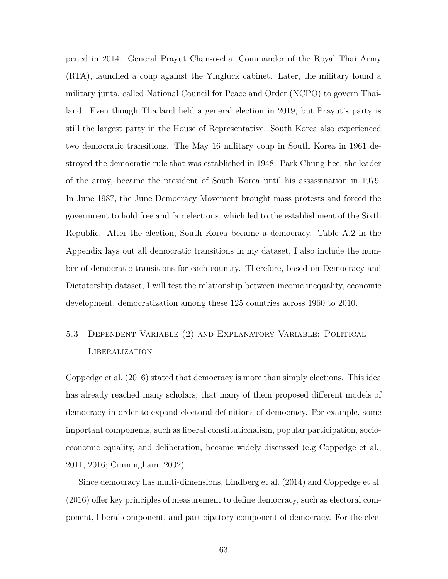pened in 2014. General Prayut Chan-o-cha, Commander of the Royal Thai Army (RTA), launched a coup against the Yingluck cabinet. Later, the military found a military junta, called National Council for Peace and Order (NCPO) to govern Thailand. Even though Thailand held a general election in 2019, but Prayut's party is still the largest party in the House of Representative. South Korea also experienced two democratic transitions. The May 16 military coup in South Korea in 1961 destroyed the democratic rule that was established in 1948. Park Chung-hee, the leader of the army, became the president of South Korea until his assassination in 1979. In June 1987, the June Democracy Movement brought mass protests and forced the government to hold free and fair elections, which led to the establishment of the Sixth Republic. After the election, South Korea became a democracy. Table A.2 in the Appendix lays out all democratic transitions in my dataset, I also include the number of democratic transitions for each country. Therefore, based on Democracy and Dictatorship dataset, I will test the relationship between income inequality, economic development, democratization among these 125 countries across 1960 to 2010.

# 5.3 Dependent Variable (2) and Explanatory Variable: Political Liberalization

Coppedge et al. (2016) stated that democracy is more than simply elections. This idea has already reached many scholars, that many of them proposed different models of democracy in order to expand electoral definitions of democracy. For example, some important components, such as liberal constitutionalism, popular participation, socioeconomic equality, and deliberation, became widely discussed (e.g Coppedge et al., 2011, 2016; Cunningham, 2002).

Since democracy has multi-dimensions, Lindberg et al. (2014) and Coppedge et al. (2016) offer key principles of measurement to define democracy, such as electoral component, liberal component, and participatory component of democracy. For the elec-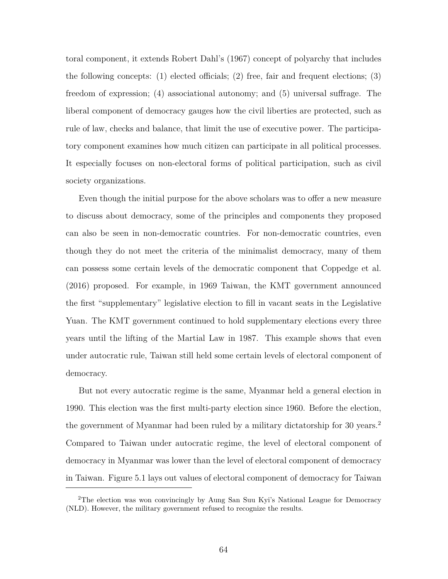toral component, it extends Robert Dahl's (1967) concept of polyarchy that includes the following concepts: (1) elected officials; (2) free, fair and frequent elections; (3) freedom of expression; (4) associational autonomy; and (5) universal suffrage. The liberal component of democracy gauges how the civil liberties are protected, such as rule of law, checks and balance, that limit the use of executive power. The participatory component examines how much citizen can participate in all political processes. It especially focuses on non-electoral forms of political participation, such as civil society organizations.

Even though the initial purpose for the above scholars was to offer a new measure to discuss about democracy, some of the principles and components they proposed can also be seen in non-democratic countries. For non-democratic countries, even though they do not meet the criteria of the minimalist democracy, many of them can possess some certain levels of the democratic component that Coppedge et al. (2016) proposed. For example, in 1969 Taiwan, the KMT government announced the first "supplementary" legislative election to fill in vacant seats in the Legislative Yuan. The KMT government continued to hold supplementary elections every three years until the lifting of the Martial Law in 1987. This example shows that even under autocratic rule, Taiwan still held some certain levels of electoral component of democracy.

But not every autocratic regime is the same, Myanmar held a general election in 1990. This election was the first multi-party election since 1960. Before the election, the government of Myanmar had been ruled by a military dictatorship for 30 years.<sup>2</sup> Compared to Taiwan under autocratic regime, the level of electoral component of democracy in Myanmar was lower than the level of electoral component of democracy in Taiwan. Figure 5.1 lays out values of electoral component of democracy for Taiwan

<sup>2</sup>The election was won convincingly by Aung San Suu Kyi's National League for Democracy (NLD). However, the military government refused to recognize the results.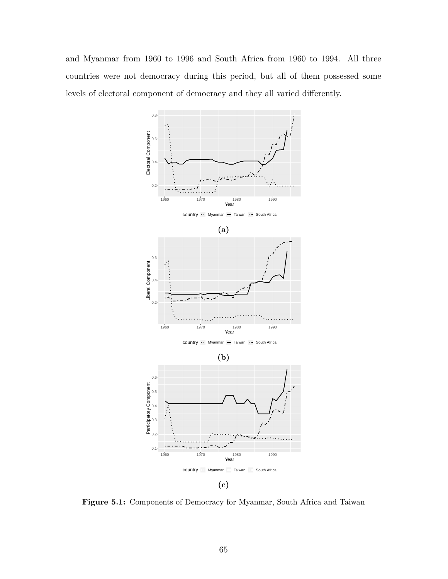and Myanmar from 1960 to 1996 and South Africa from 1960 to 1994. All three countries were not democracy during this period, but all of them possessed some levels of electoral component of democracy and they all varied differently.



**Figure 5.1:** Components of Democracy for Myanmar, South Africa and Taiwan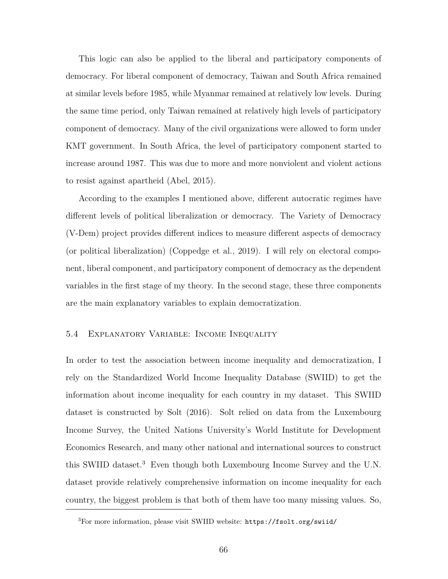This logic can also be applied to the liberal and participatory components of democracy. For liberal component of democracy, Taiwan and South Africa remained at similar levels before 1985, while Myanmar remained at relatively low levels. During the same time period, only Taiwan remained at relatively high levels of participatory component of democracy. Many of the civil organizations were allowed to form under KMT government. In South Africa, the level of participatory component started to increase around 1987. This was due to more and more nonviolent and violent actions to resist against apartheid (Abel, 2015).

According to the examples I mentioned above, different autocratic regimes have different levels of political liberalization or democracy. The Variety of Democracy (V-Dem) project provides different indices to measure different aspects of democracy (or political liberalization) (Coppedge et al., 2019). I will rely on electoral component, liberal component, and participatory component of democracy as the dependent variables in the first stage of my theory. In the second stage, these three components are the main explanatory variables to explain democratization.

## 5.4 Explanatory Variable: Income Inequality

In order to test the association between income inequality and democratization, I rely on the Standardized World Income Inequality Database (SWIID) to get the information about income inequality for each country in my dataset. This SWIID dataset is constructed by Solt (2016). Solt relied on data from the Luxembourg Income Survey, the United Nations University's World Institute for Development Economics Research, and many other national and international sources to construct this SWIID dataset.<sup>3</sup> Even though both Luxembourg Income Survey and the U.N. dataset provide relatively comprehensive information on income inequality for each country, the biggest problem is that both of them have too many missing values. So,

<sup>3</sup>For more information, please visit SWIID website: https://fsolt.org/swiid/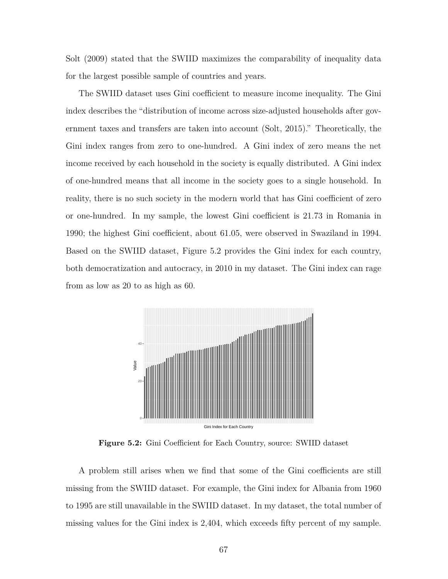Solt (2009) stated that the SWIID maximizes the comparability of inequality data for the largest possible sample of countries and years.

The SWIID dataset uses Gini coefficient to measure income inequality. The Gini index describes the "distribution of income across size-adjusted households after government taxes and transfers are taken into account (Solt, 2015)." Theoretically, the Gini index ranges from zero to one-hundred. A Gini index of zero means the net income received by each household in the society is equally distributed. A Gini index of one-hundred means that all income in the society goes to a single household. In reality, there is no such society in the modern world that has Gini coefficient of zero or one-hundred. In my sample, the lowest Gini coefficient is 21.73 in Romania in 1990; the highest Gini coefficient, about 61.05, were observed in Swaziland in 1994. Based on the SWIID dataset, Figure 5.2 provides the Gini index for each country, both democratization and autocracy, in 2010 in my dataset. The Gini index can rage from as low as 20 to as high as 60.



**Figure 5.2:** Gini Coefficient for Each Country, source: SWIID dataset

A problem still arises when we find that some of the Gini coefficients are still missing from the SWIID dataset. For example, the Gini index for Albania from 1960 to 1995 are still unavailable in the SWIID dataset. In my dataset, the total number of missing values for the Gini index is 2,404, which exceeds fifty percent of my sample.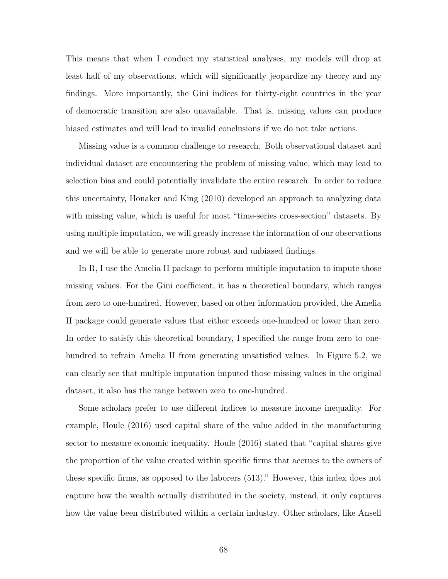This means that when I conduct my statistical analyses, my models will drop at least half of my observations, which will significantly jeopardize my theory and my findings. More importantly, the Gini indices for thirty-eight countries in the year of democratic transition are also unavailable. That is, missing values can produce biased estimates and will lead to invalid conclusions if we do not take actions.

Missing value is a common challenge to research. Both observational dataset and individual dataset are encountering the problem of missing value, which may lead to selection bias and could potentially invalidate the entire research. In order to reduce this uncertainty, Honaker and King (2010) developed an approach to analyzing data with missing value, which is useful for most "time-series cross-section" datasets. By using multiple imputation, we will greatly increase the information of our observations and we will be able to generate more robust and unbiased findings.

In R, I use the Amelia II package to perform multiple imputation to impute those missing values. For the Gini coefficient, it has a theoretical boundary, which ranges from zero to one-hundred. However, based on other information provided, the Amelia II package could generate values that either exceeds one-hundred or lower than zero. In order to satisfy this theoretical boundary, I specified the range from zero to onehundred to refrain Amelia II from generating unsatisfied values. In Figure 5.2, we can clearly see that multiple imputation imputed those missing values in the original dataset, it also has the range between zero to one-hundred.

Some scholars prefer to use different indices to measure income inequality. For example, Houle (2016) used capital share of the value added in the manufacturing sector to measure economic inequality. Houle (2016) stated that "capital shares give the proportion of the value created within specific firms that accrues to the owners of these specific firms, as opposed to the laborers (513)." However, this index does not capture how the wealth actually distributed in the society, instead, it only captures how the value been distributed within a certain industry. Other scholars, like Ansell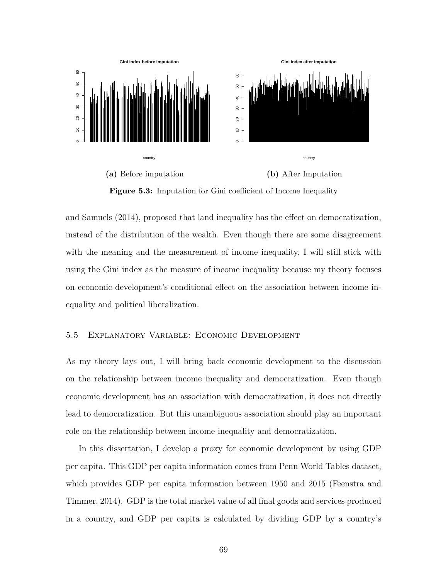

**Figure 5.3:** Imputation for Gini coefficient of Income Inequality

and Samuels (2014), proposed that land inequality has the effect on democratization, instead of the distribution of the wealth. Even though there are some disagreement with the meaning and the measurement of income inequality, I will still stick with using the Gini index as the measure of income inequality because my theory focuses on economic development's conditional effect on the association between income inequality and political liberalization.

### 5.5 Explanatory Variable: Economic Development

As my theory lays out, I will bring back economic development to the discussion on the relationship between income inequality and democratization. Even though economic development has an association with democratization, it does not directly lead to democratization. But this unambiguous association should play an important role on the relationship between income inequality and democratization.

In this dissertation, I develop a proxy for economic development by using GDP per capita. This GDP per capita information comes from Penn World Tables dataset, which provides GDP per capita information between 1950 and 2015 (Feenstra and Timmer, 2014). GDP is the total market value of all final goods and services produced in a country, and GDP per capita is calculated by dividing GDP by a country's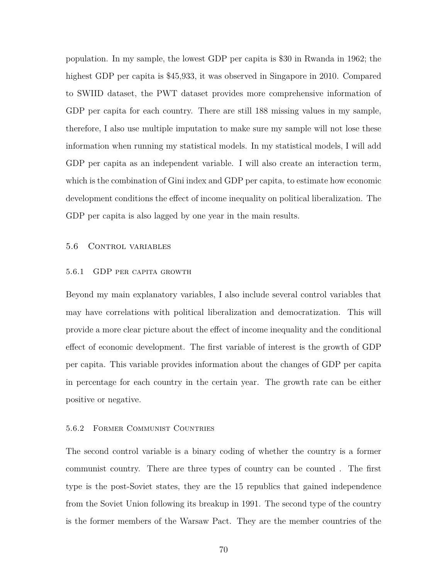population. In my sample, the lowest GDP per capita is \$30 in Rwanda in 1962; the highest GDP per capita is \$45,933, it was observed in Singapore in 2010. Compared to SWIID dataset, the PWT dataset provides more comprehensive information of GDP per capita for each country. There are still 188 missing values in my sample, therefore, I also use multiple imputation to make sure my sample will not lose these information when running my statistical models. In my statistical models, I will add GDP per capita as an independent variable. I will also create an interaction term, which is the combination of Gini index and GDP per capita, to estimate how economic development conditions the effect of income inequality on political liberalization. The GDP per capita is also lagged by one year in the main results.

### 5.6 Control variables

#### 5.6.1 GDP per capita growth

Beyond my main explanatory variables, I also include several control variables that may have correlations with political liberalization and democratization. This will provide a more clear picture about the effect of income inequality and the conditional effect of economic development. The first variable of interest is the growth of GDP per capita. This variable provides information about the changes of GDP per capita in percentage for each country in the certain year. The growth rate can be either positive or negative.

#### 5.6.2 Former Communist Countries

The second control variable is a binary coding of whether the country is a former communist country. There are three types of country can be counted . The first type is the post-Soviet states, they are the 15 republics that gained independence from the Soviet Union following its breakup in 1991. The second type of the country is the former members of the Warsaw Pact. They are the member countries of the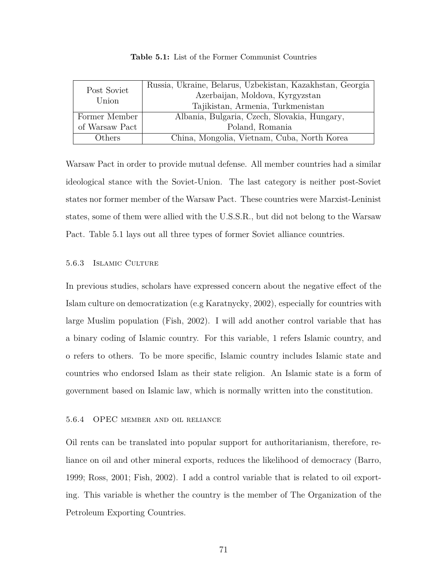| Post Soviet<br>Union | Russia, Ukraine, Belarus, Uzbekistan, Kazakhstan, Georgia |  |  |
|----------------------|-----------------------------------------------------------|--|--|
|                      | Azerbaijan, Moldova, Kyrgyzstan                           |  |  |
|                      | Tajikistan, Armenia, Turkmenistan                         |  |  |
| Former Member        | Albania, Bulgaria, Czech, Slovakia, Hungary,              |  |  |
| of Warsaw Pact       | Poland, Romania                                           |  |  |
| Others               | China, Mongolia, Vietnam, Cuba, North Korea               |  |  |

**Table 5.1:** List of the Former Communist Countries

Warsaw Pact in order to provide mutual defense. All member countries had a similar ideological stance with the Soviet-Union. The last category is neither post-Soviet states nor former member of the Warsaw Pact. These countries were Marxist-Leninist states, some of them were allied with the U.S.S.R., but did not belong to the Warsaw Pact. Table 5.1 lays out all three types of former Soviet alliance countries.

## 5.6.3 Islamic Culture

In previous studies, scholars have expressed concern about the negative effect of the Islam culture on democratization (e.g Karatnycky, 2002), especially for countries with large Muslim population (Fish, 2002). I will add another control variable that has a binary coding of Islamic country. For this variable, 1 refers Islamic country, and o refers to others. To be more specific, Islamic country includes Islamic state and countries who endorsed Islam as their state religion. An Islamic state is a form of government based on Islamic law, which is normally written into the constitution.

## 5.6.4 OPEC member and oil reliance

Oil rents can be translated into popular support for authoritarianism, therefore, reliance on oil and other mineral exports, reduces the likelihood of democracy (Barro, 1999; Ross, 2001; Fish, 2002). I add a control variable that is related to oil exporting. This variable is whether the country is the member of The Organization of the Petroleum Exporting Countries.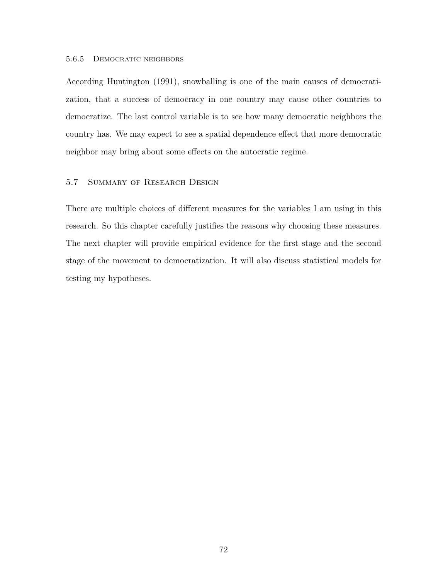### 5.6.5 Democratic neighbors

According Huntington (1991), snowballing is one of the main causes of democratization, that a success of democracy in one country may cause other countries to democratize. The last control variable is to see how many democratic neighbors the country has. We may expect to see a spatial dependence effect that more democratic neighbor may bring about some effects on the autocratic regime.

# 5.7 Summary of Research Design

There are multiple choices of different measures for the variables I am using in this research. So this chapter carefully justifies the reasons why choosing these measures. The next chapter will provide empirical evidence for the first stage and the second stage of the movement to democratization. It will also discuss statistical models for testing my hypotheses.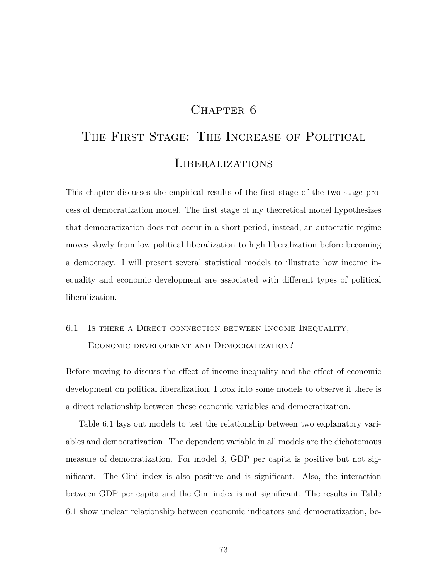# CHAPTER 6

# THE FIRST STAGE: THE INCREASE OF POLITICAL Liberalizations

This chapter discusses the empirical results of the first stage of the two-stage process of democratization model. The first stage of my theoretical model hypothesizes that democratization does not occur in a short period, instead, an autocratic regime moves slowly from low political liberalization to high liberalization before becoming a democracy. I will present several statistical models to illustrate how income inequality and economic development are associated with different types of political liberalization.

# 6.1 Is there a Direct connection between Income Inequality, Economic development and Democratization?

Before moving to discuss the effect of income inequality and the effect of economic development on political liberalization, I look into some models to observe if there is a direct relationship between these economic variables and democratization.

Table 6.1 lays out models to test the relationship between two explanatory variables and democratization. The dependent variable in all models are the dichotomous measure of democratization. For model 3, GDP per capita is positive but not significant. The Gini index is also positive and is significant. Also, the interaction between GDP per capita and the Gini index is not significant. The results in Table 6.1 show unclear relationship between economic indicators and democratization, be-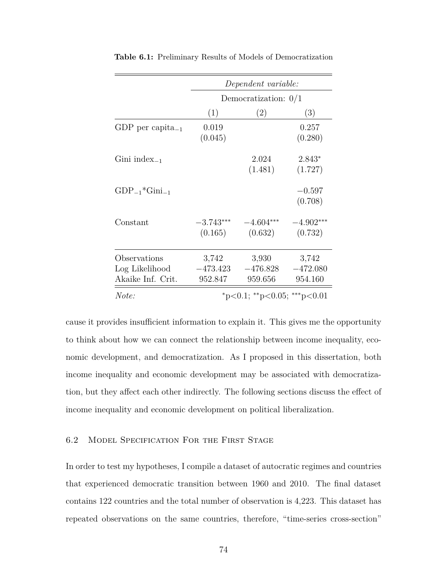|                                                     | Dependent variable:<br>Democratization: $0/1$ |                                |                                |
|-----------------------------------------------------|-----------------------------------------------|--------------------------------|--------------------------------|
|                                                     |                                               |                                |                                |
|                                                     | (1)                                           | (2)                            | (3)                            |
| GDP per capita <sub>-1</sub>                        | 0.019<br>(0.045)                              |                                | 0.257<br>(0.280)               |
| Gini index <sub>-1</sub>                            |                                               | 2.024<br>(1.481)               | 2.843*<br>(1.727)              |
| $GDP_{-1}$ * $Gini_{-1}$                            |                                               |                                | $-0.597$<br>(0.708)            |
| Constant                                            | $-3.743***$<br>(0.165)                        | $-4.604***$<br>(0.632)         | $-4.902***$<br>(0.732)         |
| Observations<br>Log Likelihood<br>Akaike Inf. Crit. | 3,742<br>$-473.423$<br>952.847                | 3,930<br>$-476.828$<br>959.656 | 3,742<br>$-472.080$<br>954.160 |
| Note:                                               | *p<0.1; **p<0.05; ***p<0.01                   |                                |                                |

**Table 6.1:** Preliminary Results of Models of Democratization

cause it provides insufficient information to explain it. This gives me the opportunity to think about how we can connect the relationship between income inequality, economic development, and democratization. As I proposed in this dissertation, both income inequality and economic development may be associated with democratization, but they affect each other indirectly. The following sections discuss the effect of income inequality and economic development on political liberalization.

## 6.2 Model Specification For the First Stage

In order to test my hypotheses, I compile a dataset of autocratic regimes and countries that experienced democratic transition between 1960 and 2010. The final dataset contains 122 countries and the total number of observation is 4,223. This dataset has repeated observations on the same countries, therefore, "time-series cross-section"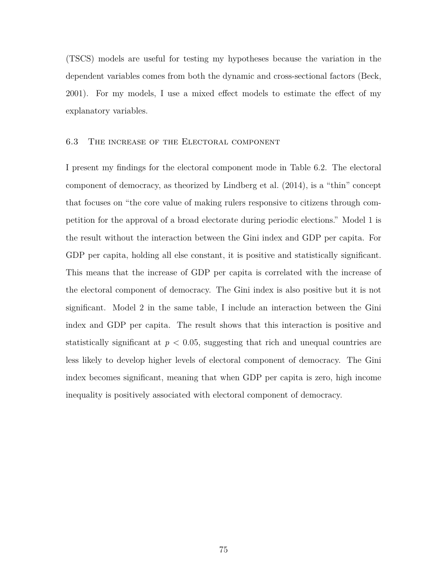(TSCS) models are useful for testing my hypotheses because the variation in the dependent variables comes from both the dynamic and cross-sectional factors (Beck, 2001). For my models, I use a mixed effect models to estimate the effect of my explanatory variables.

### 6.3 The increase of the Electoral component

I present my findings for the electoral component mode in Table 6.2. The electoral component of democracy, as theorized by Lindberg et al. (2014), is a "thin" concept that focuses on "the core value of making rulers responsive to citizens through competition for the approval of a broad electorate during periodic elections." Model 1 is the result without the interaction between the Gini index and GDP per capita. For GDP per capita, holding all else constant, it is positive and statistically significant. This means that the increase of GDP per capita is correlated with the increase of the electoral component of democracy. The Gini index is also positive but it is not significant. Model 2 in the same table, I include an interaction between the Gini index and GDP per capita. The result shows that this interaction is positive and statistically significant at  $p < 0.05$ , suggesting that rich and unequal countries are less likely to develop higher levels of electoral component of democracy. The Gini index becomes significant, meaning that when GDP per capita is zero, high income inequality is positively associated with electoral component of democracy.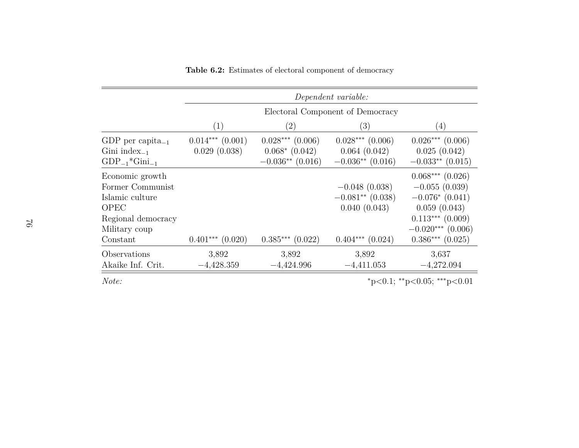|                                                                                                                          | Dependent variable:                  |                                                                  |                                                                               |                                                                                                                                                  |
|--------------------------------------------------------------------------------------------------------------------------|--------------------------------------|------------------------------------------------------------------|-------------------------------------------------------------------------------|--------------------------------------------------------------------------------------------------------------------------------------------------|
|                                                                                                                          | Electoral Component of Democracy     |                                                                  |                                                                               |                                                                                                                                                  |
|                                                                                                                          | (1)                                  | (2)                                                              | (3)                                                                           | (4)                                                                                                                                              |
| GDP per capita <sub>-1</sub><br>Gini index $_{-1}$<br>$GDP_{-1}$ *Gini $_{-1}$                                           | $0.014***$ $(0.001)$<br>0.029(0.038) | $0.028***$ $(0.006)$<br>$0.068*$ $(0.042)$<br>$-0.036**$ (0.016) | $0.028***$ $(0.006)$<br>0.064(0.042)<br>$-0.036**$ (0.016)                    | $0.026***$ (0.006)<br>0.025(0.042)<br>$-0.033**$ (0.015)                                                                                         |
| Economic growth<br>Former Communist<br>Islamic culture<br><b>OPEC</b><br>Regional democracy<br>Military coup<br>Constant | $0.401***$ $(0.020)$                 | $0.385***$ $(0.022)$                                             | $-0.048(0.038)$<br>$-0.081**$ (0.038)<br>0.040(0.043)<br>$0.404***$ $(0.024)$ | $0.068***$ $(0.026)$<br>$-0.055(0.039)$<br>$-0.076*(0.041)$<br>0.059(0.043)<br>$0.113***$ (0.009)<br>$-0.020***$ (0.006)<br>$0.386***$ $(0.025)$ |
| Observations<br>Akaike Inf. Crit.                                                                                        | 3,892<br>$-4,428.359$                | 3,892<br>$-4,424.996$                                            | 3,892<br>$-4,411.053$                                                         | 3,637<br>$-4,272.094$                                                                                                                            |

**Table 6.2:** Estimates of electoral component of democracy

*Note:*

<sup>∗</sup>p*<sup>&</sup>lt;*0.1; ∗∗p*<sup>&</sup>lt;*0.05; ∗∗∗p*<*0.01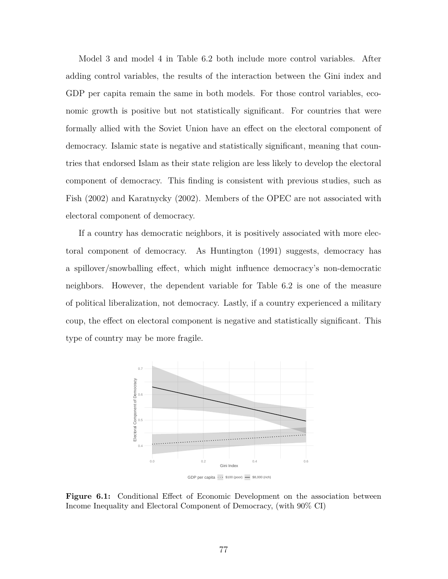Model 3 and model 4 in Table 6.2 both include more control variables. After adding control variables, the results of the interaction between the Gini index and GDP per capita remain the same in both models. For those control variables, economic growth is positive but not statistically significant. For countries that were formally allied with the Soviet Union have an effect on the electoral component of democracy. Islamic state is negative and statistically significant, meaning that countries that endorsed Islam as their state religion are less likely to develop the electoral component of democracy. This finding is consistent with previous studies, such as Fish (2002) and Karatnycky (2002). Members of the OPEC are not associated with electoral component of democracy.

If a country has democratic neighbors, it is positively associated with more electoral component of democracy. As Huntington (1991) suggests, democracy has a spillover/snowballing effect, which might influence democracy's non-democratic neighbors. However, the dependent variable for Table 6.2 is one of the measure of political liberalization, not democracy. Lastly, if a country experienced a military coup, the effect on electoral component is negative and statistically significant. This type of country may be more fragile.



**Figure 6.1:** Conditional Effect of Economic Development on the association between Income Inequality and Electoral Component of Democracy, (with 90% CI)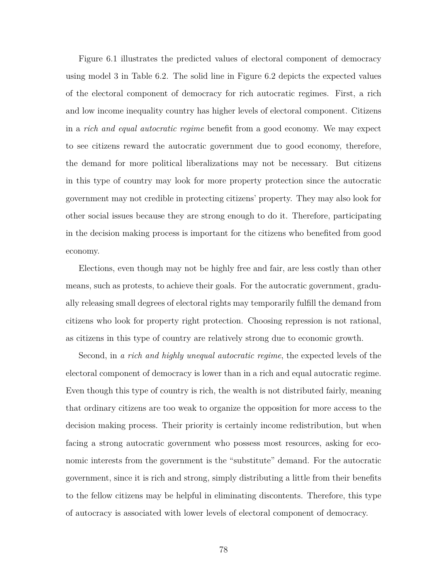Figure 6.1 illustrates the predicted values of electoral component of democracy using model 3 in Table 6.2. The solid line in Figure 6.2 depicts the expected values of the electoral component of democracy for rich autocratic regimes. First, a rich and low income inequality country has higher levels of electoral component. Citizens in a *rich and equal autocratic regime* benefit from a good economy. We may expect to see citizens reward the autocratic government due to good economy, therefore, the demand for more political liberalizations may not be necessary. But citizens in this type of country may look for more property protection since the autocratic government may not credible in protecting citizens' property. They may also look for other social issues because they are strong enough to do it. Therefore, participating in the decision making process is important for the citizens who benefited from good economy.

Elections, even though may not be highly free and fair, are less costly than other means, such as protests, to achieve their goals. For the autocratic government, gradually releasing small degrees of electoral rights may temporarily fulfill the demand from citizens who look for property right protection. Choosing repression is not rational, as citizens in this type of country are relatively strong due to economic growth.

Second, in *a rich and highly unequal autocratic regime*, the expected levels of the electoral component of democracy is lower than in a rich and equal autocratic regime. Even though this type of country is rich, the wealth is not distributed fairly, meaning that ordinary citizens are too weak to organize the opposition for more access to the decision making process. Their priority is certainly income redistribution, but when facing a strong autocratic government who possess most resources, asking for economic interests from the government is the "substitute" demand. For the autocratic government, since it is rich and strong, simply distributing a little from their benefits to the fellow citizens may be helpful in eliminating discontents. Therefore, this type of autocracy is associated with lower levels of electoral component of democracy.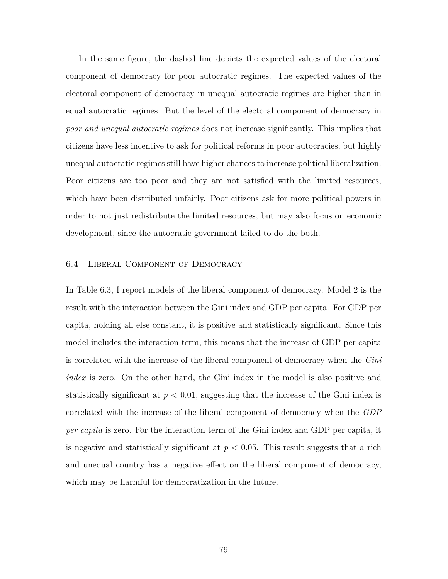In the same figure, the dashed line depicts the expected values of the electoral component of democracy for poor autocratic regimes. The expected values of the electoral component of democracy in unequal autocratic regimes are higher than in equal autocratic regimes. But the level of the electoral component of democracy in *poor and unequal autocratic regimes* does not increase significantly. This implies that citizens have less incentive to ask for political reforms in poor autocracies, but highly unequal autocratic regimes still have higher chances to increase political liberalization. Poor citizens are too poor and they are not satisfied with the limited resources, which have been distributed unfairly. Poor citizens ask for more political powers in order to not just redistribute the limited resources, but may also focus on economic development, since the autocratic government failed to do the both.

### 6.4 Liberal Component of Democracy

In Table 6.3, I report models of the liberal component of democracy. Model 2 is the result with the interaction between the Gini index and GDP per capita. For GDP per capita, holding all else constant, it is positive and statistically significant. Since this model includes the interaction term, this means that the increase of GDP per capita is correlated with the increase of the liberal component of democracy when the *Gini index* is zero. On the other hand, the Gini index in the model is also positive and statistically significant at  $p < 0.01$ , suggesting that the increase of the Gini index is correlated with the increase of the liberal component of democracy when the *GDP per capita* is zero. For the interaction term of the Gini index and GDP per capita, it is negative and statistically significant at  $p < 0.05$ . This result suggests that a rich and unequal country has a negative effect on the liberal component of democracy, which may be harmful for democratization in the future.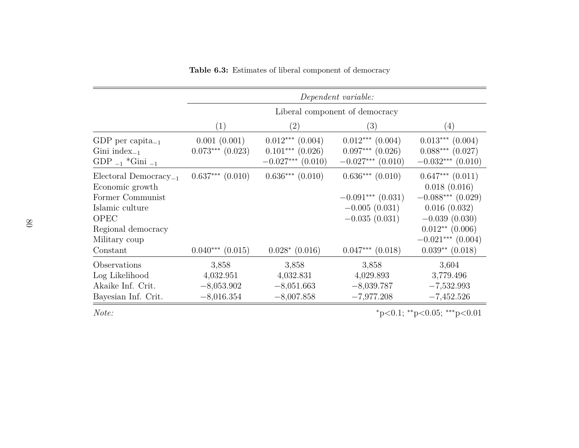|                                                                                                                                                               | Dependent variable:                          |                                                                     |                                                                                                           |                                                                                                                                                                   |
|---------------------------------------------------------------------------------------------------------------------------------------------------------------|----------------------------------------------|---------------------------------------------------------------------|-----------------------------------------------------------------------------------------------------------|-------------------------------------------------------------------------------------------------------------------------------------------------------------------|
|                                                                                                                                                               | Liberal component of democracy               |                                                                     |                                                                                                           |                                                                                                                                                                   |
|                                                                                                                                                               | $\left( 1\right)$                            | $\left( 2\right)$                                                   | (3)                                                                                                       | $\left(4\right)$                                                                                                                                                  |
| GDP per capita <sub>-1</sub><br>Gini index $_{-1}$<br>$GDP_{-1}$ *Gini $_{-1}$                                                                                | 0.001(0.001)<br>$0.073***$ $(0.023)$         | $0.012***$ $(0.004)$<br>$0.101***$ $(0.026)$<br>$-0.027***$ (0.010) | $0.012***$ $(0.004)$<br>$0.097***$ $(0.026)$<br>$-0.027***$ (0.010)                                       | $0.013***$ $(0.004)$<br>$0.088***$ (0.027)<br>$-0.032***$ (0.010)                                                                                                 |
| Electoral Democracy <sub>-1</sub><br>Economic growth<br>Former Communist<br>Islamic culture<br><b>OPEC</b><br>Regional democracy<br>Military coup<br>Constant | $0.637***$ $(0.010)$<br>$0.040***$ $(0.015)$ | $0.636***$ $(0.010)$<br>$0.028*(0.016)$                             | $0.636***$ $(0.010)$<br>$-0.091***$ (0.031)<br>$-0.005(0.031)$<br>$-0.035(0.031)$<br>$0.047***$ $(0.018)$ | $0.647***$ $(0.011)$<br>0.018(0.016)<br>$-0.088***$ (0.029)<br>0.016(0.032)<br>$-0.039(0.030)$<br>$0.012**$ (0.006)<br>$-0.021***$ (0.004)<br>$0.039**$ $(0.018)$ |
| Observations                                                                                                                                                  | 3,858                                        | 3,858                                                               | 3,858                                                                                                     | 3,604                                                                                                                                                             |
| Log Likelihood<br>Akaike Inf. Crit.<br>Bayesian Inf. Crit.                                                                                                    | 4,032.951<br>$-8,053.902$<br>$-8,016.354$    | 4,032.831<br>$-8,051.663$<br>$-8,007.858$                           | 4,029.893<br>$-8,039.787$<br>$-7,977.208$                                                                 | 3,779.496<br>$-7,532.993$<br>$-7,452.526$                                                                                                                         |

**Table 6.3:** Estimates of liberal component of democracy

*Note:*

<sup>∗</sup>p*<sup>&</sup>lt;*0.1; ∗∗p*<sup>&</sup>lt;*0.05; ∗∗∗p*<*0.01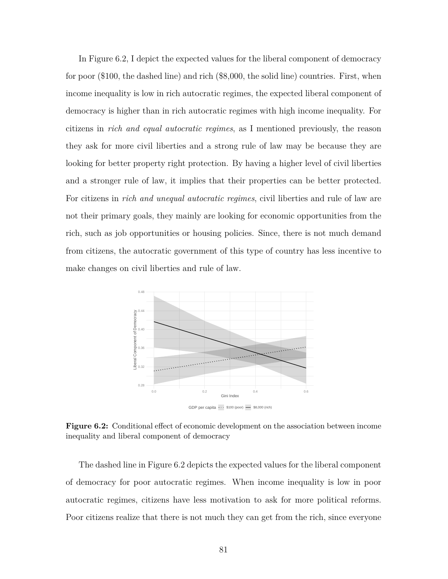In Figure 6.2, I depict the expected values for the liberal component of democracy for poor (\$100, the dashed line) and rich (\$8,000, the solid line) countries. First, when income inequality is low in rich autocratic regimes, the expected liberal component of democracy is higher than in rich autocratic regimes with high income inequality. For citizens in *rich and equal autocratic regimes*, as I mentioned previously, the reason they ask for more civil liberties and a strong rule of law may be because they are looking for better property right protection. By having a higher level of civil liberties and a stronger rule of law, it implies that their properties can be better protected. For citizens in *rich and unequal autocratic regimes*, civil liberties and rule of law are not their primary goals, they mainly are looking for economic opportunities from the rich, such as job opportunities or housing policies. Since, there is not much demand from citizens, the autocratic government of this type of country has less incentive to make changes on civil liberties and rule of law.



GDP per capita  $\cdots$  \$100 (poor)  $\longrightarrow$  \$8,000 (rich)

**Figure 6.2:** Conditional effect of economic development on the association between income inequality and liberal component of democracy

The dashed line in Figure 6.2 depicts the expected values for the liberal component of democracy for poor autocratic regimes. When income inequality is low in poor autocratic regimes, citizens have less motivation to ask for more political reforms. Poor citizens realize that there is not much they can get from the rich, since everyone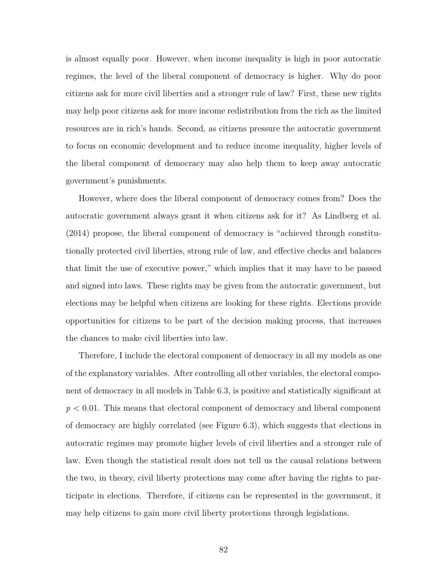is almost equally poor. However, when income inequality is high in poor autocratic regimes, the level of the liberal component of democracy is higher. Why do poor citizens ask for more civil liberties and a stronger rule of law? First, these new rights may help poor citizens ask for more income redistribution from the rich as the limited resources are in rich's hands. Second, as citizens pressure the autocratic government to focus on economic development and to reduce income inequality, higher levels of the liberal component of democracy may also help them to keep away autocratic government's punishments.

However, where does the liberal component of democracy comes from? Does the autocratic government always grant it when citizens ask for it? As Lindberg et al. (2014) propose, the liberal component of democracy is "achieved through constitutionally protected civil liberties, strong rule of law, and effective checks and balances that limit the use of executive power," which implies that it may have to be passed and signed into laws. These rights may be given from the autocratic government, but elections may be helpful when citizens are looking for these rights. Elections provide opportunities for citizens to be part of the decision making process, that increases the chances to make civil liberties into law.

Therefore, I include the electoral component of democracy in all my models as one of the explanatory variables. After controlling all other variables, the electoral component of democracy in all models in Table 6.3, is positive and statistically significant at *p* < 0.01. This means that electoral component of democracy and liberal component of democracy are highly correlated (see Figure 6.3), which suggests that elections in autocratic regimes may promote higher levels of civil liberties and a stronger rule of law. Even though the statistical result does not tell us the causal relations between the two, in theory, civil liberty protections may come after having the rights to participate in elections. Therefore, if citizens can be represented in the government, it may help citizens to gain more civil liberty protections through legislations.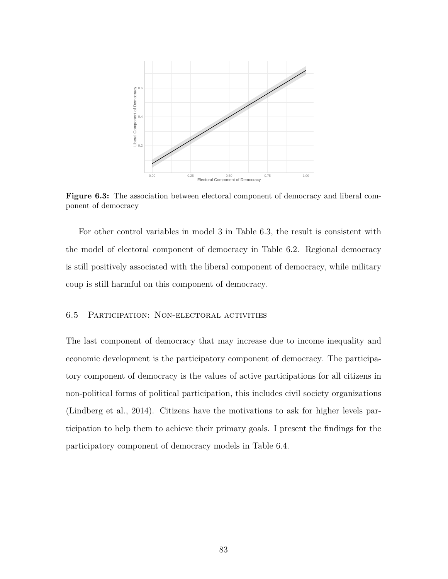

**Figure 6.3:** The association between electoral component of democracy and liberal component of democracy

For other control variables in model 3 in Table 6.3, the result is consistent with the model of electoral component of democracy in Table 6.2. Regional democracy is still positively associated with the liberal component of democracy, while military coup is still harmful on this component of democracy.

## 6.5 Participation: Non-electoral activities

The last component of democracy that may increase due to income inequality and economic development is the participatory component of democracy. The participatory component of democracy is the values of active participations for all citizens in non-political forms of political participation, this includes civil society organizations (Lindberg et al., 2014). Citizens have the motivations to ask for higher levels participation to help them to achieve their primary goals. I present the findings for the participatory component of democracy models in Table 6.4.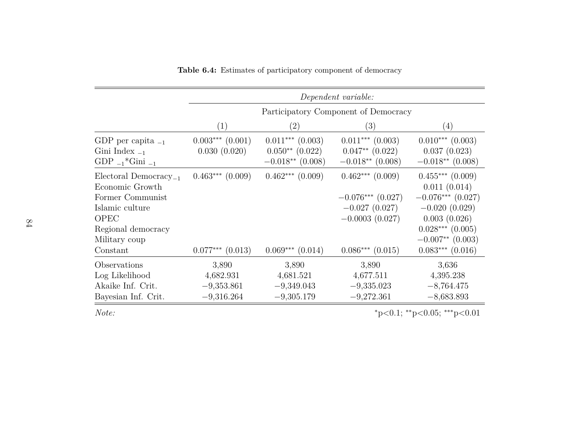|                                                                                                                                                               | Dependent variable:                          |                                                                 |                                                                                                            |                                                                                                                                                                      |
|---------------------------------------------------------------------------------------------------------------------------------------------------------------|----------------------------------------------|-----------------------------------------------------------------|------------------------------------------------------------------------------------------------------------|----------------------------------------------------------------------------------------------------------------------------------------------------------------------|
|                                                                                                                                                               | Participatory Component of Democracy         |                                                                 |                                                                                                            |                                                                                                                                                                      |
|                                                                                                                                                               | (1)                                          | $\left( 2\right)$                                               | (3)                                                                                                        | $\left( 4\right)$                                                                                                                                                    |
| GDP per capita $_{-1}$<br>Gini Index $_{-1}$<br>$GDP_{-1}$ *Gini $_{-1}$                                                                                      | $0.003***$ $(0.001)$<br>0.030(0.020)         | $0.011***$ $(0.003)$<br>$0.050**$ (0.022)<br>$-0.018**$ (0.008) | $0.011***$ (0.003)<br>$0.047**$ $(0.022)$<br>$-0.018**$ (0.008)                                            | $0.010***$ (0.003)<br>0.037(0.023)<br>$-0.018**$ (0.008)                                                                                                             |
| Electoral Democracy <sub>-1</sub><br>Economic Growth<br>Former Communist<br>Islamic culture<br><b>OPEC</b><br>Regional democracy<br>Military coup<br>Constant | $0.463***$ $(0.009)$<br>$0.077***$ $(0.013)$ | $0.462***$ $(0.009)$<br>$0.069***$ $(0.014)$                    | $0.462***$ $(0.009)$<br>$-0.076***$ (0.027)<br>$-0.027(0.027)$<br>$-0.0003(0.027)$<br>$0.086***$ $(0.015)$ | $0.455***$ $(0.009)$<br>0.011(0.014)<br>$-0.076***$ (0.027)<br>$-0.020(0.029)$<br>0.003(0.026)<br>$0.028***$ $(0.005)$<br>$-0.007**$ (0.003)<br>$0.083***$ $(0.016)$ |
| Observations                                                                                                                                                  | 3,890                                        | 3,890                                                           | 3,890                                                                                                      | 3,636                                                                                                                                                                |
| Log Likelihood<br>Akaike Inf. Crit.<br>Bayesian Inf. Crit.                                                                                                    | 4,682.931<br>$-9,353.861$<br>$-9,316.264$    | 4,681.521<br>$-9,349.043$<br>$-9,305.179$                       | 4,677.511<br>$-9,335.023$<br>$-9,272.361$                                                                  | 4,395.238<br>$-8,764.475$<br>$-8,683.893$                                                                                                                            |

**Table 6.4:** Estimates of participatory component of democracy

*Note:*

<sup>∗</sup>p*<sup>&</sup>lt;*0.1; ∗∗p*<sup>&</sup>lt;*0.05; ∗∗∗p*<*0.01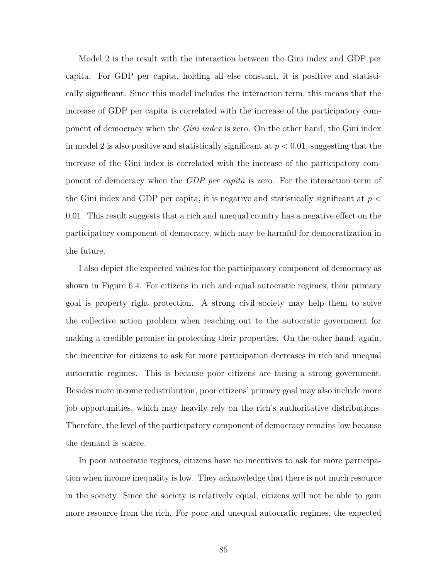Model 2 is the result with the interaction between the Gini index and GDP per capita. For GDP per capita, holding all else constant, it is positive and statistically significant. Since this model includes the interaction term, this means that the increase of GDP per capita is correlated with the increase of the participatory component of democracy when the *Gini index* is zero. On the other hand, the Gini index in model 2 is also positive and statistically significant at  $p < 0.01$ , suggesting that the increase of the Gini index is correlated with the increase of the participatory component of democracy when the *GDP per capita* is zero. For the interaction term of the Gini index and GDP per capita, it is negative and statistically significant at *p* < 0.01. This result suggests that a rich and unequal country has a negative effect on the participatory component of democracy, which may be harmful for democratization in the future.

I also depict the expected values for the participatory component of democracy as shown in Figure 6.4. For citizens in rich and equal autocratic regimes, their primary goal is property right protection. A strong civil society may help them to solve the collective action problem when reaching out to the autocratic government for making a credible promise in protecting their properties. On the other hand, again, the incentive for citizens to ask for more participation decreases in rich and unequal autocratic regimes. This is because poor citizens are facing a strong government. Besides more income redistribution, poor citizens' primary goal may also include more job opportunities, which may heavily rely on the rich's authoritative distributions. Therefore, the level of the participatory component of democracy remains low because the demand is scarce.

In poor autocratic regimes, citizens have no incentives to ask for more participation when income inequality is low. They acknowledge that there is not much resource in the society. Since the society is relatively equal, citizens will not be able to gain more resource from the rich. For poor and unequal autocratic regimes, the expected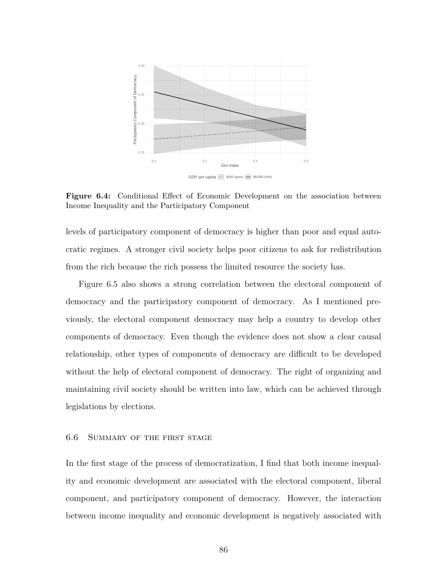

**Figure 6.4:** Conditional Effect of Economic Development on the association between Income Inequality and the Participatory Component

levels of participatory component of democracy is higher than poor and equal autocratic regimes. A stronger civil society helps poor citizens to ask for redistribution from the rich because the rich possess the limited resource the society has.

Figure 6.5 also shows a strong correlation between the electoral component of democracy and the participatory component of democracy. As I mentioned previously, the electoral component democracy may help a country to develop other components of democracy. Even though the evidence does not show a clear causal relationship, other types of components of democracy are difficult to be developed without the help of electoral component of democracy. The right of organizing and maintaining civil society should be written into law, which can be achieved through legislations by elections.

### 6.6 Summary of the first stage

In the first stage of the process of democratization, I find that both income inequality and economic development are associated with the electoral component, liberal component, and participatory component of democracy. However, the interaction between income inequality and economic development is negatively associated with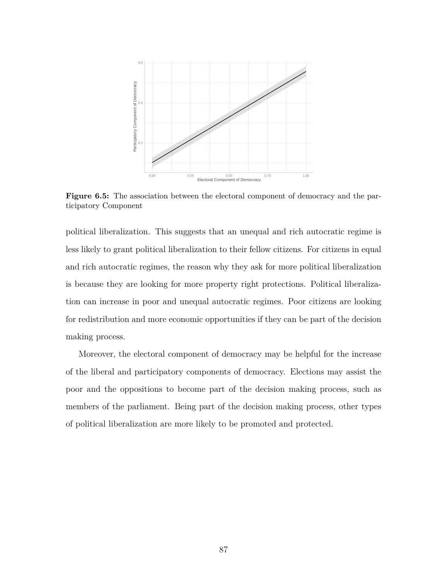

**Figure 6.5:** The association between the electoral component of democracy and the participatory Component

political liberalization. This suggests that an unequal and rich autocratic regime is less likely to grant political liberalization to their fellow citizens. For citizens in equal and rich autocratic regimes, the reason why they ask for more political liberalization is because they are looking for more property right protections. Political liberalization can increase in poor and unequal autocratic regimes. Poor citizens are looking for redistribution and more economic opportunities if they can be part of the decision making process.

Moreover, the electoral component of democracy may be helpful for the increase of the liberal and participatory components of democracy. Elections may assist the poor and the oppositions to become part of the decision making process, such as members of the parliament. Being part of the decision making process, other types of political liberalization are more likely to be promoted and protected.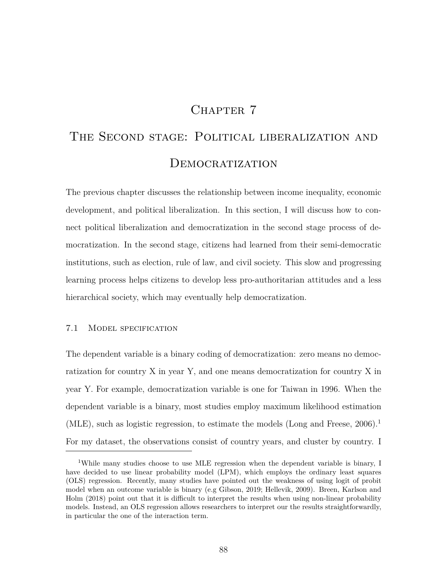# CHAPTER 7

# THE SECOND STAGE: POLITICAL LIBERALIZATION AND DEMOCRATIZATION

The previous chapter discusses the relationship between income inequality, economic development, and political liberalization. In this section, I will discuss how to connect political liberalization and democratization in the second stage process of democratization. In the second stage, citizens had learned from their semi-democratic institutions, such as election, rule of law, and civil society. This slow and progressing learning process helps citizens to develop less pro-authoritarian attitudes and a less hierarchical society, which may eventually help democratization.

## 7.1 Model specification

The dependent variable is a binary coding of democratization: zero means no democratization for country X in year Y, and one means democratization for country X in year Y. For example, democratization variable is one for Taiwan in 1996. When the dependent variable is a binary, most studies employ maximum likelihood estimation (MLE), such as logistic regression, to estimate the models (Long and Freese,  $2006$ ).<sup>1</sup> For my dataset, the observations consist of country years, and cluster by country. I

<sup>&</sup>lt;sup>1</sup>While many studies choose to use MLE regression when the dependent variable is binary. I have decided to use linear probability model (LPM), which employs the ordinary least squares (OLS) regression. Recently, many studies have pointed out the weakness of using logit of probit model when an outcome variable is binary (e.g Gibson, 2019; Hellevik, 2009). Breen, Karlson and Holm (2018) point out that it is difficult to interpret the results when using non-linear probability models. Instead, an OLS regression allows researchers to interpret our the results straightforwardly, in particular the one of the interaction term.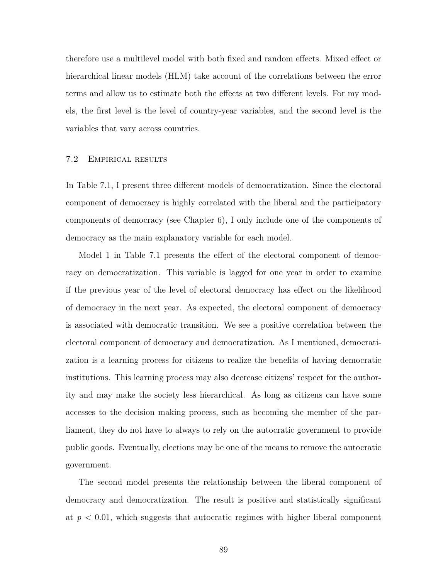therefore use a multilevel model with both fixed and random effects. Mixed effect or hierarchical linear models (HLM) take account of the correlations between the error terms and allow us to estimate both the effects at two different levels. For my models, the first level is the level of country-year variables, and the second level is the variables that vary across countries.

# 7.2 Empirical results

In Table 7.1, I present three different models of democratization. Since the electoral component of democracy is highly correlated with the liberal and the participatory components of democracy (see Chapter 6), I only include one of the components of democracy as the main explanatory variable for each model.

Model 1 in Table 7.1 presents the effect of the electoral component of democracy on democratization. This variable is lagged for one year in order to examine if the previous year of the level of electoral democracy has effect on the likelihood of democracy in the next year. As expected, the electoral component of democracy is associated with democratic transition. We see a positive correlation between the electoral component of democracy and democratization. As I mentioned, democratization is a learning process for citizens to realize the benefits of having democratic institutions. This learning process may also decrease citizens' respect for the authority and may make the society less hierarchical. As long as citizens can have some accesses to the decision making process, such as becoming the member of the parliament, they do not have to always to rely on the autocratic government to provide public goods. Eventually, elections may be one of the means to remove the autocratic government.

The second model presents the relationship between the liberal component of democracy and democratization. The result is positive and statistically significant at  $p < 0.01$ , which suggests that autocratic regimes with higher liberal component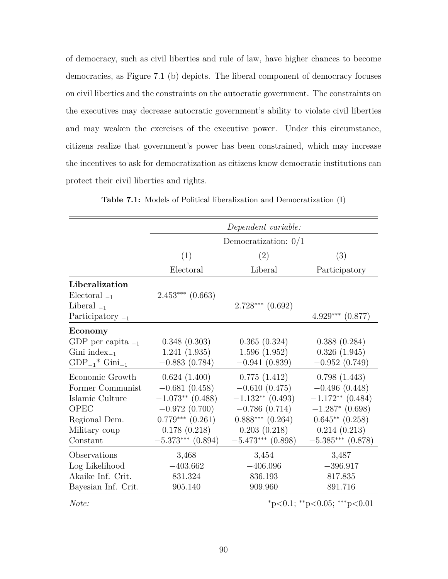of democracy, such as civil liberties and rule of law, have higher chances to become democracies, as Figure 7.1 (b) depicts. The liberal component of democracy focuses on civil liberties and the constraints on the autocratic government. The constraints on the executives may decrease autocratic government's ability to violate civil liberties and may weaken the exercises of the executive power. Under this circumstance, citizens realize that government's power has been constrained, which may increase the incentives to ask for democratization as citizens know democratic institutions can protect their civil liberties and rights.

|                        | Dependent variable:    |                      |                                         |  |
|------------------------|------------------------|----------------------|-----------------------------------------|--|
|                        | Democratization: $0/1$ |                      |                                         |  |
|                        | (1)                    | (2)                  | (3)                                     |  |
|                        | Electoral              | Liberal              | Participatory                           |  |
| Liberalization         |                        |                      |                                         |  |
| Electoral $_{-1}$      | $2.453***$ (0.663)     |                      |                                         |  |
| Liberal $_{-1}$        |                        | $2.728***$ $(0.692)$ |                                         |  |
| Participatory $_{-1}$  |                        |                      | $4.929***$ $(0.877)$                    |  |
| Economy                |                        |                      |                                         |  |
| GDP per capita $_{-1}$ | 0.348(0.303)           | 0.365(0.324)         | 0.388(0.284)                            |  |
| Gini index $_{-1}$     | 1.241(1.935)           | 1.596(1.952)         | 0.326(1.945)                            |  |
| $GDP_{-1}$ $Gini_{-1}$ | $-0.883(0.784)$        | $-0.941(0.839)$      | $-0.952(0.749)$                         |  |
| Economic Growth        | 0.624(1.400)           | 0.775(1.412)         | 0.798(1.443)                            |  |
| Former Communist       | $-0.681(0.458)$        | $-0.610(0.475)$      | $-0.496(0.448)$                         |  |
| Islamic Culture        | $-1.073**$ (0.488)     | $-1.132**$ (0.493)   | $-1.172**$ (0.484)                      |  |
| <b>OPEC</b>            | $-0.972(0.700)$        | $-0.786(0.714)$      | $-1.287$ * (0.698)                      |  |
| Regional Dem.          | $0.779***$ $(0.261)$   | $0.888***$ $(0.264)$ | $0.645**$ $(0.258)$                     |  |
| Military coup          | 0.178(0.218)           | 0.203(0.218)         | 0.214(0.213)                            |  |
| Constant               | $-5.373***$ (0.894)    | $-5.473***$ (0.898)  | $-5.385***$ (0.878)                     |  |
| Observations           | 3,468                  | 3,454                | 3,487                                   |  |
| Log Likelihood         | $-403.662$             | $-406.096$           | $-396.917$                              |  |
| Akaike Inf. Crit.      | 831.324                | 836.193              | 817.835                                 |  |
| Bayesian Inf. Crit.    | 905.140                | 909.960              | 891.716                                 |  |
| Note:                  |                        |                      | $*_{p<0.1;}$ $*_{p<0.05;}$ $*_{p<0.01}$ |  |

**Table 7.1:** Models of Political liberalization and Democratization (I)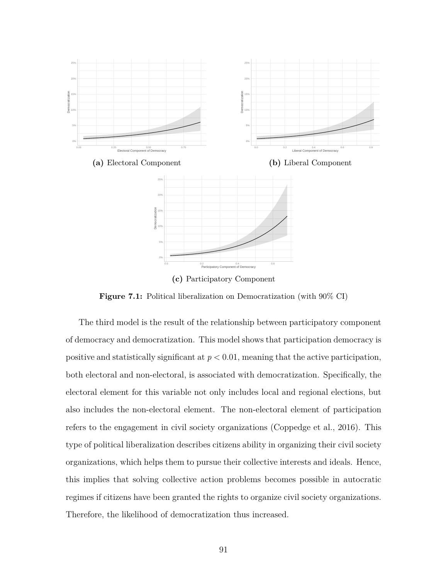

**(c)** Participatory Component

**Figure 7.1:** Political liberalization on Democratization (with  $90\%$  CI)

The third model is the result of the relationship between participatory component of democracy and democratization. This model shows that participation democracy is positive and statistically significant at *p* < 0.01, meaning that the active participation, both electoral and non-electoral, is associated with democratization. Specifically, the electoral element for this variable not only includes local and regional elections, but also includes the non-electoral element. The non-electoral element of participation refers to the engagement in civil society organizations (Coppedge et al., 2016). This type of political liberalization describes citizens ability in organizing their civil society organizations, which helps them to pursue their collective interests and ideals. Hence, this implies that solving collective action problems becomes possible in autocratic regimes if citizens have been granted the rights to organize civil society organizations. Therefore, the likelihood of democratization thus increased.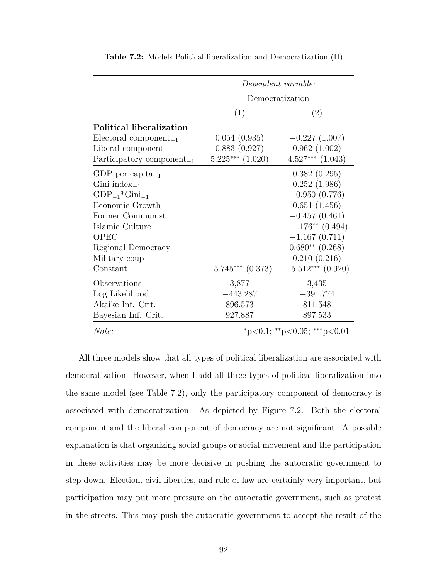|                                       | Dependent variable:  |                      |  |
|---------------------------------------|----------------------|----------------------|--|
|                                       | Democratization      |                      |  |
|                                       | (1)                  | $\left( 2\right)$    |  |
| Political liberalization              |                      |                      |  |
| $Electoral component_{-1}$            | 0.054(0.935)         | $-0.227(1.007)$      |  |
| Liberal component <sub>-1</sub>       | 0.883(0.927)         | 0.962(1.002)         |  |
| Participatory component <sub>-1</sub> | $5.225***$ $(1.020)$ | $4.527***$ $(1.043)$ |  |
| GDP per capita <sub>-1</sub>          |                      | 0.382(0.295)         |  |
| Gini index $_{-1}$                    |                      | 0.252(1.986)         |  |
| $GDP_{-1}$ * $Gini_{-1}$              |                      | $-0.950(0.776)$      |  |
| Economic Growth                       |                      | 0.651(1.456)         |  |
| Former Communist                      |                      | $-0.457(0.461)$      |  |
| Islamic Culture                       |                      | $-1.176**$ (0.494)   |  |
| <b>OPEC</b>                           |                      | $-1.167(0.711)$      |  |
| Regional Democracy                    |                      | $0.680**$ $(0.268)$  |  |
| Military coup                         |                      | 0.210(0.216)         |  |
| Constant                              | $-5.745***$ (0.373)  | $-5.512***$ (0.920)  |  |
| Observations                          | 3,877                | 3,435                |  |
| Log Likelihood                        | $-443.287$           | $-391.774$           |  |
| Akaike Inf. Crit.                     | 896.573              | 811.548              |  |
| Bayesian Inf. Crit.                   | 927.887              | 897.533              |  |
| $\mathbf{r}$                          |                      |                      |  |

**Table 7.2:** Models Political liberalization and Democratization (II)

*Note:* <sup>∗</sup>p*<*0.1; ∗∗p*<*0.05; ∗∗∗p*<*0.01

All three models show that all types of political liberalization are associated with democratization. However, when I add all three types of political liberalization into the same model (see Table 7.2), only the participatory component of democracy is associated with democratization. As depicted by Figure 7.2. Both the electoral component and the liberal component of democracy are not significant. A possible explanation is that organizing social groups or social movement and the participation in these activities may be more decisive in pushing the autocratic government to step down. Election, civil liberties, and rule of law are certainly very important, but participation may put more pressure on the autocratic government, such as protest in the streets. This may push the autocratic government to accept the result of the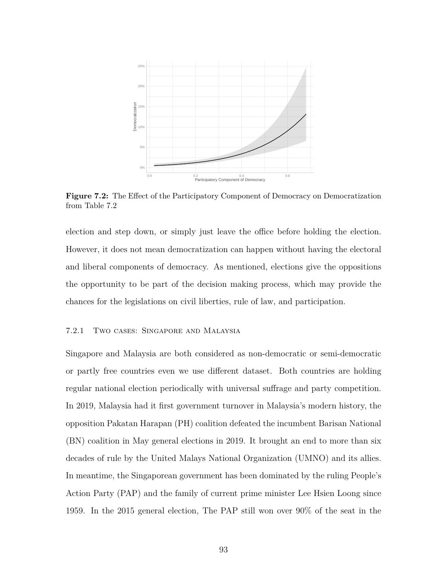

**Figure 7.2:** The Effect of the Participatory Component of Democracy on Democratization from Table 7.2

election and step down, or simply just leave the office before holding the election. However, it does not mean democratization can happen without having the electoral and liberal components of democracy. As mentioned, elections give the oppositions the opportunity to be part of the decision making process, which may provide the chances for the legislations on civil liberties, rule of law, and participation.

### 7.2.1 Two cases: Singapore and Malaysia

Singapore and Malaysia are both considered as non-democratic or semi-democratic or partly free countries even we use different dataset. Both countries are holding regular national election periodically with universal suffrage and party competition. In 2019, Malaysia had it first government turnover in Malaysia's modern history, the opposition Pakatan Harapan (PH) coalition defeated the incumbent Barisan National (BN) coalition in May general elections in 2019. It brought an end to more than six decades of rule by the United Malays National Organization (UMNO) and its allies. In meantime, the Singaporean government has been dominated by the ruling People's Action Party (PAP) and the family of current prime minister Lee Hsien Loong since 1959. In the 2015 general election, The PAP still won over 90% of the seat in the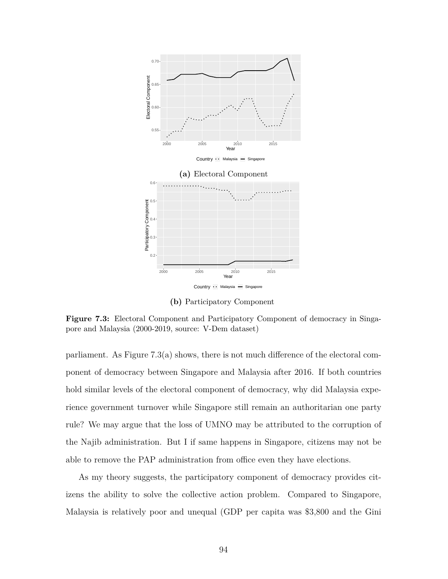

**(b)** Participatory Component

**Figure 7.3:** Electoral Component and Participatory Component of democracy in Singapore and Malaysia (2000-2019, source: V-Dem dataset)

parliament. As Figure 7.3(a) shows, there is not much difference of the electoral component of democracy between Singapore and Malaysia after 2016. If both countries hold similar levels of the electoral component of democracy, why did Malaysia experience government turnover while Singapore still remain an authoritarian one party rule? We may argue that the loss of UMNO may be attributed to the corruption of the Najib administration. But I if same happens in Singapore, citizens may not be able to remove the PAP administration from office even they have elections.

As my theory suggests, the participatory component of democracy provides citizens the ability to solve the collective action problem. Compared to Singapore, Malaysia is relatively poor and unequal (GDP per capita was \$3,800 and the Gini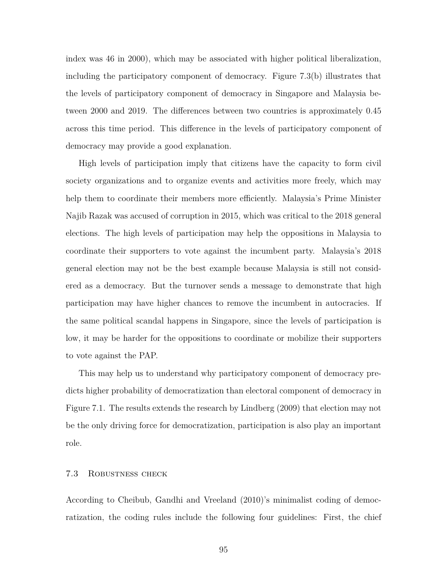index was 46 in 2000), which may be associated with higher political liberalization, including the participatory component of democracy. Figure 7.3(b) illustrates that the levels of participatory component of democracy in Singapore and Malaysia between 2000 and 2019. The differences between two countries is approximately 0.45 across this time period. This difference in the levels of participatory component of democracy may provide a good explanation.

High levels of participation imply that citizens have the capacity to form civil society organizations and to organize events and activities more freely, which may help them to coordinate their members more efficiently. Malaysia's Prime Minister Najib Razak was accused of corruption in 2015, which was critical to the 2018 general elections. The high levels of participation may help the oppositions in Malaysia to coordinate their supporters to vote against the incumbent party. Malaysia's 2018 general election may not be the best example because Malaysia is still not considered as a democracy. But the turnover sends a message to demonstrate that high participation may have higher chances to remove the incumbent in autocracies. If the same political scandal happens in Singapore, since the levels of participation is low, it may be harder for the oppositions to coordinate or mobilize their supporters to vote against the PAP.

This may help us to understand why participatory component of democracy predicts higher probability of democratization than electoral component of democracy in Figure 7.1. The results extends the research by Lindberg (2009) that election may not be the only driving force for democratization, participation is also play an important role.

## 7.3 Robustness check

According to Cheibub, Gandhi and Vreeland (2010)'s minimalist coding of democratization, the coding rules include the following four guidelines: First, the chief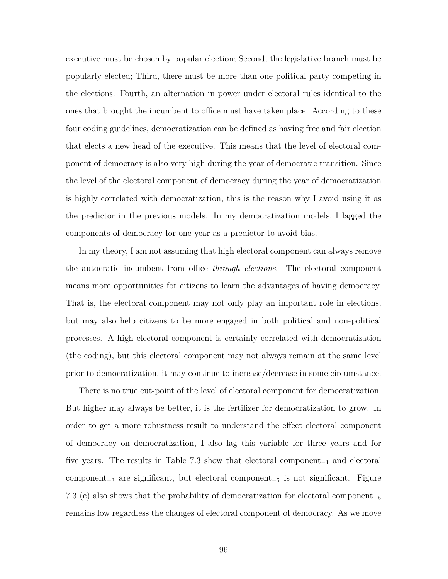executive must be chosen by popular election; Second, the legislative branch must be popularly elected; Third, there must be more than one political party competing in the elections. Fourth, an alternation in power under electoral rules identical to the ones that brought the incumbent to office must have taken place. According to these four coding guidelines, democratization can be defined as having free and fair election that elects a new head of the executive. This means that the level of electoral component of democracy is also very high during the year of democratic transition. Since the level of the electoral component of democracy during the year of democratization is highly correlated with democratization, this is the reason why I avoid using it as the predictor in the previous models. In my democratization models, I lagged the components of democracy for one year as a predictor to avoid bias.

In my theory, I am not assuming that high electoral component can always remove the autocratic incumbent from office *through elections*. The electoral component means more opportunities for citizens to learn the advantages of having democracy. That is, the electoral component may not only play an important role in elections, but may also help citizens to be more engaged in both political and non-political processes. A high electoral component is certainly correlated with democratization (the coding), but this electoral component may not always remain at the same level prior to democratization, it may continue to increase/decrease in some circumstance.

There is no true cut-point of the level of electoral component for democratization. But higher may always be better, it is the fertilizer for democratization to grow. In order to get a more robustness result to understand the effect electoral component of democracy on democratization, I also lag this variable for three years and for five years. The results in Table 7.3 show that electoral component<sup>−</sup><sup>1</sup> and electoral component<sup>−</sup><sup>3</sup> are significant, but electoral component<sup>−</sup><sup>5</sup> is not significant. Figure 7.3 (c) also shows that the probability of democratization for electoral component<sup>−</sup><sup>5</sup> remains low regardless the changes of electoral component of democracy. As we move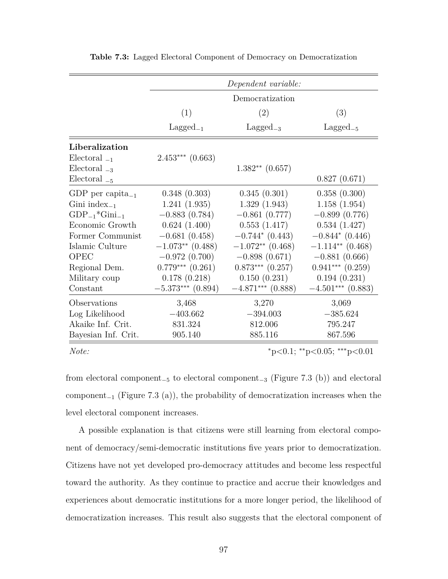|                                |                      | Dependent variable:  |                                                       |
|--------------------------------|----------------------|----------------------|-------------------------------------------------------|
|                                |                      | Democratization      |                                                       |
|                                | (1)                  | (2)                  | (3)                                                   |
|                                | $Lagger_{-1}$        | $Lagger_{-3}$        | $Lagger_{-5}$                                         |
| Liberalization                 |                      |                      |                                                       |
| Electoral $_{-1}$              | $2.453***$ (0.663)   |                      |                                                       |
| Electoral $_{-3}$              |                      | $1.382**$ (0.657)    |                                                       |
| Electoral $_{-5}$              |                      |                      | 0.827(0.671)                                          |
| GDP per capita <sub>-1</sub>   | 0.348(0.303)         | 0.345(0.301)         | 0.358(0.300)                                          |
| Gini index $_{-1}$             | 1.241(1.935)         | 1.329(1.943)         | 1.158(1.954)                                          |
| $GDP_{-1}$ *Gini <sub>-1</sub> | $-0.883(0.784)$      | $-0.861(0.777)$      | $-0.899(0.776)$                                       |
| Economic Growth                | 0.624(1.400)         | 0.553(1.417)         | 0.534(1.427)                                          |
| Former Communist               | $-0.681(0.458)$      | $-0.744*(0.443)$     | $-0.844*(0.446)$                                      |
| Islamic Culture                | $-1.073**$ (0.488)   | $-1.072**$ (0.468)   | $-1.114**$ (0.468)                                    |
| <b>OPEC</b>                    | $-0.972(0.700)$      | $-0.898(0.671)$      | $-0.881(0.666)$                                       |
| Regional Dem.                  | $0.779***$ $(0.261)$ | $0.873***$ $(0.257)$ | $0.941***$ $(0.259)$                                  |
| Military coup                  | 0.178(0.218)         | 0.150(0.231)         | 0.194(0.231)                                          |
| Constant                       | $-5.373***$ (0.894)  | $-4.871***$ (0.888)  | $-4.501***$ (0.883)                                   |
| Observations                   | 3,468                | 3,270                | 3,069                                                 |
| Log Likelihood                 | $-403.662$           | $-394.003$           | $-385.624$                                            |
| Akaike Inf. Crit.              | 831.324              | 812.006              | 795.247                                               |
| Bayesian Inf. Crit.            | 905.140              | 885.116              | 867.596                                               |
| $\mathbf{M}$                   |                      |                      | * $\geq 0$ 1 ** $\geq 0$ $\cap$ *** $\geq 0$ $\cap$ 1 |

**Table 7.3:** Lagged Electoral Component of Democracy on Democratization

*Note:* <sup>∗</sup>p*<*0.1; ∗∗p*<*0.05; ∗∗∗p*<*0.01

from electoral component<sup>−</sup><sup>5</sup> to electoral component<sup>−</sup><sup>3</sup> (Figure 7.3 (b)) and electoral component<sub>-1</sub> (Figure 7.3 (a)), the probability of democratization increases when the level electoral component increases.

A possible explanation is that citizens were still learning from electoral component of democracy/semi-democratic institutions five years prior to democratization. Citizens have not yet developed pro-democracy attitudes and become less respectful toward the authority. As they continue to practice and accrue their knowledges and experiences about democratic institutions for a more longer period, the likelihood of democratization increases. This result also suggests that the electoral component of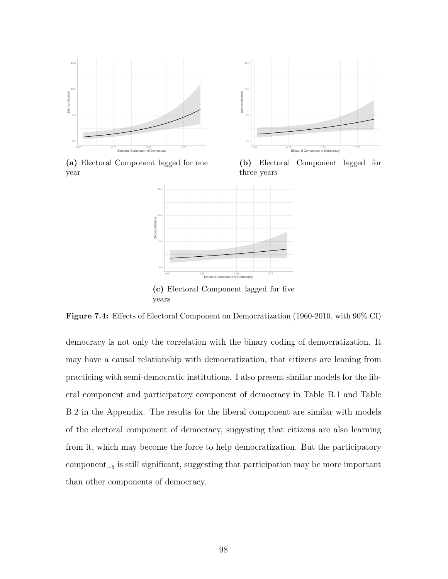

15% 10% Democratization **Democratization** 5% 0% 0.00 0.25 0.50 0.75 Electoral Component of Democracy

**(a)** Electoral Component lagged for one year

**(b)** Electoral Component lagged for three years



**Figure 7.4:** Effects of Electoral Component on Democratization (1960-2010, with 90% CI)

democracy is not only the correlation with the binary coding of democratization. It may have a causal relationship with democratization, that citizens are leaning from practicing with semi-democratic institutions. I also present similar models for the liberal component and participatory component of democracy in Table B.1 and Table B.2 in the Appendix. The results for the liberal component are similar with models of the electoral component of democracy, suggesting that citizens are also learning from it, which may become the force to help democratization. But the participatory component<sup>−</sup><sup>5</sup> is still significant, suggesting that participation may be more important than other components of democracy.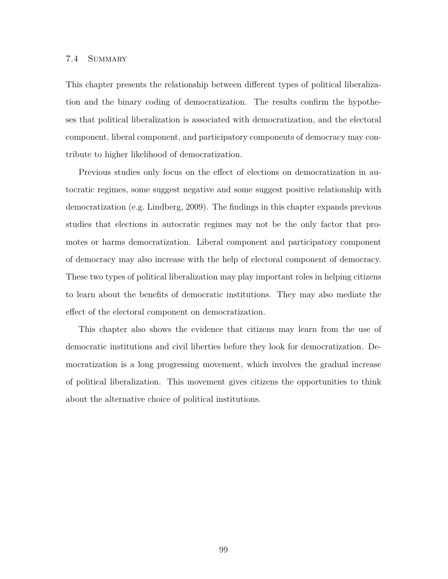### 7.4 Summary

This chapter presents the relationship between different types of political liberalization and the binary coding of democratization. The results confirm the hypotheses that political liberalization is associated with democratization, and the electoral component, liberal component, and participatory components of democracy may contribute to higher likelihood of democratization.

Previous studies only focus on the effect of elections on democratization in autocratic regimes, some suggest negative and some suggest positive relationship with democratization (e.g. Lindberg, 2009). The findings in this chapter expands previous studies that elections in autocratic regimes may not be the only factor that promotes or harms democratization. Liberal component and participatory component of democracy may also increase with the help of electoral component of democracy. These two types of political liberalization may play important roles in helping citizens to learn about the benefits of democratic institutions. They may also mediate the effect of the electoral component on democratization.

This chapter also shows the evidence that citizens may learn from the use of democratic institutions and civil liberties before they look for democratization. Democratization is a long progressing movement, which involves the gradual increase of political liberalization. This movement gives citizens the opportunities to think about the alternative choice of political institutions.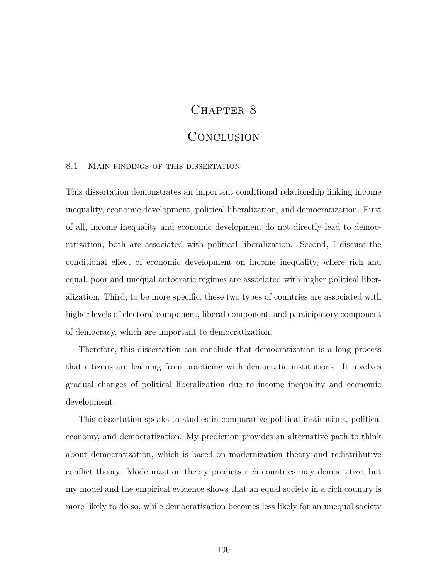## CHAPTER 8

### Conclusion

### 8.1 Main findings of this dissertation

This dissertation demonstrates an important conditional relationship linking income inequality, economic development, political liberalization, and democratization. First of all, income inequality and economic development do not directly lead to democratization, both are associated with political liberalization. Second, I discuss the conditional effect of economic development on income inequality, where rich and equal, poor and unequal autocratic regimes are associated with higher political liberalization. Third, to be more specific, these two types of countries are associated with higher levels of electoral component, liberal component, and participatory component of democracy, which are important to democratization.

Therefore, this dissertation can conclude that democratization is a long process that citizens are learning from practicing with democratic institutions. It involves gradual changes of political liberalization due to income inequality and economic development.

This dissertation speaks to studies in comparative political institutions, political economy, and democratization. My prediction provides an alternative path to think about democratization, which is based on modernization theory and redistributive conflict theory. Modernization theory predicts rich countries may democratize, but my model and the empirical evidence shows that an equal society in a rich country is more likely to do so, while democratization becomes less likely for an unequal society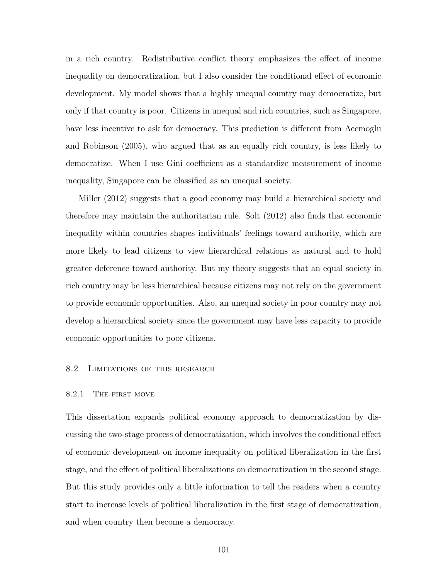in a rich country. Redistributive conflict theory emphasizes the effect of income inequality on democratization, but I also consider the conditional effect of economic development. My model shows that a highly unequal country may democratize, but only if that country is poor. Citizens in unequal and rich countries, such as Singapore, have less incentive to ask for democracy. This prediction is different from Acemoglu and Robinson (2005), who argued that as an equally rich country, is less likely to democratize. When I use Gini coefficient as a standardize measurement of income inequality, Singapore can be classified as an unequal society.

Miller (2012) suggests that a good economy may build a hierarchical society and therefore may maintain the authoritarian rule. Solt (2012) also finds that economic inequality within countries shapes individuals' feelings toward authority, which are more likely to lead citizens to view hierarchical relations as natural and to hold greater deference toward authority. But my theory suggests that an equal society in rich country may be less hierarchical because citizens may not rely on the government to provide economic opportunities. Also, an unequal society in poor country may not develop a hierarchical society since the government may have less capacity to provide economic opportunities to poor citizens.

### 8.2 LIMITATIONS OF THIS RESEARCH

### 8.2.1 The first move

This dissertation expands political economy approach to democratization by discussing the two-stage process of democratization, which involves the conditional effect of economic development on income inequality on political liberalization in the first stage, and the effect of political liberalizations on democratization in the second stage. But this study provides only a little information to tell the readers when a country start to increase levels of political liberalization in the first stage of democratization, and when country then become a democracy.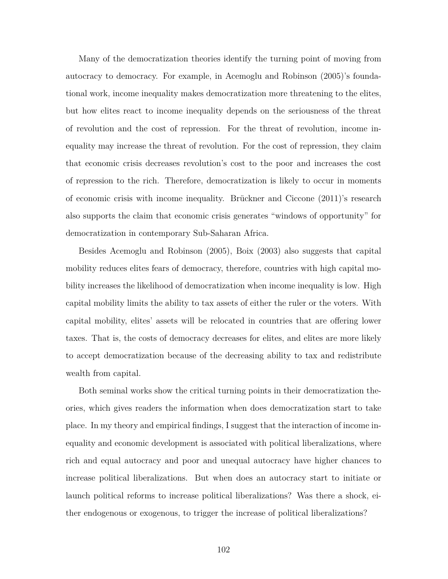Many of the democratization theories identify the turning point of moving from autocracy to democracy. For example, in Acemoglu and Robinson (2005)'s foundational work, income inequality makes democratization more threatening to the elites, but how elites react to income inequality depends on the seriousness of the threat of revolution and the cost of repression. For the threat of revolution, income inequality may increase the threat of revolution. For the cost of repression, they claim that economic crisis decreases revolution's cost to the poor and increases the cost of repression to the rich. Therefore, democratization is likely to occur in moments of economic crisis with income inequality. Brückner and Ciccone (2011)'s research also supports the claim that economic crisis generates "windows of opportunity" for democratization in contemporary Sub-Saharan Africa.

Besides Acemoglu and Robinson (2005), Boix (2003) also suggests that capital mobility reduces elites fears of democracy, therefore, countries with high capital mobility increases the likelihood of democratization when income inequality is low. High capital mobility limits the ability to tax assets of either the ruler or the voters. With capital mobility, elites' assets will be relocated in countries that are offering lower taxes. That is, the costs of democracy decreases for elites, and elites are more likely to accept democratization because of the decreasing ability to tax and redistribute wealth from capital.

Both seminal works show the critical turning points in their democratization theories, which gives readers the information when does democratization start to take place. In my theory and empirical findings, I suggest that the interaction of income inequality and economic development is associated with political liberalizations, where rich and equal autocracy and poor and unequal autocracy have higher chances to increase political liberalizations. But when does an autocracy start to initiate or launch political reforms to increase political liberalizations? Was there a shock, either endogenous or exogenous, to trigger the increase of political liberalizations?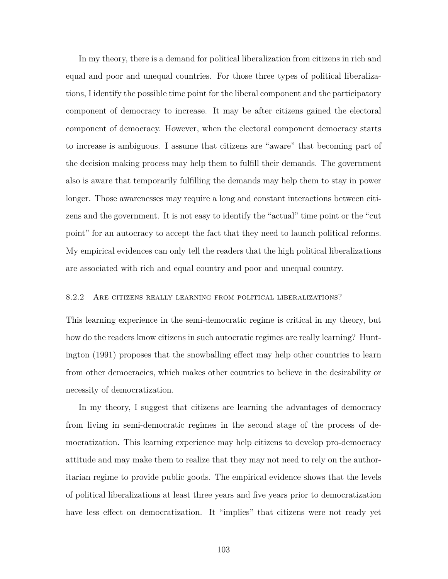In my theory, there is a demand for political liberalization from citizens in rich and equal and poor and unequal countries. For those three types of political liberalizations, I identify the possible time point for the liberal component and the participatory component of democracy to increase. It may be after citizens gained the electoral component of democracy. However, when the electoral component democracy starts to increase is ambiguous. I assume that citizens are "aware" that becoming part of the decision making process may help them to fulfill their demands. The government also is aware that temporarily fulfilling the demands may help them to stay in power longer. Those awarenesses may require a long and constant interactions between citizens and the government. It is not easy to identify the "actual" time point or the "cut point" for an autocracy to accept the fact that they need to launch political reforms. My empirical evidences can only tell the readers that the high political liberalizations are associated with rich and equal country and poor and unequal country.

### 8.2.2 Are citizens really learning from political liberalizations?

This learning experience in the semi-democratic regime is critical in my theory, but how do the readers know citizens in such autocratic regimes are really learning? Huntington (1991) proposes that the snowballing effect may help other countries to learn from other democracies, which makes other countries to believe in the desirability or necessity of democratization.

In my theory, I suggest that citizens are learning the advantages of democracy from living in semi-democratic regimes in the second stage of the process of democratization. This learning experience may help citizens to develop pro-democracy attitude and may make them to realize that they may not need to rely on the authoritarian regime to provide public goods. The empirical evidence shows that the levels of political liberalizations at least three years and five years prior to democratization have less effect on democratization. It "implies" that citizens were not ready yet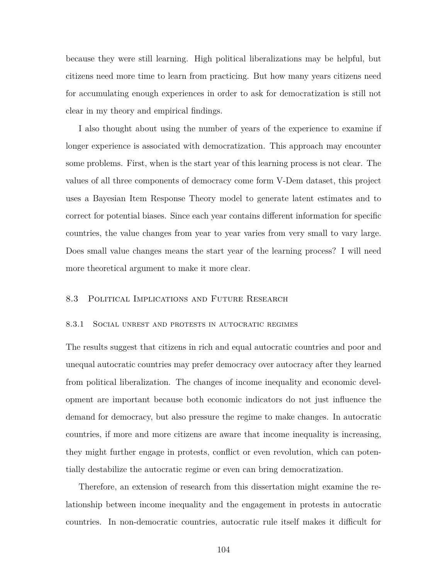because they were still learning. High political liberalizations may be helpful, but citizens need more time to learn from practicing. But how many years citizens need for accumulating enough experiences in order to ask for democratization is still not clear in my theory and empirical findings.

I also thought about using the number of years of the experience to examine if longer experience is associated with democratization. This approach may encounter some problems. First, when is the start year of this learning process is not clear. The values of all three components of democracy come form V-Dem dataset, this project uses a Bayesian Item Response Theory model to generate latent estimates and to correct for potential biases. Since each year contains different information for specific countries, the value changes from year to year varies from very small to vary large. Does small value changes means the start year of the learning process? I will need more theoretical argument to make it more clear.

### 8.3 Political Implications and Future Research

#### 8.3.1 Social unrest and protests in autocratic regimes

The results suggest that citizens in rich and equal autocratic countries and poor and unequal autocratic countries may prefer democracy over autocracy after they learned from political liberalization. The changes of income inequality and economic development are important because both economic indicators do not just influence the demand for democracy, but also pressure the regime to make changes. In autocratic countries, if more and more citizens are aware that income inequality is increasing, they might further engage in protests, conflict or even revolution, which can potentially destabilize the autocratic regime or even can bring democratization.

Therefore, an extension of research from this dissertation might examine the relationship between income inequality and the engagement in protests in autocratic countries. In non-democratic countries, autocratic rule itself makes it difficult for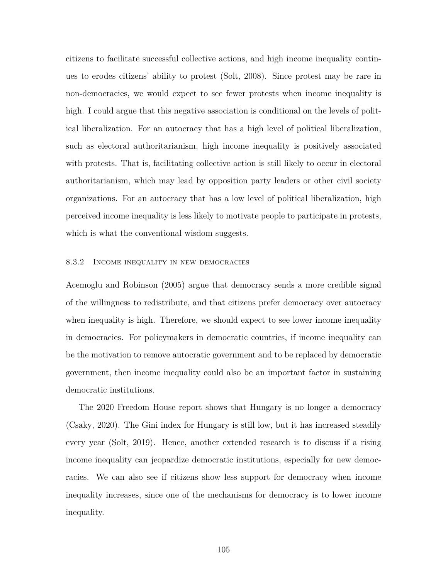citizens to facilitate successful collective actions, and high income inequality continues to erodes citizens' ability to protest (Solt, 2008). Since protest may be rare in non-democracies, we would expect to see fewer protests when income inequality is high. I could argue that this negative association is conditional on the levels of political liberalization. For an autocracy that has a high level of political liberalization, such as electoral authoritarianism, high income inequality is positively associated with protests. That is, facilitating collective action is still likely to occur in electoral authoritarianism, which may lead by opposition party leaders or other civil society organizations. For an autocracy that has a low level of political liberalization, high perceived income inequality is less likely to motivate people to participate in protests, which is what the conventional wisdom suggests.

#### 8.3.2 Income inequality in new democracies

Acemoglu and Robinson (2005) argue that democracy sends a more credible signal of the willingness to redistribute, and that citizens prefer democracy over autocracy when inequality is high. Therefore, we should expect to see lower income inequality in democracies. For policymakers in democratic countries, if income inequality can be the motivation to remove autocratic government and to be replaced by democratic government, then income inequality could also be an important factor in sustaining democratic institutions.

The 2020 Freedom House report shows that Hungary is no longer a democracy (Csaky, 2020). The Gini index for Hungary is still low, but it has increased steadily every year (Solt, 2019). Hence, another extended research is to discuss if a rising income inequality can jeopardize democratic institutions, especially for new democracies. We can also see if citizens show less support for democracy when income inequality increases, since one of the mechanisms for democracy is to lower income inequality.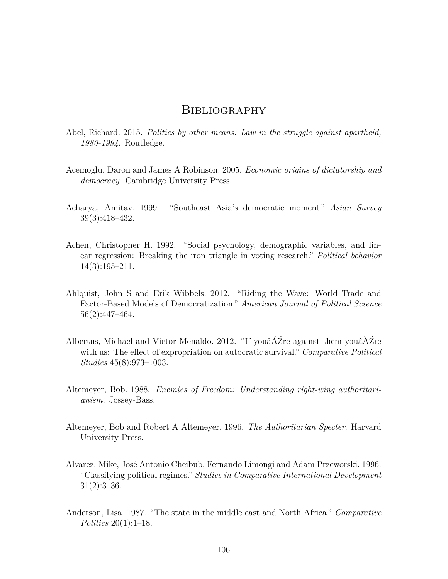### **BIBLIOGRAPHY**

- Abel, Richard. 2015. *Politics by other means: Law in the struggle against apartheid, 1980-1994*. Routledge.
- Acemoglu, Daron and James A Robinson. 2005. *Economic origins of dictatorship and democracy*. Cambridge University Press.
- Acharya, Amitav. 1999. "Southeast Asia's democratic moment." *Asian Survey* 39(3):418–432.
- Achen, Christopher H. 1992. "Social psychology, demographic variables, and linear regression: Breaking the iron triangle in voting research." *Political behavior* 14(3):195–211.
- Ahlquist, John S and Erik Wibbels. 2012. "Riding the Wave: World Trade and Factor-Based Models of Democratization." *American Journal of Political Science* 56(2):447–464.
- Albertus, Michael and Victor Menaldo. 2012. "If youâĂŹre against them youâĂŹre with us: The effect of expropriation on autocratic survival." *Comparative Political Studies* 45(8):973–1003.
- Altemeyer, Bob. 1988. *Enemies of Freedom: Understanding right-wing authoritarianism.* Jossey-Bass.
- Altemeyer, Bob and Robert A Altemeyer. 1996. *The Authoritarian Specter*. Harvard University Press.
- Alvarez, Mike, José Antonio Cheibub, Fernando Limongi and Adam Przeworski. 1996. "Classifying political regimes." *Studies in Comparative International Development*  $31(2):3-36.$
- Anderson, Lisa. 1987. "The state in the middle east and North Africa." *Comparative Politics* 20(1):1–18.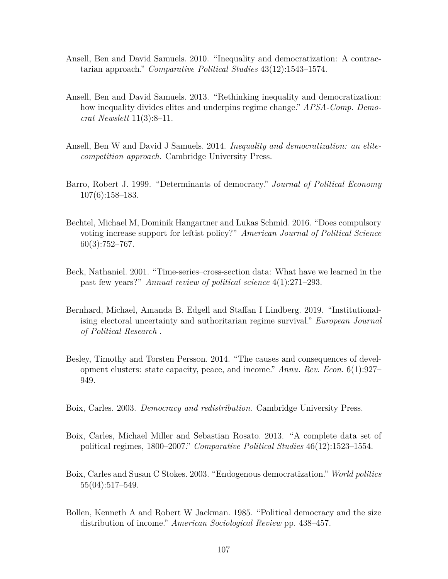- Ansell, Ben and David Samuels. 2010. "Inequality and democratization: A contractarian approach." *Comparative Political Studies* 43(12):1543–1574.
- Ansell, Ben and David Samuels. 2013. "Rethinking inequality and democratization: how inequality divides elites and underpins regime change." *APSA-Comp. Democrat Newslett* 11(3):8–11.
- Ansell, Ben W and David J Samuels. 2014. *Inequality and democratization: an elitecompetition approach*. Cambridge University Press.
- Barro, Robert J. 1999. "Determinants of democracy." *Journal of Political Economy* 107(6):158–183.
- Bechtel, Michael M, Dominik Hangartner and Lukas Schmid. 2016. "Does compulsory voting increase support for leftist policy?" *American Journal of Political Science*  $60(3):752-767.$
- Beck, Nathaniel. 2001. "Time-series–cross-section data: What have we learned in the past few years?" *Annual review of political science* 4(1):271–293.
- Bernhard, Michael, Amanda B. Edgell and Staffan I Lindberg. 2019. "Institutionalising electoral uncertainty and authoritarian regime survival." *European Journal of Political Research* .
- Besley, Timothy and Torsten Persson. 2014. "The causes and consequences of development clusters: state capacity, peace, and income." *Annu. Rev. Econ.* 6(1):927– 949.
- Boix, Carles. 2003. *Democracy and redistribution*. Cambridge University Press.
- Boix, Carles, Michael Miller and Sebastian Rosato. 2013. "A complete data set of political regimes, 1800–2007." *Comparative Political Studies* 46(12):1523–1554.
- Boix, Carles and Susan C Stokes. 2003. "Endogenous democratization." *World politics* 55(04):517–549.
- Bollen, Kenneth A and Robert W Jackman. 1985. "Political democracy and the size distribution of income." *American Sociological Review* pp. 438–457.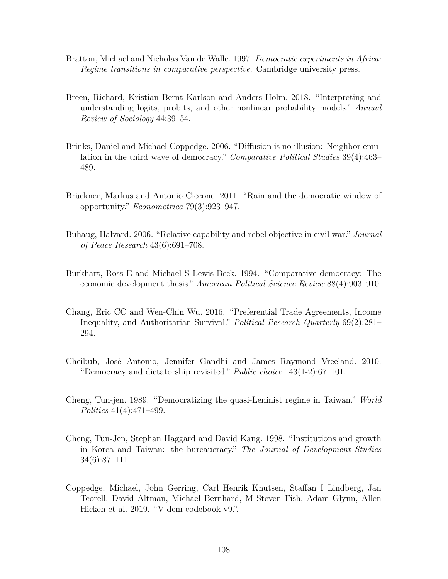- Bratton, Michael and Nicholas Van de Walle. 1997. *Democratic experiments in Africa: Regime transitions in comparative perspective*. Cambridge university press.
- Breen, Richard, Kristian Bernt Karlson and Anders Holm. 2018. "Interpreting and understanding logits, probits, and other nonlinear probability models." *Annual Review of Sociology* 44:39–54.
- Brinks, Daniel and Michael Coppedge. 2006. "Diffusion is no illusion: Neighbor emulation in the third wave of democracy." *Comparative Political Studies* 39(4):463– 489.
- Brückner, Markus and Antonio Ciccone. 2011. "Rain and the democratic window of opportunity." *Econometrica* 79(3):923–947.
- Buhaug, Halvard. 2006. "Relative capability and rebel objective in civil war." *Journal of Peace Research* 43(6):691–708.
- Burkhart, Ross E and Michael S Lewis-Beck. 1994. "Comparative democracy: The economic development thesis." *American Political Science Review* 88(4):903–910.
- Chang, Eric CC and Wen-Chin Wu. 2016. "Preferential Trade Agreements, Income Inequality, and Authoritarian Survival." *Political Research Quarterly* 69(2):281– 294.
- Cheibub, José Antonio, Jennifer Gandhi and James Raymond Vreeland. 2010. "Democracy and dictatorship revisited." *Public choice* 143(1-2):67–101.
- Cheng, Tun-jen. 1989. "Democratizing the quasi-Leninist regime in Taiwan." *World Politics* 41(4):471–499.
- Cheng, Tun-Jen, Stephan Haggard and David Kang. 1998. "Institutions and growth in Korea and Taiwan: the bureaucracy." *The Journal of Development Studies* 34(6):87–111.
- Coppedge, Michael, John Gerring, Carl Henrik Knutsen, Staffan I Lindberg, Jan Teorell, David Altman, Michael Bernhard, M Steven Fish, Adam Glynn, Allen Hicken et al. 2019. "V-dem codebook v9.".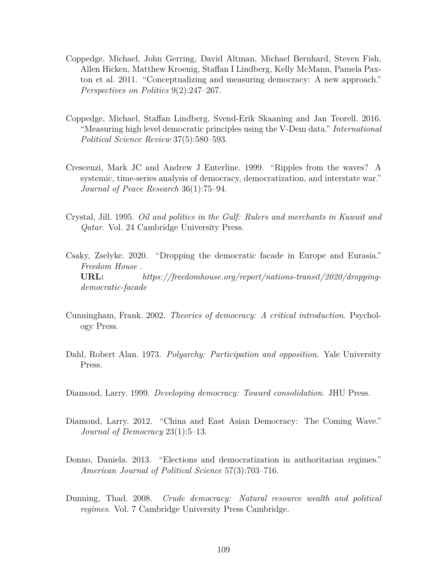- Coppedge, Michael, John Gerring, David Altman, Michael Bernhard, Steven Fish, Allen Hicken, Matthew Kroenig, Staffan I Lindberg, Kelly McMann, Pamela Paxton et al. 2011. "Conceptualizing and measuring democracy: A new approach." *Perspectives on Politics* 9(2):247–267.
- Coppedge, Michael, Staffan Lindberg, Svend-Erik Skaaning and Jan Teorell. 2016. "Measuring high level democratic principles using the V-Dem data." *International Political Science Review* 37(5):580–593.
- Crescenzi, Mark JC and Andrew J Enterline. 1999. "Ripples from the waves? A systemic, time-series analysis of democracy, democratization, and interstate war." *Journal of Peace Research* 36(1):75–94.
- Crystal, Jill. 1995. *Oil and politics in the Gulf: Rulers and merchants in Kuwait and Qatar*. Vol. 24 Cambridge University Press.
- Csaky, Zselyke. 2020. "Dropping the democratic facade in Europe and Eurasia." *Freedom House* . **URL:** *https://freedomhouse.org/report/nations-transit/2020/droppingdemocratic-facade*
- Cunningham, Frank. 2002. *Theories of democracy: A critical introduction*. Psychology Press.
- Dahl, Robert Alan. 1973. *Polyarchy: Participation and opposition*. Yale University Press.
- Diamond, Larry. 1999. *Developing democracy: Toward consolidation*. JHU Press.
- Diamond, Larry. 2012. "China and East Asian Democracy: The Coming Wave." *Journal of Democracy* 23(1):5–13.
- Donno, Daniela. 2013. "Elections and democratization in authoritarian regimes." *American Journal of Political Science* 57(3):703–716.
- Dunning, Thad. 2008. *Crude democracy: Natural resource wealth and political regimes*. Vol. 7 Cambridge University Press Cambridge.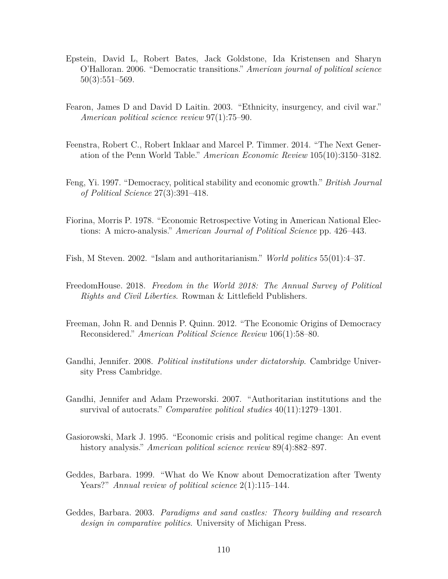- Epstein, David L, Robert Bates, Jack Goldstone, Ida Kristensen and Sharyn O'Halloran. 2006. "Democratic transitions." *American journal of political science* 50(3):551–569.
- Fearon, James D and David D Laitin. 2003. "Ethnicity, insurgency, and civil war." *American political science review* 97(1):75–90.
- Feenstra, Robert C., Robert Inklaar and Marcel P. Timmer. 2014. "The Next Generation of the Penn World Table." *American Economic Review* 105(10):3150–3182.
- Feng, Yi. 1997. "Democracy, political stability and economic growth." *British Journal of Political Science* 27(3):391–418.
- Fiorina, Morris P. 1978. "Economic Retrospective Voting in American National Elections: A micro-analysis." *American Journal of Political Science* pp. 426–443.
- Fish, M Steven. 2002. "Islam and authoritarianism." *World politics* 55(01):4–37.
- FreedomHouse. 2018. *Freedom in the World 2018: The Annual Survey of Political Rights and Civil Liberties*. Rowman & Littlefield Publishers.
- Freeman, John R. and Dennis P. Quinn. 2012. "The Economic Origins of Democracy Reconsidered." *American Political Science Review* 106(1):58–80.
- Gandhi, Jennifer. 2008. *Political institutions under dictatorship*. Cambridge University Press Cambridge.
- Gandhi, Jennifer and Adam Przeworski. 2007. "Authoritarian institutions and the survival of autocrats." *Comparative political studies* 40(11):1279–1301.
- Gasiorowski, Mark J. 1995. "Economic crisis and political regime change: An event history analysis." *American political science review* 89(4):882–897.
- Geddes, Barbara. 1999. "What do We Know about Democratization after Twenty Years?" *Annual review of political science* 2(1):115–144.
- Geddes, Barbara. 2003. *Paradigms and sand castles: Theory building and research design in comparative politics*. University of Michigan Press.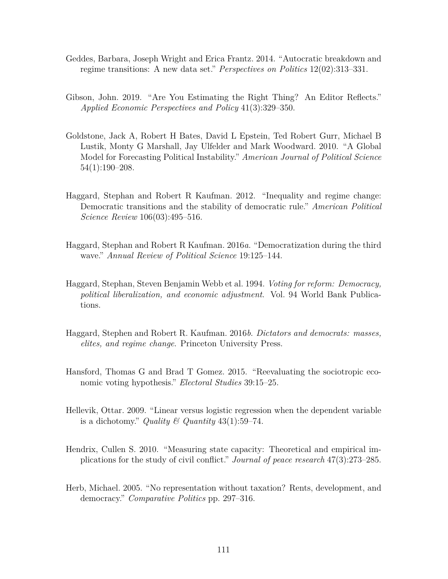- Geddes, Barbara, Joseph Wright and Erica Frantz. 2014. "Autocratic breakdown and regime transitions: A new data set." *Perspectives on Politics* 12(02):313–331.
- Gibson, John. 2019. "Are You Estimating the Right Thing? An Editor Reflects." *Applied Economic Perspectives and Policy* 41(3):329–350.
- Goldstone, Jack A, Robert H Bates, David L Epstein, Ted Robert Gurr, Michael B Lustik, Monty G Marshall, Jay Ulfelder and Mark Woodward. 2010. "A Global Model for Forecasting Political Instability." *American Journal of Political Science* 54(1):190–208.
- Haggard, Stephan and Robert R Kaufman. 2012. "Inequality and regime change: Democratic transitions and the stability of democratic rule." *American Political Science Review* 106(03):495–516.
- Haggard, Stephan and Robert R Kaufman. 2016*a*. "Democratization during the third wave." *Annual Review of Political Science* 19:125–144.
- Haggard, Stephan, Steven Benjamin Webb et al. 1994. *Voting for reform: Democracy, political liberalization, and economic adjustment*. Vol. 94 World Bank Publications.
- Haggard, Stephen and Robert R. Kaufman. 2016*b*. *Dictators and democrats: masses, elites, and regime change*. Princeton University Press.
- Hansford, Thomas G and Brad T Gomez. 2015. "Reevaluating the sociotropic economic voting hypothesis." *Electoral Studies* 39:15–25.
- Hellevik, Ottar. 2009. "Linear versus logistic regression when the dependent variable is a dichotomy." *Quality*  $\mathcal{B}$  *Quantity* 43(1):59–74.
- Hendrix, Cullen S. 2010. "Measuring state capacity: Theoretical and empirical implications for the study of civil conflict." *Journal of peace research* 47(3):273–285.
- Herb, Michael. 2005. "No representation without taxation? Rents, development, and democracy." *Comparative Politics* pp. 297–316.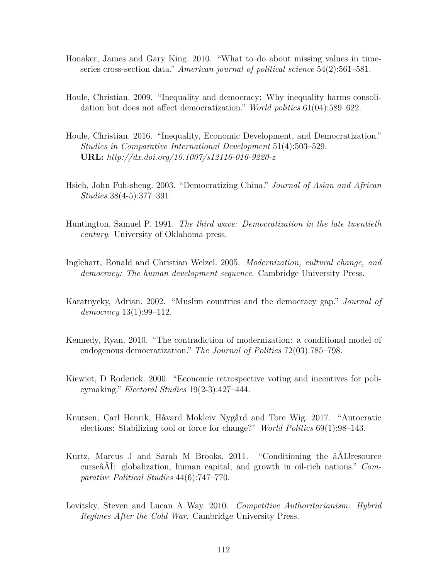- Honaker, James and Gary King. 2010. "What to do about missing values in timeseries cross-section data." *American journal of political science* 54(2):561–581.
- Houle, Christian. 2009. "Inequality and democracy: Why inequality harms consolidation but does not affect democratization." *World politics* 61(04):589–622.
- Houle, Christian. 2016. "Inequality, Economic Development, and Democratization." *Studies in Comparative International Development* 51(4):503–529. **URL:** *http://dx.doi.org/10.1007/s12116-016-9220-z*
- Hsieh, John Fuh-sheng. 2003. "Democratizing China." *Journal of Asian and African Studies* 38(4-5):377–391.
- Huntington, Samuel P. 1991. *The third wave: Democratization in the late twentieth century*. University of Oklahoma press.
- Inglehart, Ronald and Christian Welzel. 2005. *Modernization, cultural change, and democracy: The human development sequence*. Cambridge University Press.
- Karatnycky, Adrian. 2002. "Muslim countries and the democracy gap." *Journal of democracy* 13(1):99–112.
- Kennedy, Ryan. 2010. "The contradiction of modernization: a conditional model of endogenous democratization." *The Journal of Politics* 72(03):785–798.
- Kiewiet, D Roderick. 2000. "Economic retrospective voting and incentives for policymaking." *Electoral Studies* 19(2-3):427–444.
- Knutsen, Carl Henrik, Håvard Mokleiv Nygård and Tore Wig. 2017. "Autocratic elections: Stabilizing tool or force for change?" *World Politics* 69(1):98–143.
- Kurtz, Marcus J and Sarah M Brooks. 2011. "Conditioning the âĂIJresource curseâĂİ: globalization, human capital, and growth in oil-rich nations." *Comparative Political Studies* 44(6):747–770.
- Levitsky, Steven and Lucan A Way. 2010. *Competitive Authoritarianism: Hybrid Regimes After the Cold War*. Cambridge University Press.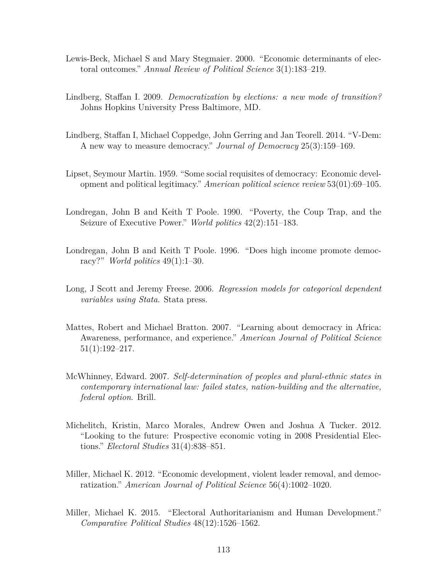- Lewis-Beck, Michael S and Mary Stegmaier. 2000. "Economic determinants of electoral outcomes." *Annual Review of Political Science* 3(1):183–219.
- Lindberg, Staffan I. 2009. *Democratization by elections: a new mode of transition?* Johns Hopkins University Press Baltimore, MD.
- Lindberg, Staffan I, Michael Coppedge, John Gerring and Jan Teorell. 2014. "V-Dem: A new way to measure democracy." *Journal of Democracy* 25(3):159–169.
- Lipset, Seymour Martin. 1959. "Some social requisites of democracy: Economic development and political legitimacy." *American political science review* 53(01):69–105.
- Londregan, John B and Keith T Poole. 1990. "Poverty, the Coup Trap, and the Seizure of Executive Power." *World politics* 42(2):151–183.
- Londregan, John B and Keith T Poole. 1996. "Does high income promote democracy?" *World politics* 49(1):1–30.
- Long, J Scott and Jeremy Freese. 2006. *Regression models for categorical dependent variables using Stata*. Stata press.
- Mattes, Robert and Michael Bratton. 2007. "Learning about democracy in Africa: Awareness, performance, and experience." *American Journal of Political Science* 51(1):192–217.
- McWhinney, Edward. 2007. *Self-determination of peoples and plural-ethnic states in contemporary international law: failed states, nation-building and the alternative, federal option*. Brill.
- Michelitch, Kristin, Marco Morales, Andrew Owen and Joshua A Tucker. 2012. "Looking to the future: Prospective economic voting in 2008 Presidential Elections." *Electoral Studies* 31(4):838–851.
- Miller, Michael K. 2012. "Economic development, violent leader removal, and democratization." *American Journal of Political Science* 56(4):1002–1020.
- Miller, Michael K. 2015. "Electoral Authoritarianism and Human Development." *Comparative Political Studies* 48(12):1526–1562.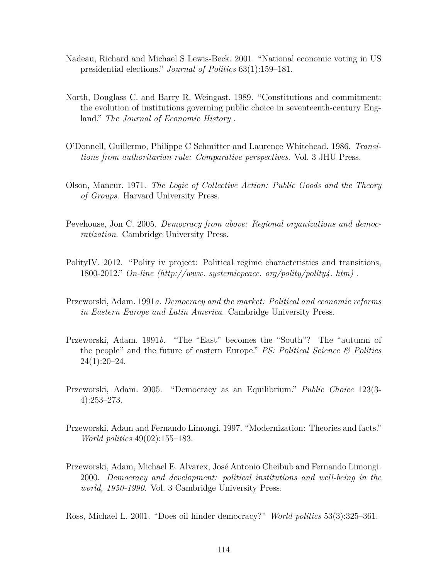- Nadeau, Richard and Michael S Lewis-Beck. 2001. "National economic voting in US presidential elections." *Journal of Politics* 63(1):159–181.
- North, Douglass C. and Barry R. Weingast. 1989. "Constitutions and commitment: the evolution of institutions governing public choice in seventeenth-century England." *The Journal of Economic History* .
- O'Donnell, Guillermo, Philippe C Schmitter and Laurence Whitehead. 1986. *Transitions from authoritarian rule: Comparative perspectives*. Vol. 3 JHU Press.
- Olson, Mancur. 1971. *The Logic of Collective Action: Public Goods and the Theory of Groups*. Harvard University Press.
- Pevehouse, Jon C. 2005. *Democracy from above: Regional organizations and democratization*. Cambridge University Press.
- PolityIV. 2012. "Polity iv project: Political regime characteristics and transitions, 1800-2012." *On-line (http://www. systemicpeace. org/polity/polity4. htm)* .
- Przeworski, Adam. 1991*a*. *Democracy and the market: Political and economic reforms in Eastern Europe and Latin America*. Cambridge University Press.
- Przeworski, Adam. 1991*b*. "The "East" becomes the "South"? The "autumn of the people" and the future of eastern Europe." *PS: Political Science & Politics*  $24(1):20-24.$
- Przeworski, Adam. 2005. "Democracy as an Equilibrium." *Public Choice* 123(3- 4):253–273.
- Przeworski, Adam and Fernando Limongi. 1997. "Modernization: Theories and facts." *World politics* 49(02):155–183.
- Przeworski, Adam, Michael E. Alvarex, José Antonio Cheibub and Fernando Limongi. 2000. *Democracy and development: political institutions and well-being in the world, 1950-1990*. Vol. 3 Cambridge University Press.

Ross, Michael L. 2001. "Does oil hinder democracy?" *World politics* 53(3):325–361.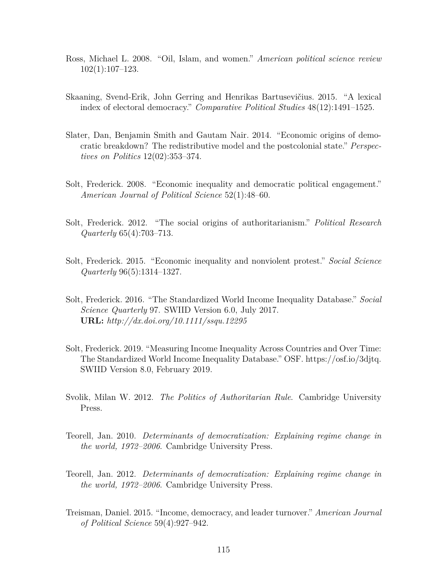- Ross, Michael L. 2008. "Oil, Islam, and women." *American political science review* 102(1):107–123.
- Skaaning, Svend-Erik, John Gerring and Henrikas Bartusevičius. 2015. "A lexical index of electoral democracy." *Comparative Political Studies* 48(12):1491–1525.
- Slater, Dan, Benjamin Smith and Gautam Nair. 2014. "Economic origins of democratic breakdown? The redistributive model and the postcolonial state." *Perspectives on Politics* 12(02):353–374.
- Solt, Frederick. 2008. "Economic inequality and democratic political engagement." *American Journal of Political Science* 52(1):48–60.
- Solt, Frederick. 2012. "The social origins of authoritarianism." *Political Research Quarterly* 65(4):703–713.
- Solt, Frederick. 2015. "Economic inequality and nonviolent protest." *Social Science Quarterly* 96(5):1314–1327.
- Solt, Frederick. 2016. "The Standardized World Income Inequality Database." *Social Science Quarterly* 97. SWIID Version 6.0, July 2017. **URL:** *http://dx.doi.org/10.1111/ssqu.12295*
- Solt, Frederick. 2019. "Measuring Income Inequality Across Countries and Over Time: The Standardized World Income Inequality Database." OSF. https://osf.io/3djtq. SWIID Version 8.0, February 2019.
- Svolik, Milan W. 2012. *The Politics of Authoritarian Rule*. Cambridge University Press.
- Teorell, Jan. 2010. *Determinants of democratization: Explaining regime change in the world, 1972–2006*. Cambridge University Press.
- Teorell, Jan. 2012. *Determinants of democratization: Explaining regime change in the world, 1972–2006*. Cambridge University Press.
- Treisman, Daniel. 2015. "Income, democracy, and leader turnover." *American Journal of Political Science* 59(4):927–942.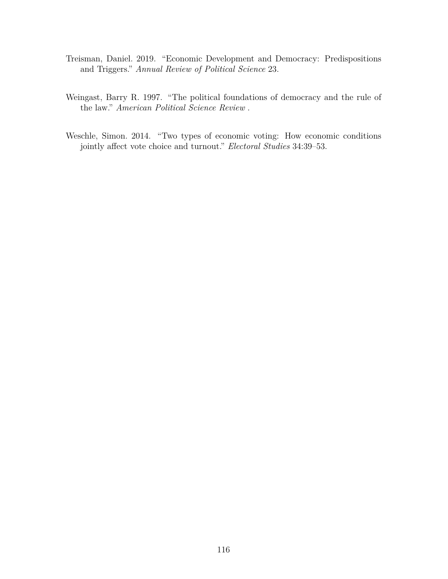- Treisman, Daniel. 2019. "Economic Development and Democracy: Predispositions and Triggers." *Annual Review of Political Science* 23.
- Weingast, Barry R. 1997. "The political foundations of democracy and the rule of the law." *American Political Science Review* .
- Weschle, Simon. 2014. "Two types of economic voting: How economic conditions jointly affect vote choice and turnout." *Electoral Studies* 34:39–53.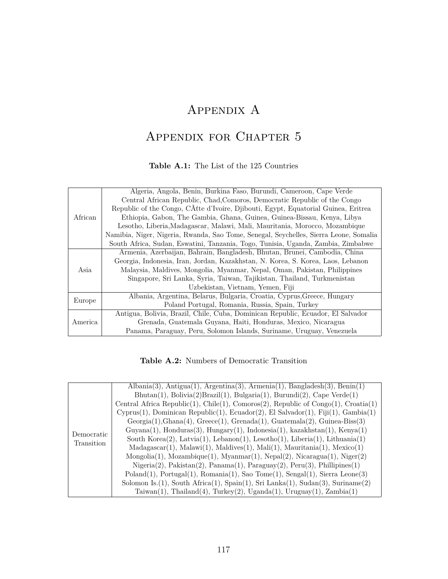# Appendix A

# Appendix for Chapter 5

### **Table A.1:** The List of the 125 Countries

|         | Algeria, Angola, Benin, Burkina Faso, Burundi, Cameroon, Cape Verde                   |
|---------|---------------------------------------------------------------------------------------|
|         | Central African Republic, Chad, Comoros, Democratic Republic of the Congo             |
|         | Republic of the Congo, CÂtte d'Ivoire, Djibouti, Egypt, Equatorial Guinea, Eritrea    |
| African | Ethiopia, Gabon, The Gambia, Ghana, Guinea, Guinea-Bissau, Kenya, Libya               |
|         | Lesotho, Liberia, Madagascar, Malawi, Mali, Mauritania, Morocco, Mozambique           |
|         | Namibia, Niger, Nigeria, Rwanda, Sao Tome, Senegal, Seychelles, Sierra Leone, Somalia |
|         | South Africa, Sudan, Eswatini, Tanzania, Togo, Tunisia, Uganda, Zambia, Zimbabwe      |
|         | Armenia, Azerbaijan, Bahrain, Bangladesh, Bhutan, Brunei, Cambodia, China             |
|         | Georgia, Indonesia, Iran, Jordan, Kazakhstan, N. Korea, S. Korea, Laos, Lebanon       |
| Asia    | Malaysia, Maldives, Mongolia, Myanmar, Nepal, Oman, Pakistan, Philippines             |
|         | Singapore, Sri Lanka, Syria, Taiwan, Tajikistan, Thailand, Turkmenistan               |
|         | Uzbekistan, Vietnam, Yemen, Fiji                                                      |
|         | Albania, Argentina, Belarus, Bulgaria, Croatia, Cyprus, Greece, Hungary               |
| Europe  | Poland Portugal, Romania, Russia, Spain, Turkey                                       |
|         | Antigua, Bolivia, Brazil, Chile, Cuba, Dominican Republic, Ecuador, El Salvador       |
| America | Grenada, Guatemala Guyana, Haiti, Honduras, Mexico, Nicaragua                         |
|         | Panama, Paraguay, Peru, Solomon Islands, Suriname, Uruguay, Venezuela                 |

**Table A.2:** Numbers of Democratic Transition

|            | $\text{Albania}(3), \text{Antigua}(1), \text{Argentina}(3), \text{Armenia}(1), \text{Bangladesh}(3), \text{Benin}(1)$ |
|------------|-----------------------------------------------------------------------------------------------------------------------|
|            | $Bhutan(1), Bolivia(2) Brazil(1), Bulgaria(1), Burundi(2), Cape Verde(1)$                                             |
|            | Central Africa Republic(1), Chile(1), Comoros(2), Republic of Congo(1), Croatia(1)                                    |
|            | $Cyprus(1)$ , Dominican Republic(1), Ecuador(2), El Salvador(1), Fiji(1), Gambia(1)                                   |
|            | $Georgia(1), Ghana(4), Greece(1), Grenada(1), Guatemala(2), Guinea-Biss(3)$                                           |
|            | $Guyana(1)$ , Honduras $(3)$ , Hungary $(1)$ , Indonesia $(1)$ , kazakhstan $(1)$ , Kenya $(1)$                       |
| Democratic | South Korea $(2)$ , Latvia $(1)$ , Lebanon $(1)$ , Lesotho $(1)$ , Liberia $(1)$ , Lithuania $(1)$                    |
| Transition | $Madagascar(1), Malawi(1), Maldives(1), Mali(1), Mauritania(1), Mexico(1)$                                            |
|            | $Mongolia(1)$ , $Mozambique(1)$ , $Myanmar(1)$ , $Nepal(2)$ , $Nicaragua(1)$ , $Niger(2)$                             |
|            | $Nigen(2), Pakistan(2), Panama(1), Paraguay(2), Peru(3), Phillips(1)$                                                 |
|            | $Poland(1), Portugal(1), Romania(1), Sao Tome(1), Sengal(1), Sierra Leone(3)$                                         |
|            | Solomon Is. $(1)$ , South Africa $(1)$ , Spain $(1)$ , Sri Lanka $(1)$ , Sudan $(3)$ , Suriname $(2)$                 |
|            | Taiwan(1), Thailand(4), Turkey(2), Uganda(1), Uruguay(1), Zambia(1)                                                   |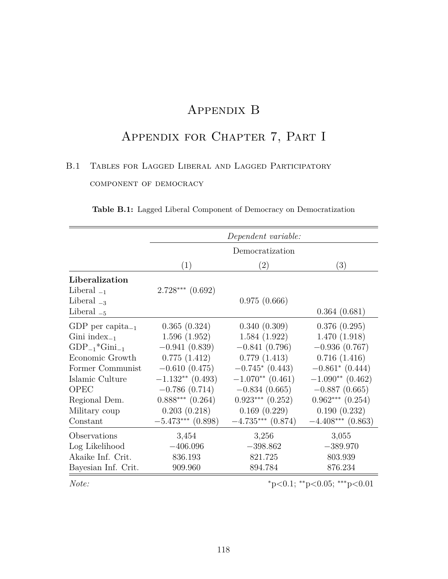# Appendix B

# Appendix for Chapter 7, Part I

# B.1 Tables for Lagged Liberal and Lagged Participatory component of democracy

|                              | Dependent variable:  |                      |                             |
|------------------------------|----------------------|----------------------|-----------------------------|
|                              | Democratization      |                      |                             |
|                              | (1)                  | (2)                  | (3)                         |
| Liberalization               |                      |                      |                             |
| Liberal $_{-1}$              | $2.728***$ $(0.692)$ |                      |                             |
| Liberal $_{-3}$              |                      | 0.975(0.666)         |                             |
| Liberal $_{-5}$              |                      |                      | 0.364(0.681)                |
| GDP per capita <sub>-1</sub> | 0.365(0.324)         | 0.340(0.309)         | 0.376(0.295)                |
| Gini index $_{-1}$           | 1.596(1.952)         | 1.584(1.922)         | 1.470(1.918)                |
| $GDP_{-1}$ *Gini $_{-1}$     | $-0.941(0.839)$      | $-0.841(0.796)$      | $-0.936(0.767)$             |
| Economic Growth              | 0.775(1.412)         | 0.779(1.413)         | 0.716(1.416)                |
| Former Communist             | $-0.610(0.475)$      | $-0.745*(0.443)$     | $-0.861$ $(0.444)$          |
| Islamic Culture              | $-1.132**$ (0.493)   | $-1.070**$ (0.461)   | $-1.090**$ (0.462)          |
| <b>OPEC</b>                  | $-0.786(0.714)$      | $-0.834(0.665)$      | $-0.887(0.665)$             |
| Regional Dem.                | $0.888***$ $(0.264)$ | $0.923***$ $(0.252)$ | $0.962***$ $(0.254)$        |
| Military coup                | 0.203(0.218)         | 0.169(0.229)         | 0.190(0.232)                |
| Constant                     | $-5.473***$ (0.898)  | $-4.735***$ (0.874)  | $-4.408***$ (0.863)         |
| Observations                 | 3,454                | 3,256                | 3,055                       |
| Log Likelihood               | $-406.096$           | $-398.862$           | $-389.970$                  |
| Akaike Inf. Crit.            | 836.193              | 821.725              | 803.939                     |
| Bayesian Inf. Crit.          | 909.960              | 894.784              | 876.234                     |
| Note:                        |                      |                      | *p<0.1; **p<0.05; ***p<0.01 |

**Table B.1:** Lagged Liberal Component of Democracy on Democratization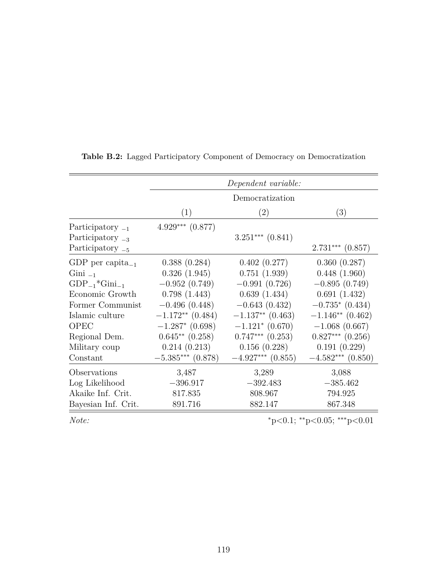|                              | Dependent variable:  |                               |                      |
|------------------------------|----------------------|-------------------------------|----------------------|
|                              | Democratization      |                               |                      |
|                              | (1)                  | (2)                           | (3)                  |
| Participatory $_{-1}$        | $4.929***$ $(0.877)$ |                               |                      |
| Participatory $_{-3}$        |                      | $3.251***$ $(0.841)$          |                      |
| Participatory $_{-5}$        |                      |                               | $2.731***$ $(0.857)$ |
| GDP per capita <sub>-1</sub> | 0.388(0.284)         | 0.402(0.277)                  | 0.360(0.287)         |
| $Gini_{-1}$                  | 0.326(1.945)         | 0.751(1.939)                  | 0.448(1.960)         |
| $GDP_{-1}$ * $Gini_{-1}$     | $-0.952(0.749)$      | $-0.991(0.726)$               | $-0.895(0.749)$      |
| Economic Growth              | 0.798(1.443)         | 0.639(1.434)                  | 0.691(1.432)         |
| Former Communist             | $-0.496(0.448)$      | $-0.643(0.432)$               | $-0.735*(0.434)$     |
| Islamic culture              | $-1.172**$ (0.484)   | $-1.137**$ (0.463)            | $-1.146**$ (0.462)   |
| OPEC                         | $-1.287$ * (0.698)   | $-1.121$ <sup>*</sup> (0.670) | $-1.068(0.667)$      |
| Regional Dem.                | $0.645**$ $(0.258)$  | $0.747***$ $(0.253)$          | $0.827***$ $(0.256)$ |
| Military coup                | 0.214(0.213)         | 0.156(0.228)                  | 0.191(0.229)         |
| Constant                     | $-5.385***$ (0.878)  | $-4.927***$ (0.855)           | $-4.582***$ (0.850)  |
| Observations                 | 3,487                | 3,289                         | 3,088                |
| Log Likelihood               | $-396.917$           | $-392.483$                    | $-385.462$           |
| Akaike Inf. Crit.            | 817.835              | 808.967                       | 794.925              |
| Bayesian Inf. Crit.          | 891.716              | 882.147                       | 867.348              |

**Table B.2:** Lagged Participatory Component of Democracy on Democratization

*Note:* <sup>∗</sup>p*<*0.1; ∗∗p*<*0.05; ∗∗∗p*<*0.01

 $=$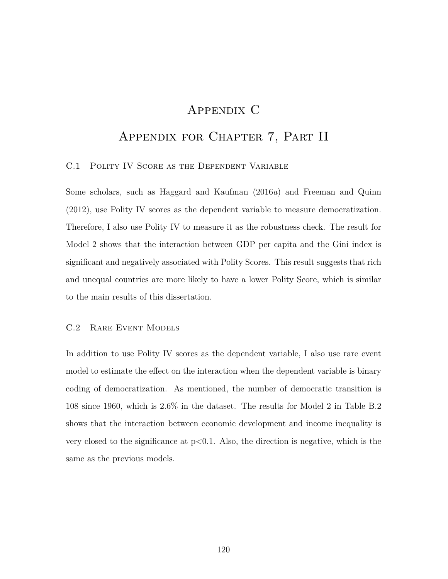## Appendix C

# Appendix for Chapter 7, Part II

### C.1 Polity IV Score as the Dependent Variable

Some scholars, such as Haggard and Kaufman (2016*a*) and Freeman and Quinn (2012), use Polity IV scores as the dependent variable to measure democratization. Therefore, I also use Polity IV to measure it as the robustness check. The result for Model 2 shows that the interaction between GDP per capita and the Gini index is significant and negatively associated with Polity Scores. This result suggests that rich and unequal countries are more likely to have a lower Polity Score, which is similar to the main results of this dissertation.

### C.2 Rare Event Models

In addition to use Polity IV scores as the dependent variable, I also use rare event model to estimate the effect on the interaction when the dependent variable is binary coding of democratization. As mentioned, the number of democratic transition is 108 since 1960, which is 2.6% in the dataset. The results for Model 2 in Table B.2 shows that the interaction between economic development and income inequality is very closed to the significance at p*<*0.1. Also, the direction is negative, which is the same as the previous models.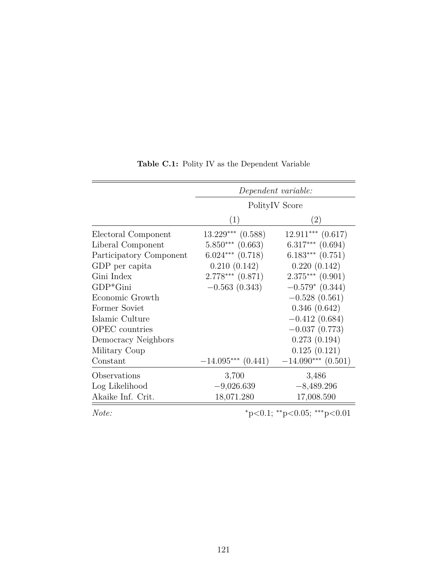|                         | Dependent variable:         |                       |
|-------------------------|-----------------------------|-----------------------|
|                         | Polity <sub>IV</sub> Score  |                       |
|                         | (1)                         | (2)                   |
| Electoral Component     | $13.229***$ $(0.588)$       | $12.911***$ $(0.617)$ |
| Liberal Component       | $5.850***$ $(0.663)$        | $6.317***$ $(0.694)$  |
| Participatory Component | $6.024***$ $(0.718)$        | $6.183***$ $(0.751)$  |
| GDP per capita          | 0.210(0.142)                | 0.220(0.142)          |
| Gini Index              | $2.778***$ $(0.871)$        | $2.375***$ $(0.901)$  |
| $GDP*Gini$              | $-0.563(0.343)$             | $-0.579*(0.344)$      |
| Economic Growth         |                             | $-0.528(0.561)$       |
| Former Soviet           |                             | 0.346(0.642)          |
| Islamic Culture         |                             | $-0.412(0.684)$       |
| <b>OPEC</b> countries   |                             | $-0.037(0.773)$       |
| Democracy Neighbors     |                             | 0.273(0.194)          |
| Military Coup           |                             | 0.125(0.121)          |
| Constant                | $-14.095***$ (0.441)        | $-14.090***$ (0.501)  |
| Observations            | 3,700                       | 3,486                 |
| Log Likelihood          | $-9,026.639$                | $-8,489.296$          |
| Akaike Inf. Crit.       | 18,071.280                  | 17,008.590            |
| Note:                   | *p<0.1; **p<0.05; ***p<0.01 |                       |

**Table C.1:** Polity IV as the Dependent Variable

121